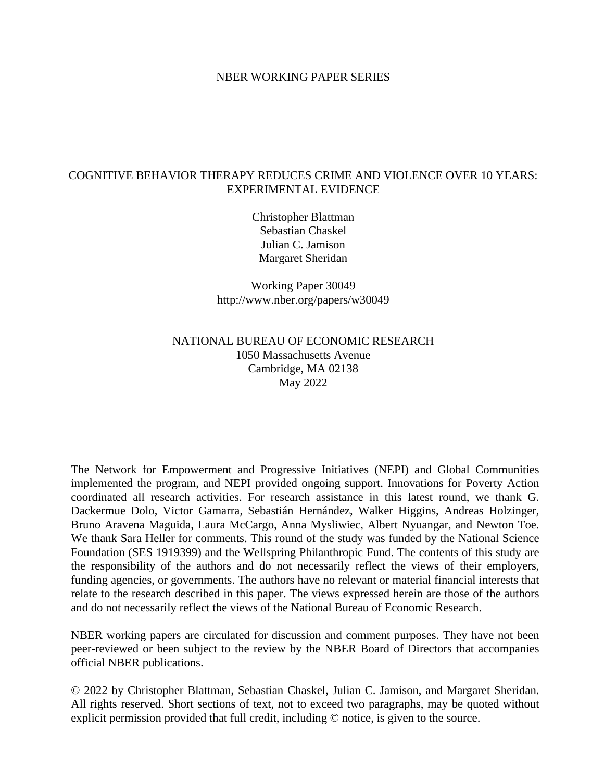#### NBER WORKING PAPER SERIES

#### <span id="page-0-0"></span>COGNITIVE BEHAVIOR THERAPY REDUCES CRIME AND VIOLENCE OVER 10 YEARS: EXPERIMENTAL EVIDENCE

Christopher Blattman Sebastian Chaskel Julian C. Jamison Margaret Sheridan

Working Paper 30049 http://www.nber.org/papers/w30049

#### NATIONAL BUREAU OF ECONOMIC RESEARCH 1050 Massachusetts Avenue Cambridge, MA 02138 May 2022

The Network for Empowerment and Progressive Initiatives (NEPI) and Global Communities implemented the program, and NEPI provided ongoing support. Innovations for Poverty Action coordinated all research activities. For research assistance in this latest round, we thank G. Dackermue Dolo, Victor Gamarra, Sebastián Hernández, Walker Higgins, Andreas Holzinger, Bruno Aravena Maguida, Laura McCargo, Anna Mysliwiec, Albert Nyuangar, and Newton Toe. We thank Sara Heller for comments. This round of the study was funded by the National Science Foundation (SES 1919399) and the Wellspring Philanthropic Fund. The contents of this study are the responsibility of the authors and do not necessarily reflect the views of their employers, funding agencies, or governments. The authors have no relevant or material financial interests that relate to the research described in this paper. The views expressed herein are those of the authors and do not necessarily reflect the views of the National Bureau of Economic Research.

NBER working papers are circulated for discussion and comment purposes. They have not been peer-reviewed or been subject to the review by the NBER Board of Directors that accompanies official NBER publications.

© 2022 by Christopher Blattman, Sebastian Chaskel, Julian C. Jamison, and Margaret Sheridan. All rights reserved. Short sections of text, not to exceed two paragraphs, may be quoted without explicit permission provided that full credit, including © notice, is given to the source.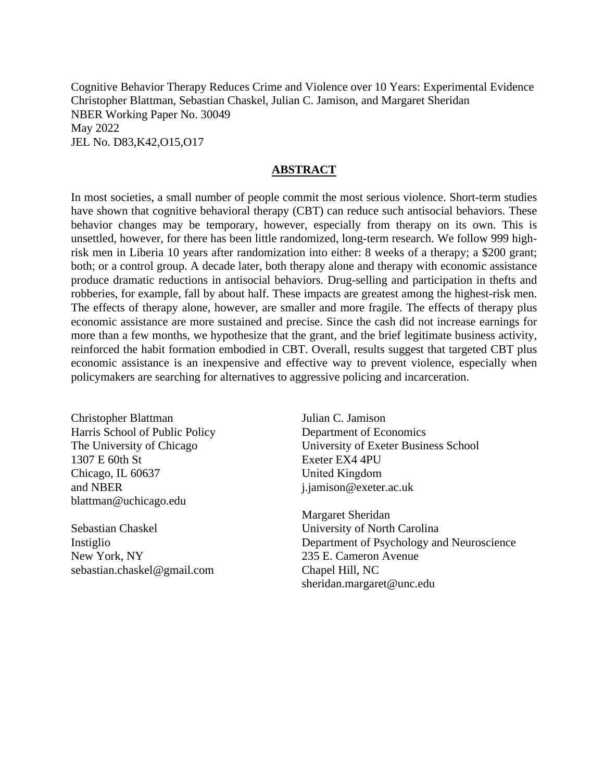Cognitive Behavior Therapy Reduces Crime and Violence over 10 Years: Experimental Evidence Christopher Blattman, Sebastian Chaskel, Julian C. Jamison, and Margaret Sheridan NBER Working Paper No. 30049 May 2022 JEL No. D83,K42,O15,O17

#### **ABSTRACT**

In most societies, a small number of people commit the most serious violence. Short-term studies have shown that cognitive behavioral therapy (CBT) can reduce such antisocial behaviors. These behavior changes may be temporary, however, especially from therapy on its own. This is unsettled, however, for there has been little randomized, long-term research. We follow 999 highrisk men in Liberia 10 years after randomization into either: 8 weeks of a therapy; a \$200 grant; both; or a control group. A decade later, both therapy alone and therapy with economic assistance produce dramatic reductions in antisocial behaviors. Drug-selling and participation in thefts and robberies, for example, fall by about half. These impacts are greatest among the highest-risk men. The effects of therapy alone, however, are smaller and more fragile. The effects of therapy plus economic assistance are more sustained and precise. Since the cash did not increase earnings for more than a few months, we hypothesize that the grant, and the brief legitimate business activity, reinforced the habit formation embodied in CBT. Overall, results suggest that targeted CBT plus economic assistance is an inexpensive and effective way to prevent violence, especially when policymakers are searching for alternatives to aggressive policing and incarceration.

Christopher Blattman Harris School of Public Policy The University of Chicago 1307 E 60th St Chicago, IL 60637 and NBER blattman@uchicago.edu

Sebastian Chaskel Instiglio New York, NY sebastian.chaskel@gmail.com

Julian C. Jamison Department of Economics University of Exeter Business School Exeter EX4 4PU United Kingdom j.jamison@exeter.ac.uk

Margaret Sheridan University of North Carolina Department of Psychology and Neuroscience 235 E. Cameron Avenue Chapel Hill, NC sheridan.margaret@unc.edu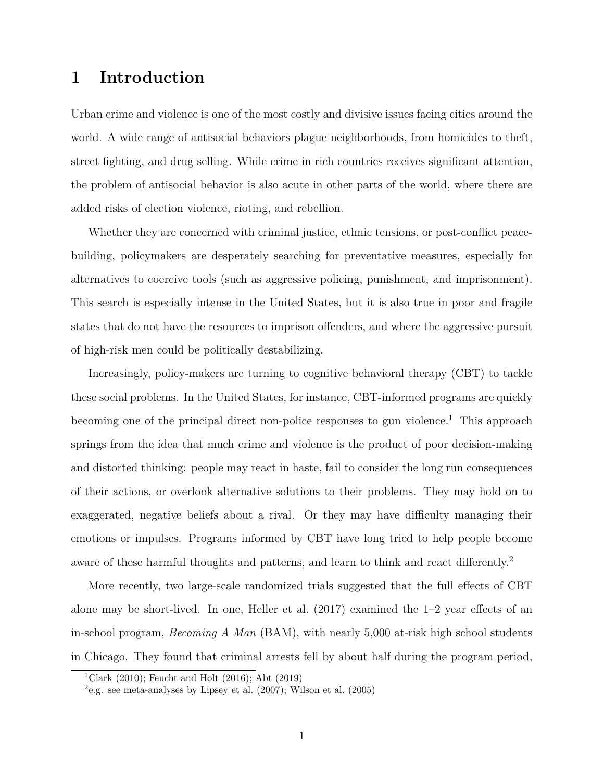## **1 Introduction**

Urban crime and violence is one of the most costly and divisive issues facing cities around the world. A wide range of antisocial behaviors plague neighborhoods, from homicides to theft, street fighting, and drug selling. While crime in rich countries receives significant attention, the problem of antisocial behavior is also acute in other parts of the world, where there are added risks of election violence, rioting, and rebellion.

Whether they are concerned with criminal justice, ethnic tensions, or post-conflict peacebuilding, policymakers are desperately searching for preventative measures, especially for alternatives to coercive tools (such as aggressive policing, punishment, and imprisonment). This search is especially intense in the United States, but it is also true in poor and fragile states that do not have the resources to imprison offenders, and where the aggressive pursuit of high-risk men could be politically destabilizing.

Increasingly, policy-makers are turning to cognitive behavioral therapy (CBT) to tackle these social problems. In the United States, for instance, CBT-informed programs are quickly becoming one of the principal direct non-police responses to gun violence.<sup>[1](#page-2-0)</sup> This approach springs from the idea that much crime and violence is the product of poor decision-making and distorted thinking: people may react in haste, fail to consider the long run consequences of their actions, or overlook alternative solutions to their problems. They may hold on to exaggerated, negative beliefs about a rival. Or they may have difficulty managing their emotions or impulses. Programs informed by CBT have long tried to help people become aware of these harmful thoughts and patterns, and learn to think and react differently.<sup>[2](#page-2-1)</sup>

More recently, two large-scale randomized trials suggested that the full effects of CBT alone may be short-lived. In one, [Heller et al.](#page-43-0) [\(2017\)](#page-43-0) examined the 1–2 year effects of an in-school program, *Becoming A Man* (BAM), with nearly 5,000 at-risk high school students in Chicago. They found that criminal arrests fell by about half during the program period,

<span id="page-2-0"></span><sup>&</sup>lt;sup>1</sup>[Clark](#page-43-1) [\(2010\)](#page-43-1); [Feucht and Holt](#page-43-2) [\(2016\)](#page-43-2); [Abt](#page-42-0) [\(2019\)](#page-42-0)

<span id="page-2-1"></span> $e^2$ e.g. see meta-analyses by [Lipsey et al.](#page-44-0) [\(2007\)](#page-44-0); [Wilson et al.](#page-45-0) [\(2005\)](#page-45-0)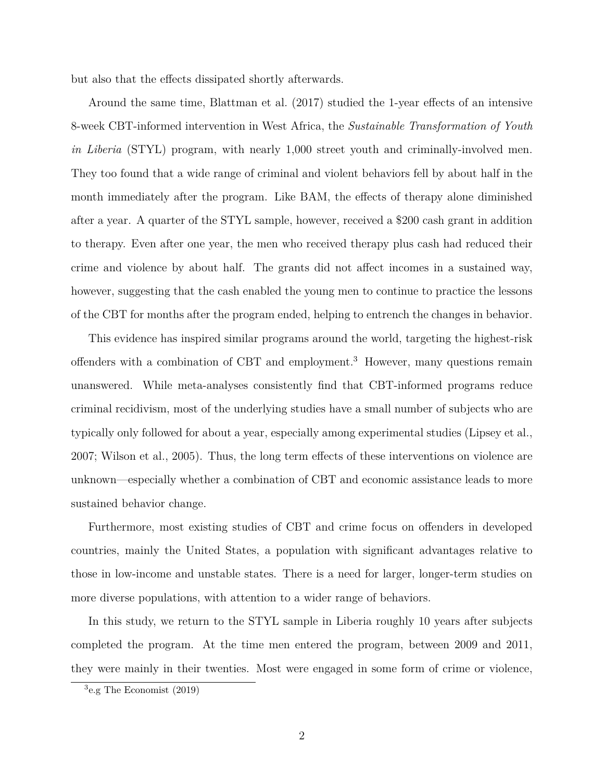but also that the effects dissipated shortly afterwards.

Around the same time, [Blattman et al.](#page-42-1) [\(2017\)](#page-42-1) studied the 1-year effects of an intensive 8-week CBT-informed intervention in West Africa, the *Sustainable Transformation of Youth in Liberia* (STYL) program, with nearly 1,000 street youth and criminally-involved men. They too found that a wide range of criminal and violent behaviors fell by about half in the month immediately after the program. Like BAM, the effects of therapy alone diminished after a year. A quarter of the STYL sample, however, received a \$200 cash grant in addition to therapy. Even after one year, the men who received therapy plus cash had reduced their crime and violence by about half. The grants did not affect incomes in a sustained way, however, suggesting that the cash enabled the young men to continue to practice the lessons of the CBT for months after the program ended, helping to entrench the changes in behavior.

This evidence has inspired similar programs around the world, targeting the highest-risk offenders with a combination of CBT and employment.<sup>[3](#page-3-0)</sup> However, many questions remain unanswered. While meta-analyses consistently find that CBT-informed programs reduce criminal recidivism, most of the underlying studies have a small number of subjects who are typically only followed for about a year, especially among experimental studies [\(Lipsey et al.,](#page-44-0) [2007;](#page-44-0) [Wilson et al., 2005\)](#page-45-0). Thus, the long term effects of these interventions on violence are unknown—especially whether a combination of CBT and economic assistance leads to more sustained behavior change.

Furthermore, most existing studies of CBT and crime focus on offenders in developed countries, mainly the United States, a population with significant advantages relative to those in low-income and unstable states. There is a need for larger, longer-term studies on more diverse populations, with attention to a wider range of behaviors.

In this study, we return to the STYL sample in Liberia roughly 10 years after subjects completed the program. At the time men entered the program, between 2009 and 2011, they were mainly in their twenties. Most were engaged in some form of crime or violence,

<span id="page-3-0"></span><sup>3</sup> e.g [The Economist](#page-44-1) [\(2019\)](#page-44-1)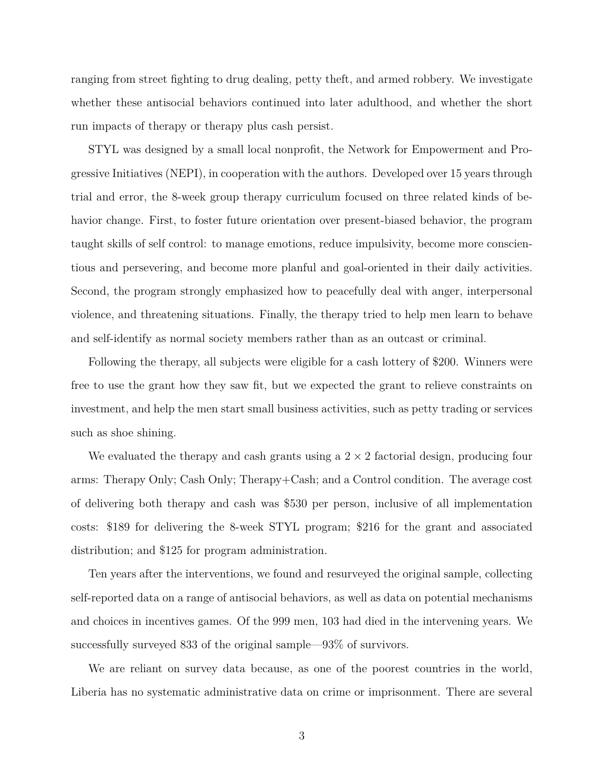ranging from street fighting to drug dealing, petty theft, and armed robbery. We investigate whether these antisocial behaviors continued into later adulthood, and whether the short run impacts of therapy or therapy plus cash persist.

STYL was designed by a small local nonprofit, the Network for Empowerment and Progressive Initiatives (NEPI), in cooperation with the authors. Developed over 15 years through trial and error, the 8-week group therapy curriculum focused on three related kinds of behavior change. First, to foster future orientation over present-biased behavior, the program taught skills of self control: to manage emotions, reduce impulsivity, become more conscientious and persevering, and become more planful and goal-oriented in their daily activities. Second, the program strongly emphasized how to peacefully deal with anger, interpersonal violence, and threatening situations. Finally, the therapy tried to help men learn to behave and self-identify as normal society members rather than as an outcast or criminal.

Following the therapy, all subjects were eligible for a cash lottery of \$200. Winners were free to use the grant how they saw fit, but we expected the grant to relieve constraints on investment, and help the men start small business activities, such as petty trading or services such as shoe shining.

We evaluated the therapy and cash grants using a  $2 \times 2$  factorial design, producing four arms: Therapy Only; Cash Only; Therapy+Cash; and a Control condition. The average cost of delivering both therapy and cash was \$530 per person, inclusive of all implementation costs: \$189 for delivering the 8-week STYL program; \$216 for the grant and associated distribution; and \$125 for program administration.

Ten years after the interventions, we found and resurveyed the original sample, collecting self-reported data on a range of antisocial behaviors, as well as data on potential mechanisms and choices in incentives games. Of the 999 men, 103 had died in the intervening years. We successfully surveyed 833 of the original sample—93% of survivors.

We are reliant on survey data because, as one of the poorest countries in the world, Liberia has no systematic administrative data on crime or imprisonment. There are several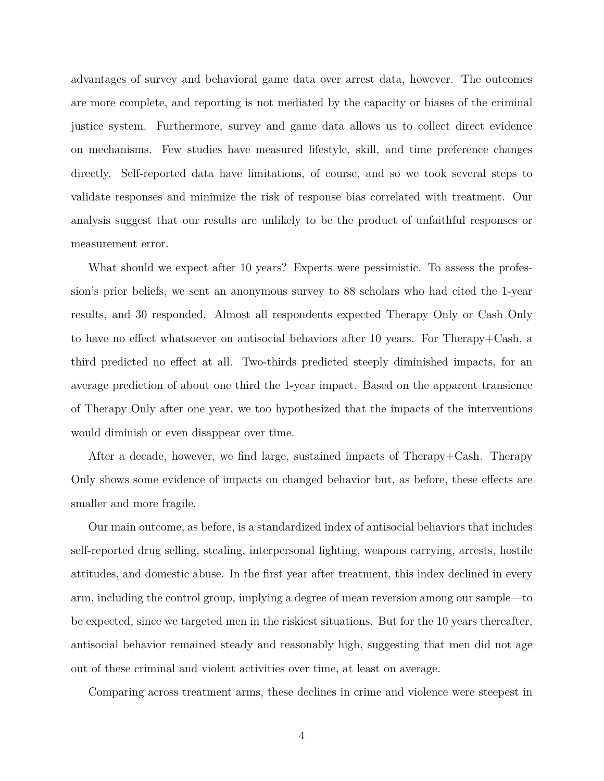advantages of survey and behavioral game data over arrest data, however. The outcomes are more complete, and reporting is not mediated by the capacity or biases of the criminal justice system. Furthermore, survey and game data allows us to collect direct evidence on mechanisms. Few studies have measured lifestyle, skill, and time preference changes directly. Self-reported data have limitations, of course, and so we took several steps to validate responses and minimize the risk of response bias correlated with treatment. Our analysis suggest that our results are unlikely to be the product of unfaithful responses or measurement error.

What should we expect after 10 years? Experts were pessimistic. To assess the profession's prior beliefs, we sent an anonymous survey to 88 scholars who had cited the 1-year results, and 30 responded. Almost all respondents expected Therapy Only or Cash Only to have no effect whatsoever on antisocial behaviors after 10 years. For Therapy+Cash, a third predicted no effect at all. Two-thirds predicted steeply diminished impacts, for an average prediction of about one third the 1-year impact. Based on the apparent transience of Therapy Only after one year, we too hypothesized that the impacts of the interventions would diminish or even disappear over time.

After a decade, however, we find large, sustained impacts of Therapy+Cash. Therapy Only shows some evidence of impacts on changed behavior but, as before, these effects are smaller and more fragile.

Our main outcome, as before, is a standardized index of antisocial behaviors that includes self-reported drug selling, stealing, interpersonal fighting, weapons carrying, arrests, hostile attitudes, and domestic abuse. In the first year after treatment, this index declined in every arm, including the control group, implying a degree of mean reversion among our sample—to be expected, since we targeted men in the riskiest situations. But for the 10 years thereafter, antisocial behavior remained steady and reasonably high, suggesting that men did not age out of these criminal and violent activities over time, at least on average.

Comparing across treatment arms, these declines in crime and violence were steepest in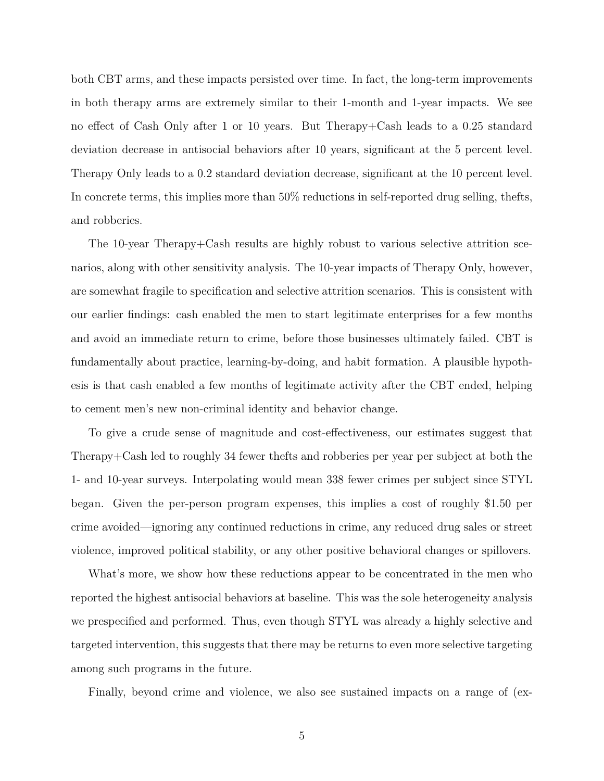both CBT arms, and these impacts persisted over time. In fact, the long-term improvements in both therapy arms are extremely similar to their 1-month and 1-year impacts. We see no effect of Cash Only after 1 or 10 years. But Therapy+Cash leads to a 0.25 standard deviation decrease in antisocial behaviors after 10 years, significant at the 5 percent level. Therapy Only leads to a 0.2 standard deviation decrease, significant at the 10 percent level. In concrete terms, this implies more than 50% reductions in self-reported drug selling, thefts, and robberies.

The 10-year Therapy+Cash results are highly robust to various selective attrition scenarios, along with other sensitivity analysis. The 10-year impacts of Therapy Only, however, are somewhat fragile to specification and selective attrition scenarios. This is consistent with our earlier findings: cash enabled the men to start legitimate enterprises for a few months and avoid an immediate return to crime, before those businesses ultimately failed. CBT is fundamentally about practice, learning-by-doing, and habit formation. A plausible hypothesis is that cash enabled a few months of legitimate activity after the CBT ended, helping to cement men's new non-criminal identity and behavior change.

To give a crude sense of magnitude and cost-effectiveness, our estimates suggest that Therapy+Cash led to roughly 34 fewer thefts and robberies per year per subject at both the 1- and 10-year surveys. Interpolating would mean 338 fewer crimes per subject since STYL began. Given the per-person program expenses, this implies a cost of roughly \$1.50 per crime avoided—ignoring any continued reductions in crime, any reduced drug sales or street violence, improved political stability, or any other positive behavioral changes or spillovers.

What's more, we show how these reductions appear to be concentrated in the men who reported the highest antisocial behaviors at baseline. This was the sole heterogeneity analysis we prespecified and performed. Thus, even though STYL was already a highly selective and targeted intervention, this suggests that there may be returns to even more selective targeting among such programs in the future.

Finally, beyond crime and violence, we also see sustained impacts on a range of (ex-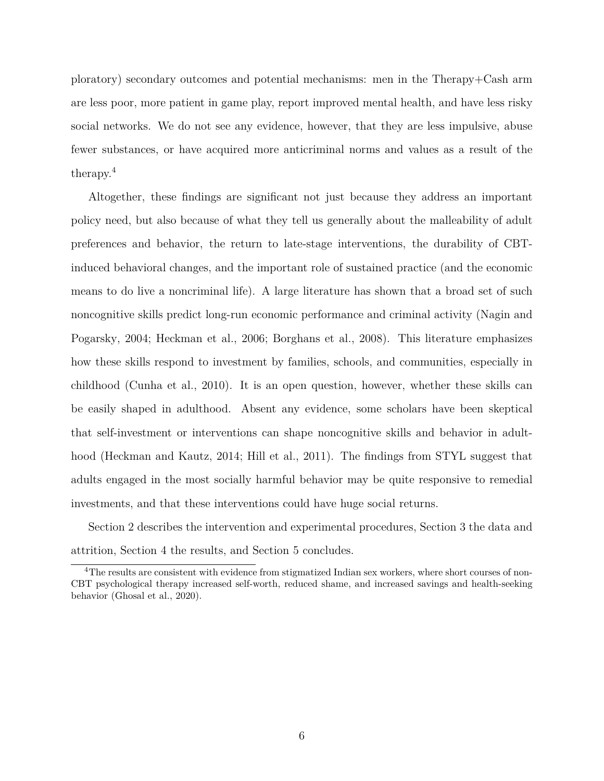ploratory) secondary outcomes and potential mechanisms: men in the Therapy+Cash arm are less poor, more patient in game play, report improved mental health, and have less risky social networks. We do not see any evidence, however, that they are less impulsive, abuse fewer substances, or have acquired more anticriminal norms and values as a result of the therapy.[4](#page-7-0)

Altogether, these findings are significant not just because they address an important policy need, but also because of what they tell us generally about the malleability of adult preferences and behavior, the return to late-stage interventions, the durability of CBTinduced behavioral changes, and the important role of sustained practice (and the economic means to do live a noncriminal life). A large literature has shown that a broad set of such noncognitive skills predict long-run economic performance and criminal activity [\(Nagin and](#page-44-2) [Pogarsky, 2004;](#page-44-2) [Heckman et al., 2006;](#page-43-3) [Borghans et al., 2008\)](#page-43-4). This literature emphasizes how these skills respond to investment by families, schools, and communities, especially in childhood [\(Cunha et al., 2010\)](#page-43-5). It is an open question, however, whether these skills can be easily shaped in adulthood. Absent any evidence, some scholars have been skeptical that self-investment or interventions can shape noncognitive skills and behavior in adulthood [\(Heckman and Kautz, 2014;](#page-43-6) [Hill et al., 2011\)](#page-44-3). The findings from STYL suggest that adults engaged in the most socially harmful behavior may be quite responsive to remedial investments, and that these interventions could have huge social returns.

Section 2 describes the intervention and experimental procedures, Section 3 the data and attrition, Section 4 the results, and Section 5 concludes.

<span id="page-7-0"></span><sup>&</sup>lt;sup>4</sup>The results are consistent with evidence from stigmatized Indian sex workers, where short courses of non-CBT psychological therapy increased self-worth, reduced shame, and increased savings and health-seeking behavior [\(Ghosal et al., 2020\)](#page-43-7).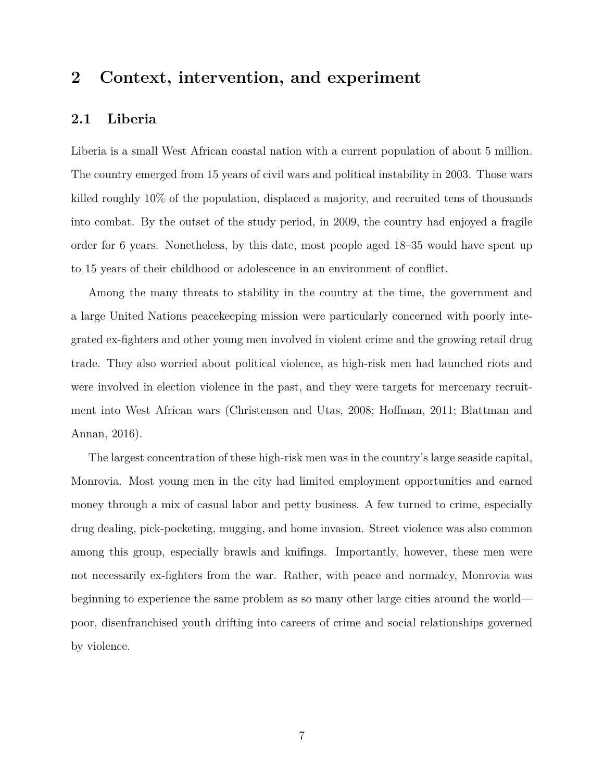## **2 Context, intervention, and experiment**

#### **2.1 Liberia**

Liberia is a small West African coastal nation with a current population of about 5 million. The country emerged from 15 years of civil wars and political instability in 2003. Those wars killed roughly 10% of the population, displaced a majority, and recruited tens of thousands into combat. By the outset of the study period, in 2009, the country had enjoyed a fragile order for 6 years. Nonetheless, by this date, most people aged 18–35 would have spent up to 15 years of their childhood or adolescence in an environment of conflict.

Among the many threats to stability in the country at the time, the government and a large United Nations peacekeeping mission were particularly concerned with poorly integrated ex-fighters and other young men involved in violent crime and the growing retail drug trade. They also worried about political violence, as high-risk men had launched riots and were involved in election violence in the past, and they were targets for mercenary recruitment into West African wars [\(Christensen and Utas, 2008;](#page-43-8) [Hoffman, 2011;](#page-44-4) [Blattman and](#page-42-2) [Annan, 2016\)](#page-42-2).

The largest concentration of these high-risk men was in the country's large seaside capital, Monrovia. Most young men in the city had limited employment opportunities and earned money through a mix of casual labor and petty business. A few turned to crime, especially drug dealing, pick-pocketing, mugging, and home invasion. Street violence was also common among this group, especially brawls and knifings. Importantly, however, these men were not necessarily ex-fighters from the war. Rather, with peace and normalcy, Monrovia was beginning to experience the same problem as so many other large cities around the world poor, disenfranchised youth drifting into careers of crime and social relationships governed by violence.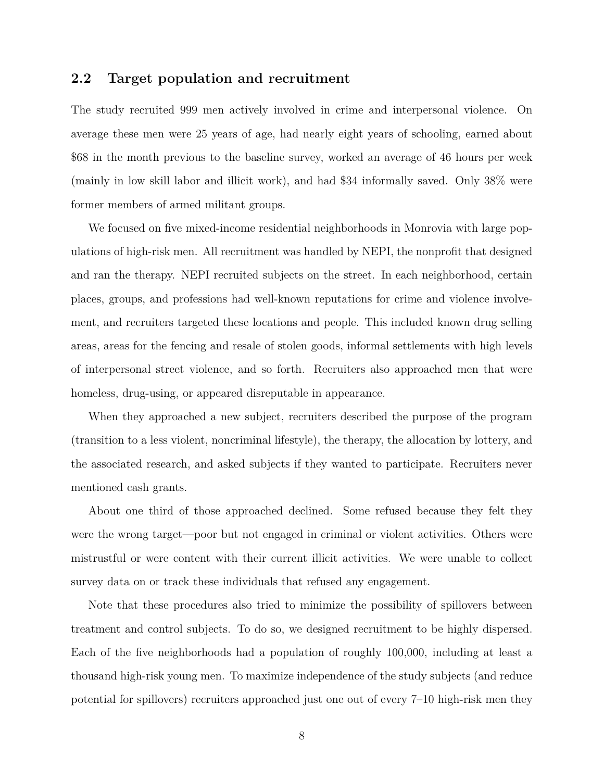#### **2.2 Target population and recruitment**

The study recruited 999 men actively involved in crime and interpersonal violence. On average these men were 25 years of age, had nearly eight years of schooling, earned about \$68 in the month previous to the baseline survey, worked an average of 46 hours per week (mainly in low skill labor and illicit work), and had \$34 informally saved. Only 38% were former members of armed militant groups.

We focused on five mixed-income residential neighborhoods in Monrovia with large populations of high-risk men. All recruitment was handled by NEPI, the nonprofit that designed and ran the therapy. NEPI recruited subjects on the street. In each neighborhood, certain places, groups, and professions had well-known reputations for crime and violence involvement, and recruiters targeted these locations and people. This included known drug selling areas, areas for the fencing and resale of stolen goods, informal settlements with high levels of interpersonal street violence, and so forth. Recruiters also approached men that were homeless, drug-using, or appeared disreputable in appearance.

When they approached a new subject, recruiters described the purpose of the program (transition to a less violent, noncriminal lifestyle), the therapy, the allocation by lottery, and the associated research, and asked subjects if they wanted to participate. Recruiters never mentioned cash grants.

About one third of those approached declined. Some refused because they felt they were the wrong target—poor but not engaged in criminal or violent activities. Others were mistrustful or were content with their current illicit activities. We were unable to collect survey data on or track these individuals that refused any engagement.

Note that these procedures also tried to minimize the possibility of spillovers between treatment and control subjects. To do so, we designed recruitment to be highly dispersed. Each of the five neighborhoods had a population of roughly 100,000, including at least a thousand high-risk young men. To maximize independence of the study subjects (and reduce potential for spillovers) recruiters approached just one out of every 7–10 high-risk men they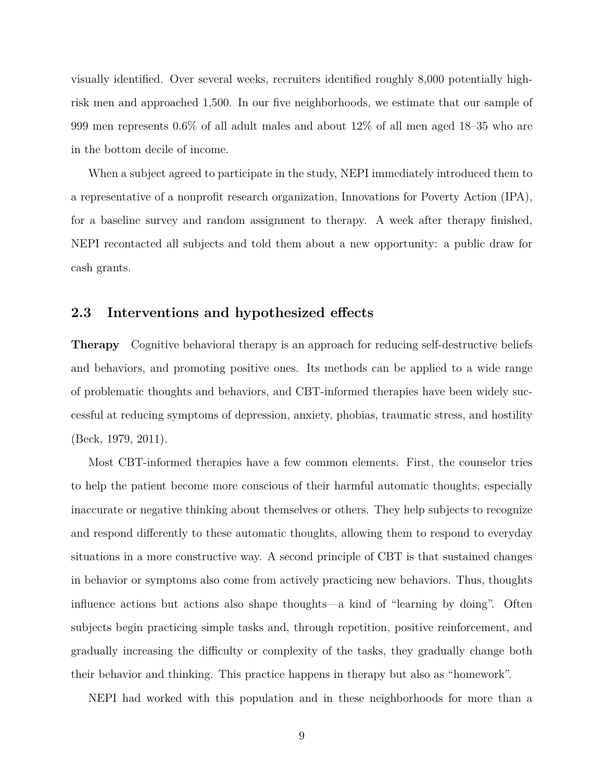visually identified. Over several weeks, recruiters identified roughly 8,000 potentially highrisk men and approached 1,500. In our five neighborhoods, we estimate that our sample of 999 men represents 0.6% of all adult males and about 12% of all men aged 18–35 who are in the bottom decile of income.

When a subject agreed to participate in the study, NEPI immediately introduced them to a representative of a nonprofit research organization, Innovations for Poverty Action (IPA), for a baseline survey and random assignment to therapy. A week after therapy finished, NEPI recontacted all subjects and told them about a new opportunity: a public draw for cash grants.

#### **2.3 Interventions and hypothesized effects**

**Therapy** Cognitive behavioral therapy is an approach for reducing self-destructive beliefs and behaviors, and promoting positive ones. Its methods can be applied to a wide range of problematic thoughts and behaviors, and CBT-informed therapies have been widely successful at reducing symptoms of depression, anxiety, phobias, traumatic stress, and hostility [\(Beck, 1979,](#page-42-3) [2011\)](#page-42-4).

Most CBT-informed therapies have a few common elements. First, the counselor tries to help the patient become more conscious of their harmful automatic thoughts, especially inaccurate or negative thinking about themselves or others. They help subjects to recognize and respond differently to these automatic thoughts, allowing them to respond to everyday situations in a more constructive way. A second principle of CBT is that sustained changes in behavior or symptoms also come from actively practicing new behaviors. Thus, thoughts influence actions but actions also shape thoughts—a kind of "learning by doing". Often subjects begin practicing simple tasks and, through repetition, positive reinforcement, and gradually increasing the difficulty or complexity of the tasks, they gradually change both their behavior and thinking. This practice happens in therapy but also as "homework".

NEPI had worked with this population and in these neighborhoods for more than a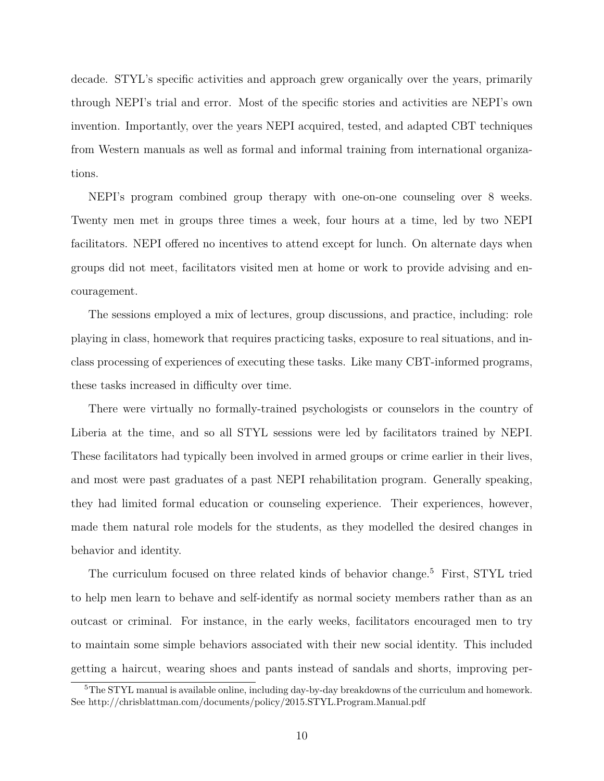decade. STYL's specific activities and approach grew organically over the years, primarily through NEPI's trial and error. Most of the specific stories and activities are NEPI's own invention. Importantly, over the years NEPI acquired, tested, and adapted CBT techniques from Western manuals as well as formal and informal training from international organizations.

NEPI's program combined group therapy with one-on-one counseling over 8 weeks. Twenty men met in groups three times a week, four hours at a time, led by two NEPI facilitators. NEPI offered no incentives to attend except for lunch. On alternate days when groups did not meet, facilitators visited men at home or work to provide advising and encouragement.

The sessions employed a mix of lectures, group discussions, and practice, including: role playing in class, homework that requires practicing tasks, exposure to real situations, and inclass processing of experiences of executing these tasks. Like many CBT-informed programs, these tasks increased in difficulty over time.

There were virtually no formally-trained psychologists or counselors in the country of Liberia at the time, and so all STYL sessions were led by facilitators trained by NEPI. These facilitators had typically been involved in armed groups or crime earlier in their lives, and most were past graduates of a past NEPI rehabilitation program. Generally speaking, they had limited formal education or counseling experience. Their experiences, however, made them natural role models for the students, as they modelled the desired changes in behavior and identity.

The curriculum focused on three related kinds of behavior change.<sup>[5](#page-11-0)</sup> First, STYL tried to help men learn to behave and self-identify as normal society members rather than as an outcast or criminal. For instance, in the early weeks, facilitators encouraged men to try to maintain some simple behaviors associated with their new social identity. This included getting a haircut, wearing shoes and pants instead of sandals and shorts, improving per-

<span id="page-11-0"></span><sup>&</sup>lt;sup>5</sup>The STYL manual is available online, including day-by-day breakdowns of the curriculum and homework. See [http://chrisblattman.com/documents/policy/2015.STYL.Program.Manual.pdf](#page-0-0)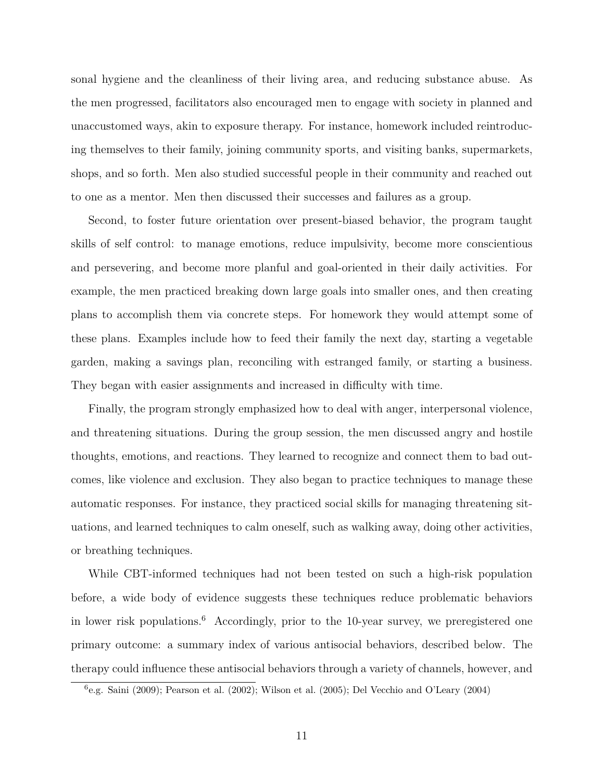sonal hygiene and the cleanliness of their living area, and reducing substance abuse. As the men progressed, facilitators also encouraged men to engage with society in planned and unaccustomed ways, akin to exposure therapy. For instance, homework included reintroducing themselves to their family, joining community sports, and visiting banks, supermarkets, shops, and so forth. Men also studied successful people in their community and reached out to one as a mentor. Men then discussed their successes and failures as a group.

Second, to foster future orientation over present-biased behavior, the program taught skills of self control: to manage emotions, reduce impulsivity, become more conscientious and persevering, and become more planful and goal-oriented in their daily activities. For example, the men practiced breaking down large goals into smaller ones, and then creating plans to accomplish them via concrete steps. For homework they would attempt some of these plans. Examples include how to feed their family the next day, starting a vegetable garden, making a savings plan, reconciling with estranged family, or starting a business. They began with easier assignments and increased in difficulty with time.

Finally, the program strongly emphasized how to deal with anger, interpersonal violence, and threatening situations. During the group session, the men discussed angry and hostile thoughts, emotions, and reactions. They learned to recognize and connect them to bad outcomes, like violence and exclusion. They also began to practice techniques to manage these automatic responses. For instance, they practiced social skills for managing threatening situations, and learned techniques to calm oneself, such as walking away, doing other activities, or breathing techniques.

While CBT-informed techniques had not been tested on such a high-risk population before, a wide body of evidence suggests these techniques reduce problematic behaviors in lower risk populations.<sup>[6](#page-12-0)</sup> Accordingly, prior to the 10-year survey, we preregistered one primary outcome: a summary index of various antisocial behaviors, described below. The therapy could influence these antisocial behaviors through a variety of channels, however, and

<span id="page-12-0"></span><sup>6</sup> e.g. [Saini](#page-44-5) [\(2009\)](#page-44-5); [Pearson et al.](#page-44-6) [\(2002\)](#page-44-6); [Wilson et al.](#page-45-0) [\(2005\)](#page-45-0); [Del Vecchio and O'Leary](#page-43-9) [\(2004\)](#page-43-9)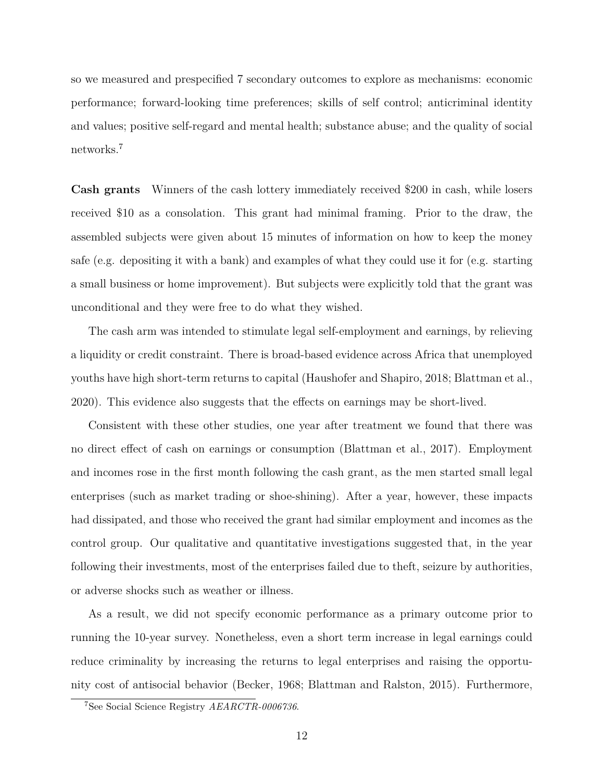so we measured and prespecified 7 secondary outcomes to explore as mechanisms: economic performance; forward-looking time preferences; skills of self control; anticriminal identity and values; positive self-regard and mental health; substance abuse; and the quality of social networks.[7](#page-13-0)

**Cash grants** Winners of the cash lottery immediately received \$200 in cash, while losers received \$10 as a consolation. This grant had minimal framing. Prior to the draw, the assembled subjects were given about 15 minutes of information on how to keep the money safe (e.g. depositing it with a bank) and examples of what they could use it for (e.g. starting a small business or home improvement). But subjects were explicitly told that the grant was unconditional and they were free to do what they wished.

The cash arm was intended to stimulate legal self-employment and earnings, by relieving a liquidity or credit constraint. There is broad-based evidence across Africa that unemployed youths have high short-term returns to capital [\(Haushofer and Shapiro, 2018;](#page-43-10) [Blattman et al.,](#page-42-5) [2020\)](#page-42-5). This evidence also suggests that the effects on earnings may be short-lived.

Consistent with these other studies, one year after treatment we found that there was no direct effect of cash on earnings or consumption [\(Blattman et al., 2017\)](#page-42-1). Employment and incomes rose in the first month following the cash grant, as the men started small legal enterprises (such as market trading or shoe-shining). After a year, however, these impacts had dissipated, and those who received the grant had similar employment and incomes as the control group. Our qualitative and quantitative investigations suggested that, in the year following their investments, most of the enterprises failed due to theft, seizure by authorities, or adverse shocks such as weather or illness.

As a result, we did not specify economic performance as a primary outcome prior to running the 10-year survey. Nonetheless, even a short term increase in legal earnings could reduce criminality by increasing the returns to legal enterprises and raising the opportunity cost of antisocial behavior [\(Becker, 1968;](#page-42-6) [Blattman and Ralston, 2015\)](#page-42-7). Furthermore,

<span id="page-13-0"></span><sup>7</sup>See Social Science Registry *[AEARCTR-0006736](https://www.socialscienceregistry.org/trials/6736)*.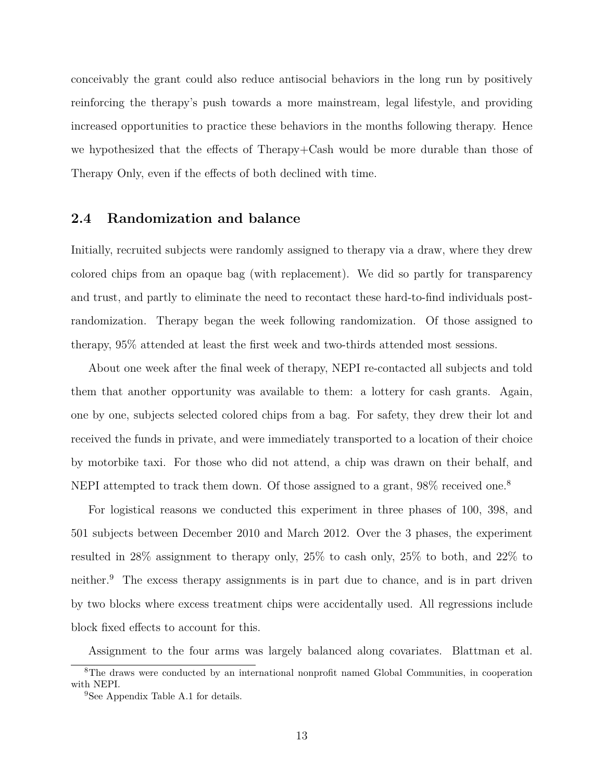conceivably the grant could also reduce antisocial behaviors in the long run by positively reinforcing the therapy's push towards a more mainstream, legal lifestyle, and providing increased opportunities to practice these behaviors in the months following therapy. Hence we hypothesized that the effects of Therapy+Cash would be more durable than those of Therapy Only, even if the effects of both declined with time.

#### **2.4 Randomization and balance**

Initially, recruited subjects were randomly assigned to therapy via a draw, where they drew colored chips from an opaque bag (with replacement). We did so partly for transparency and trust, and partly to eliminate the need to recontact these hard-to-find individuals postrandomization. Therapy began the week following randomization. Of those assigned to therapy, 95% attended at least the first week and two-thirds attended most sessions.

About one week after the final week of therapy, NEPI re-contacted all subjects and told them that another opportunity was available to them: a lottery for cash grants. Again, one by one, subjects selected colored chips from a bag. For safety, they drew their lot and received the funds in private, and were immediately transported to a location of their choice by motorbike taxi. For those who did not attend, a chip was drawn on their behalf, and NEPI attempted to track them down. Of those assigned to a grant, 9[8](#page-14-0)% received one.<sup>8</sup>

For logistical reasons we conducted this experiment in three phases of 100, 398, and 501 subjects between December 2010 and March 2012. Over the 3 phases, the experiment resulted in 28% assignment to therapy only, 25% to cash only, 25% to both, and 22% to neither.[9](#page-14-1) The excess therapy assignments is in part due to chance, and is in part driven by two blocks where excess treatment chips were accidentally used. All regressions include block fixed effects to account for this.

Assignment to the four arms was largely balanced along covariates. [Blattman et al.](#page-42-1)

<span id="page-14-0"></span><sup>&</sup>lt;sup>8</sup>The draws were conducted by an international nonprofit named Global Communities, in cooperation with NEPI.

<span id="page-14-1"></span><sup>&</sup>lt;sup>9</sup>See Appendix Table [A.1](#page-46-0) for details.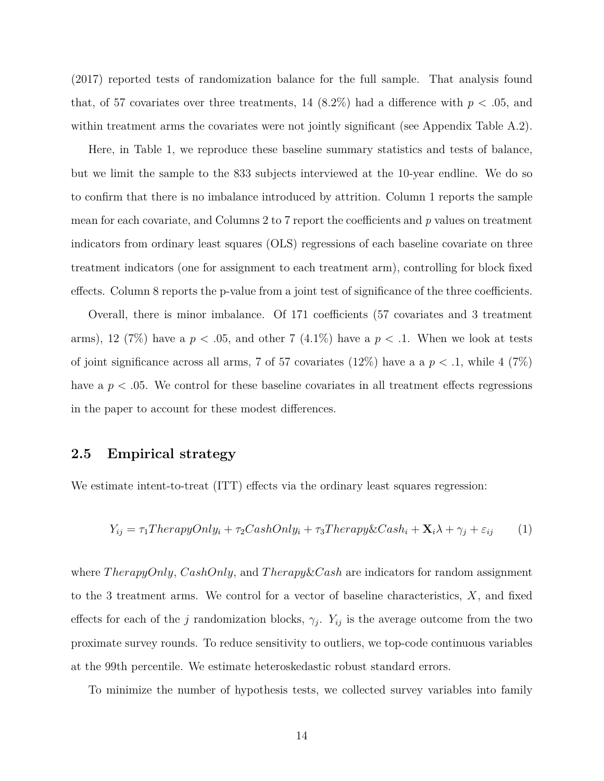[\(2017\)](#page-42-1) reported tests of randomization balance for the full sample. That analysis found that, of 57 covariates over three treatments, 14  $(8.2\%)$  had a difference with  $p < .05$ , and within treatment arms the covariates were not jointly significant (see Appendix Table [A.2\)](#page-47-0).

Here, in Table [1,](#page-16-0) we reproduce these baseline summary statistics and tests of balance, but we limit the sample to the 833 subjects interviewed at the 10-year endline. We do so to confirm that there is no imbalance introduced by attrition. Column 1 reports the sample mean for each covariate, and Columns 2 to 7 report the coefficients and *p* values on treatment indicators from ordinary least squares (OLS) regressions of each baseline covariate on three treatment indicators (one for assignment to each treatment arm), controlling for block fixed effects. Column 8 reports the p-value from a joint test of significance of the three coefficients.

Overall, there is minor imbalance. Of 171 coefficients (57 covariates and 3 treatment arms), 12 (7%) have a  $p < .05$ , and other 7 (4.1%) have a  $p < .1$ . When we look at tests of joint significance across all arms, 7 of 57 covariates  $(12\%)$  have a a  $p < 0.1$ , while 4  $(7\%)$ have a  $p < .05$ . We control for these baseline covariates in all treatment effects regressions in the paper to account for these modest differences.

#### **2.5 Empirical strategy**

We estimate intent-to-treat (ITT) effects via the ordinary least squares regression:

<span id="page-15-0"></span>
$$
Y_{ij} = \tau_1 The ray Only_i + \tau_2 CashOnly_i + \tau_3 The ray \& Cash_i + \mathbf{X}_i \lambda + \gamma_j + \varepsilon_{ij} \tag{1}
$$

where *T herapyOnly*, *CashOnly*, and *T herapy*&*Cash* are indicators for random assignment to the 3 treatment arms. We control for a vector of baseline characteristics, *X*, and fixed effects for each of the *j* randomization blocks,  $\gamma_j$ .  $Y_{ij}$  is the average outcome from the two proximate survey rounds. To reduce sensitivity to outliers, we top-code continuous variables at the 99th percentile. We estimate heteroskedastic robust standard errors.

To minimize the number of hypothesis tests, we collected survey variables into family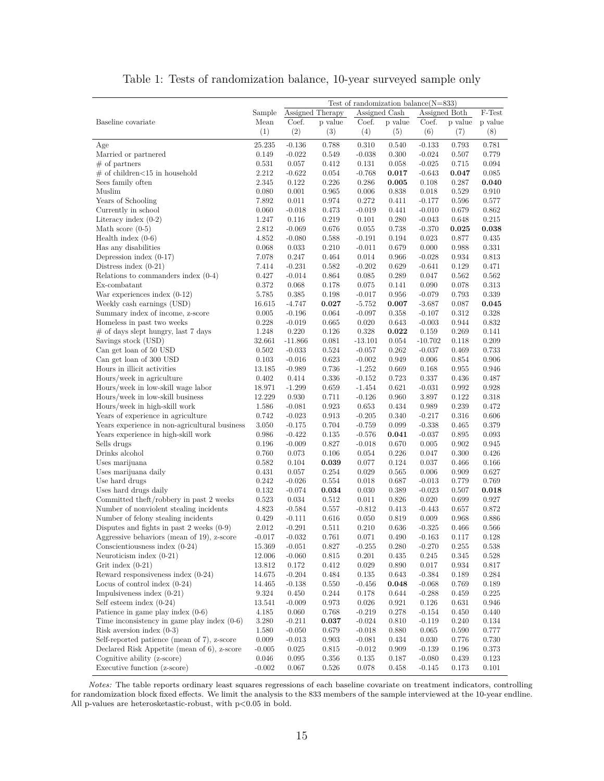<span id="page-16-0"></span>

|                                               | Test of randomization balance $(N=833)$ |                |                     |                |                |                |                |                |  |
|-----------------------------------------------|-----------------------------------------|----------------|---------------------|----------------|----------------|----------------|----------------|----------------|--|
|                                               | Sample                                  |                | Assigned Therapy    |                | Assigned Cash  | Assigned Both  |                | F-Test         |  |
| Baseline covariate                            | Mean                                    | Coef.          | $\, {\bf p}$ value  | Coef.          | p value        | Coef.          | p value        | p value        |  |
|                                               | (1)                                     | (2)            | (3)                 | (4)            | (5)            | (6)            | (7)            | (8)            |  |
| Age                                           | 25.235                                  | $-0.136$       | 0.788               | 0.310          | 0.540          | $-0.133$       | 0.793          | 0.781          |  |
| Married or partnered                          | 0.149                                   | $-0.022$       | 0.549               | $-0.038$       | 0.300          | $-0.024$       | 0.507          | 0.779          |  |
| $#$ of partners                               | 0.531                                   | 0.057          | 0.412               | 0.131          | 0.058          | $-0.025$       | 0.715          | 0.094          |  |
| $#$ of children $<$ 15 in household           | 2.212                                   | $-0.622$       | 0.054               | $-0.768$       | 0.017          | $-0.643$       | 0.047          | 0.085          |  |
| Sees family often                             | 2.345                                   | 0.122          | 0.226               | 0.286          | 0.005          | 0.108          | 0.287          | 0.040          |  |
| Muslim                                        | 0.080                                   | 0.001          | 0.965               | 0.006          | 0.838          | 0.018          | 0.529          | 0.910          |  |
| Years of Schooling                            | 7.892                                   | 0.011          | 0.974               | 0.272          | 0.411          | $-0.177$       | 0.596          | 0.577          |  |
| Currently in school                           | 0.060                                   | $-0.018$       | 0.473               | $-0.019$       | 0.441          | $-0.010$       | 0.679          | 0.862          |  |
| Literacy index $(0-2)$                        | 1.247                                   | 0.116          | 0.219               | 0.101          | 0.280          | $-0.043$       | 0.648          | 0.215          |  |
| Math score $(0-5)$                            | 2.812                                   | $-0.069$       | 0.676               | 0.055          | 0.738          | $-0.370$       | $_{0.025}$     | 0.038          |  |
| Health index $(0-6)$                          | 4.852                                   | $-0.080$       | 0.588               | $-0.191$       | 0.194          | 0.023          | 0.877          | 0.435          |  |
| Has any disabilities                          | 0.068                                   | 0.033          | 0.210               | $-0.011$       | 0.679          | 0.000          | 0.988          | 0.331          |  |
| Depression index $(0-17)$                     | 7.078                                   | 0.247          | 0.464               | 0.014          | 0.966          | $-0.028$       | 0.934          | 0.813          |  |
| Distress index $(0-21)$                       | 7.414                                   | $-0.231$       | 0.582               | $-0.202$       | 0.629          | $-0.641$       | 0.129          | 0.471          |  |
| Relations to commanders index $(0-4)$         | 0.427                                   | $-0.014$       | 0.864               | 0.085          | 0.289          | 0.047          | 0.562          | 0.562          |  |
| Ex-combatant                                  | 0.372                                   | 0.068          | 0.178               | 0.075          | 0.141          | 0.090          | 0.078          | 0.313          |  |
| War experiences index $(0-12)$                | 5.785                                   | 0.385          | 0.198               | $-0.017$       | 0.956          | $-0.079$       | 0.793          | 0.339          |  |
| Weekly cash earnings (USD)                    | 16.615                                  | $-4.747$       | 0.027               | $-5.752$       | $_{0.007}$     | $-3.687$       | 0.087          | 0.045          |  |
| Summary index of income, z-score              | 0.005                                   | $-0.196$       | 0.064               | $-0.097$       | 0.358          | $-0.107$       | 0.312          | 0.328          |  |
| Homeless in past two weeks                    | 0.228                                   | $-0.019$       | 0.665               | 0.020          | 0.643          | $-0.003$       | 0.944          | 0.832          |  |
| $#$ of days slept hungry, last 7 days         | 1.248                                   | 0.220          | 0.126               | 0.328          | $_{0.022}$     | 0.159          | 0.269          | 0.141          |  |
| Savings stock (USD)                           | 32.661                                  | $-11.866$      | 0.081               | $-13.101$      | 0.054          | $-10.702$      | 0.118          | 0.209          |  |
| Can get loan of 50 USD                        | 0.502                                   | $-0.033$       | 0.524               | $-0.057$       | 0.262          | $-0.037$       | 0.469          | 0.733          |  |
| Can get loan of 300 USD                       | 0.103                                   | $-0.016$       | 0.623               | $-0.002$       | 0.949          | 0.006          | 0.854          | 0.906          |  |
| Hours in illicit activities                   | 13.185                                  | $-0.989$       | 0.736               | $-1.252$       | 0.669          | 0.168          | 0.955          | 0.946          |  |
| Hours/week in agriculture                     | 0.402                                   | 0.414          | 0.336               | $-0.152$       | 0.723          | 0.337          | 0.436          | 0.487          |  |
| Hours/week in low-skill wage labor            | 18.971                                  | $-1.299$       | 0.659               | $-1.454$       | 0.621          | $-0.031$       | 0.992          | 0.928          |  |
| Hours/week in low-skill business              | 12.229                                  | 0.930          | 0.711               | $-0.126$       | 0.960          | 3.897          | 0.122          | 0.318          |  |
| Hours/week in high-skill work                 | 1.586                                   | $-0.081$       | 0.923               | 0.653          | 0.434          | 0.989          | 0.239          | 0.472          |  |
| Years of experience in agriculture            | 0.742                                   | $-0.023$       | 0.913               | $-0.205$       | 0.340          | $-0.217$       | 0.316          | 0.606          |  |
| Years experience in non-agricultural business | 3.050                                   | $-0.175$       | 0.704               | $-0.759$       | 0.099          | $-0.338$       | 0.465          | 0.379          |  |
| Years experience in high-skill work           | 0.986                                   | $-0.422$       | 0.135               | $-0.576$       | 0.041          | $-0.037$       | 0.895          | 0.093          |  |
| Sells drugs                                   | 0.196                                   | $-0.009$       | 0.827               | $-0.018$       | 0.670          | 0.005          | 0.902          | 0.945          |  |
| Drinks alcohol                                | 0.760                                   | 0.073          | 0.106               | 0.054          | 0.226          | 0.047          | 0.300          | 0.426          |  |
| Uses marijuana                                | 0.582<br>0.431                          | 0.104<br>0.057 | $_{0.039}$<br>0.254 | 0.077<br>0.029 | 0.124<br>0.565 | 0.037<br>0.006 | 0.466<br>0.909 | 0.166<br>0.627 |  |
| Uses marijuana daily<br>Use hard drugs        | 0.242                                   | $-0.026$       | 0.554               | 0.018          | 0.687          | $-0.013$       | 0.779          | 0.769          |  |
| Uses hard drugs daily                         | 0.132                                   | $-0.074$       | 0.034               | 0.030          | 0.389          | $-0.023$       | 0.507          | $_{0.018}$     |  |
| Committed theft/robbery in past 2 weeks       | 0.523                                   | 0.034          | 0.512               | 0.011          | 0.826          | 0.020          | 0.699          | 0.927          |  |
| Number of nonviolent stealing incidents       | 4.823                                   | $-0.584$       | 0.557               | $-0.812$       | 0.413          | $-0.443$       | 0.657          | 0.872          |  |
| Number of felony stealing incidents           | 0.429                                   | $-0.111$       | 0.616               | 0.050          | 0.819          | 0.009          | 0.968          | 0.886          |  |
| Disputes and fights in past 2 weeks $(0-9)$   | 2.012                                   | $-0.291$       | 0.511               | 0.210          | 0.636          | $-0.325$       | 0.466          | 0.566          |  |
| Aggressive behaviors (mean of 19), z-score    | -0.017                                  | $-0.032$       | 0.761               | 0.071          | 0.490          | $-0.163$       | 0.117          | 0.128          |  |
| Conscientiousness index $(0-24)$              | 15.369                                  | $-0.051$       | 0.827               | $-0.255$       | 0.280          | $-0.270$       | 0.255          | 0.538          |  |
| Neuroticism index $(0-21)$                    | 12.006                                  | $-0.060$       | 0.815               | 0.201          | 0.435          | 0.245          | 0.345          | 0.528          |  |
| Grit index $(0-21)$                           | 13.812                                  | 0.172          | 0.412               | 0.029          | 0.890          | 0.017          | 0.934          | 0.817          |  |
| Reward responsiveness index $(0-24)$          | 14.675                                  | $-0.204$       | 0.484               | 0.135          | 0.643          | $-0.384$       | 0.189          | 0.284          |  |
| Locus of control index $(0-24)$               | 14.465                                  | $-0.138$       | 0.550               | $-0.456$       | 0.048          | $-0.068$       | 0.769          | 0.189          |  |
| Impulsiveness index $(0-21)$                  | 9.324                                   | 0.450          | 0.244               | 0.178          | 0.644          | $-0.288$       | 0.459          | 0.225          |  |
| Self esteem index $(0-24)$                    | 13.541                                  | $-0.009$       | 0.973               | 0.026          | 0.921          | 0.126          | 0.631          | 0.946          |  |
| Patience in game play index $(0-6)$           | 4.185                                   | 0.060          | 0.768               | $-0.219$       | 0.278          | $-0.154$       | 0.450          | 0.440          |  |
| Time inconsistency in game play index $(0-6)$ | 3.280                                   | $-0.211$       | 0.037               | $-0.024$       | 0.810          | $-0.119$       | 0.240          | 0.134          |  |
| Risk aversion index $(0-3)$                   | 1.580                                   | $-0.050$       | 0.679               | $-0.018$       | 0.880          | 0.065          | 0.590          | 0.777          |  |
| Self-reported patience (mean of 7), z-score   | 0.009                                   | $-0.013$       | 0.903               | $-0.081$       | 0.434          | 0.030          | 0.776          | 0.730          |  |
| Declared Risk Appetite (mean of 6), z-score   | $-0.005$                                | 0.025          | 0.815               | $-0.012$       | 0.909          | $-0.139$       | 0.196          | 0.373          |  |
| Cognitive ability (z-score)                   | 0.046                                   | 0.095          | 0.356               | 0.135          | 0.187          | $-0.080$       | 0.439          | 0.123          |  |
| Executive function (z-score)                  | $-0.002$                                | 0.067          | 0.526               | 0.078          | 0.458          | $-0.145$       | 0.173          | 0.101          |  |

Table 1: Tests of randomization balance, 10-year surveyed sample only

*Notes:* The table reports ordinary least squares regressions of each baseline covariate on treatment indicators, controlling for randomization block fixed effects. We limit the analysis to the 833 members of the sample interviewed at the 10-year endline. All p-values are heterosketastic-robust, with p<0.05 in bold.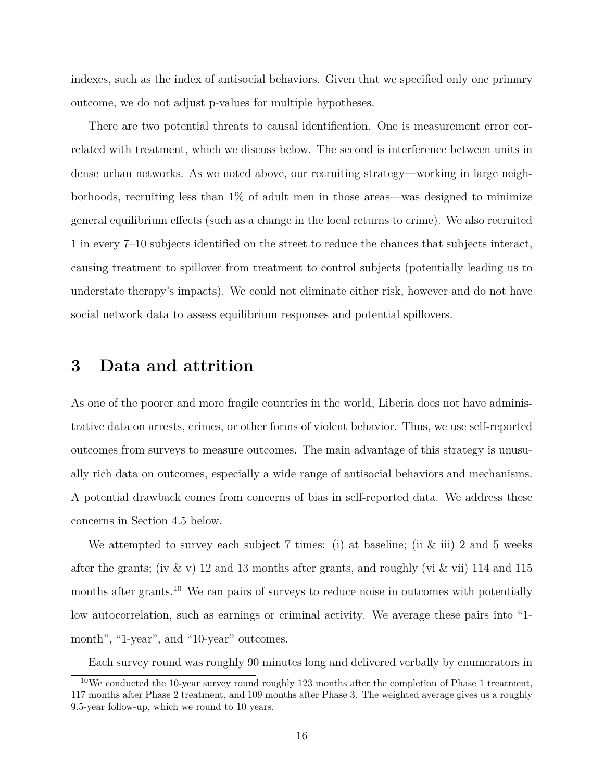indexes, such as the index of antisocial behaviors. Given that we specified only one primary outcome, we do not adjust p-values for multiple hypotheses.

There are two potential threats to causal identification. One is measurement error correlated with treatment, which we discuss below. The second is interference between units in dense urban networks. As we noted above, our recruiting strategy—working in large neighborhoods, recruiting less than 1% of adult men in those areas—was designed to minimize general equilibrium effects (such as a change in the local returns to crime). We also recruited 1 in every 7–10 subjects identified on the street to reduce the chances that subjects interact, causing treatment to spillover from treatment to control subjects (potentially leading us to understate therapy's impacts). We could not eliminate either risk, however and do not have social network data to assess equilibrium responses and potential spillovers.

## **3 Data and attrition**

As one of the poorer and more fragile countries in the world, Liberia does not have administrative data on arrests, crimes, or other forms of violent behavior. Thus, we use self-reported outcomes from surveys to measure outcomes. The main advantage of this strategy is unusually rich data on outcomes, especially a wide range of antisocial behaviors and mechanisms. A potential drawback comes from concerns of bias in self-reported data. We address these concerns in Section [4.5](#page-33-0) below.

We attempted to survey each subject 7 times: (i) at baseline; (ii & iii) 2 and 5 weeks after the grants; (iv & v) 12 and 13 months after grants, and roughly (vi & vii) 114 and 115 months after grants.<sup>[10](#page-17-0)</sup> We ran pairs of surveys to reduce noise in outcomes with potentially low autocorrelation, such as earnings or criminal activity. We average these pairs into "1 month", "1-year", and "10-year" outcomes.

<span id="page-17-0"></span>Each survey round was roughly 90 minutes long and delivered verbally by enumerators in

 $10$ We conducted the 10-year survey round roughly 123 months after the completion of Phase 1 treatment, 117 months after Phase 2 treatment, and 109 months after Phase 3. The weighted average gives us a roughly 9.5-year follow-up, which we round to 10 years.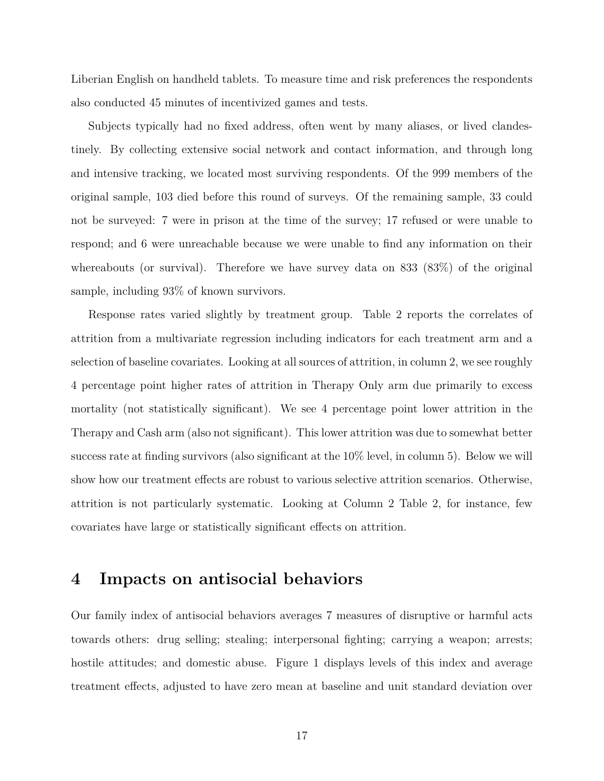Liberian English on handheld tablets. To measure time and risk preferences the respondents also conducted 45 minutes of incentivized games and tests.

Subjects typically had no fixed address, often went by many aliases, or lived clandestinely. By collecting extensive social network and contact information, and through long and intensive tracking, we located most surviving respondents. Of the 999 members of the original sample, 103 died before this round of surveys. Of the remaining sample, 33 could not be surveyed: 7 were in prison at the time of the survey; 17 refused or were unable to respond; and 6 were unreachable because we were unable to find any information on their whereabouts (or survival). Therefore we have survey data on 833 (83%) of the original sample, including 93% of known survivors.

Response rates varied slightly by treatment group. Table [2](#page-19-0) reports the correlates of attrition from a multivariate regression including indicators for each treatment arm and a selection of baseline covariates. Looking at all sources of attrition, in column 2, we see roughly 4 percentage point higher rates of attrition in Therapy Only arm due primarily to excess mortality (not statistically significant). We see 4 percentage point lower attrition in the Therapy and Cash arm (also not significant). This lower attrition was due to somewhat better success rate at finding survivors (also significant at the 10% level, in column 5). Below we will show how our treatment effects are robust to various selective attrition scenarios. Otherwise, attrition is not particularly systematic. Looking at Column 2 Table [2,](#page-19-0) for instance, few covariates have large or statistically significant effects on attrition.

## **4 Impacts on antisocial behaviors**

Our family index of antisocial behaviors averages 7 measures of disruptive or harmful acts towards others: drug selling; stealing; interpersonal fighting; carrying a weapon; arrests; hostile attitudes; and domestic abuse. Figure [1](#page-21-0) displays levels of this index and average treatment effects, adjusted to have zero mean at baseline and unit standard deviation over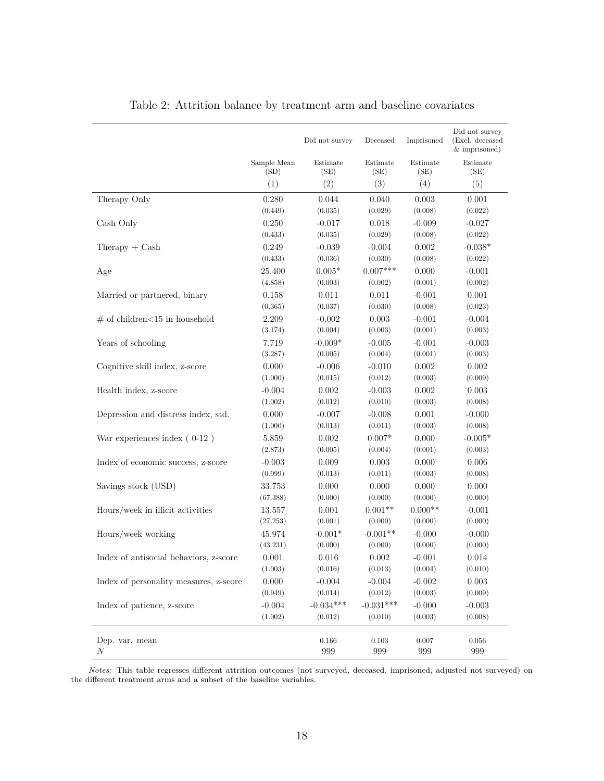<span id="page-19-0"></span>

|                                        |                     | Did not survey   | Deceased         | Imprisoned       | Did not survey<br>(Excl. deceased<br>& imprisoned) |
|----------------------------------------|---------------------|------------------|------------------|------------------|----------------------------------------------------|
|                                        | Sample Mean<br>(SD) | Estimate<br>(SE) | Estimate<br>(SE) | Estimate<br>(SE) | Estimate<br>(SE)                                   |
|                                        | (1)                 | (2)              | (3)              | (4)              | (5)                                                |
| Therapy Only                           | 0.280               | 0.044            | 0.040            | 0.003            | 0.001                                              |
|                                        | (0.449)             | (0.035)          | (0.029)          | (0.008)          | (0.022)                                            |
| Cash Only                              | 0.250               | $-0.017$         | 0.018            | $-0.009$         | $-0.027$                                           |
|                                        | (0.433)             | (0.035)          | (0.029)          | (0.008)          | (0.022)                                            |
| $The$ rapy + $Cash$                    | 0.249               | $-0.039$         | $-0.004$         | 0.002            | $-0.038*$                                          |
|                                        | (0.433)             | (0.036)          | (0.030)          | (0.008)          | (0.022)                                            |
| Age                                    | 25.400              | $0.005*$         | $0.007***$       | 0.000            | $-0.001$                                           |
|                                        | (4.858)             | (0.003)          | (0.002)          | (0.001)          | (0.002)                                            |
| Married or partnered, binary           | 0.158               | 0.011            | 0.011            | $-0.001$         | 0.001                                              |
|                                        | (0.365)             | (0.037)          | (0.030)          | (0.008)          | (0.023)                                            |
| $\#$ of children<15 in household       | 2.209               | $-0.002$         | 0.003            | $-0.001$         | $-0.004$                                           |
|                                        | (3.174)             | (0.004)          | (0.003)          | (0.001)          | (0.003)                                            |
| Years of schooling                     | 7.719               | $-0.009*$        | $-0.005$         | $-0.001$         | $-0.003$                                           |
|                                        | (3.287)             | (0.005)          | (0.004)          | (0.001)          | (0.003)                                            |
| Cognitive skill index, z-score         | 0.000               | $-0.006$         | $-0.010$         | 0.002            | 0.002                                              |
|                                        | (1.000)             | (0.015)          | (0.012)          | (0.003)          | (0.009)                                            |
| Health index, z-score                  | $-0.004$            | 0.002            | $-0.003$         | 0.002            | 0.003                                              |
|                                        | (1.002)             | (0.012)          | (0.010)          | (0.003)          | (0.008)                                            |
| Depression and distress index, std.    | 0.000               | $-0.007$         | $-0.008$         | 0.001            | $-0.000$                                           |
|                                        | (1.000)             | (0.013)          | (0.011)          | (0.003)          | (0.008)                                            |
| War experiences index $(0-12)$         | 5.859               | 0.002            | $0.007*$         | 0.000            | $-0.005*$                                          |
|                                        | (2.873)             | (0.005)          | (0.004)          | (0.001)          | (0.003)                                            |
| Index of economic success, z-score     | $-0.003$            | 0.009            | 0.003            | 0.000            | 0.006                                              |
|                                        | (0.999)             | (0.013)          | (0.011)          | (0.003)          | (0.008)                                            |
| Savings stock (USD)                    | 33.753              | 0.000            | 0.000            | 0.000            | 0.000                                              |
|                                        | (67.388)            | (0.000)          | (0.000)          | (0.000)          | (0.000)                                            |
| Hours/week in illicit activities       | 13.557              | 0.001            | $0.001**$        | $0.000**$        | $-0.001$                                           |
|                                        | (27.253)            | (0.001)          | (0.000)          | (0.000)          | (0.000)                                            |
| Hours/week working                     | 45.974              | $-0.001*$        | $-0.001**$       | $-0.000$         | $-0.000$                                           |
|                                        | (43.231)            | (0.000)          | (0.000)          | (0.000)          | (0.000)                                            |
| Index of antisocial behaviors, z-score | 0.001               | 0.016            | 0.002            | $-0.001$         | 0.014                                              |
|                                        | (1.003)             | (0.016)          | (0.013)          | (0.004)          | (0.010)                                            |
| Index of personality measures, z-score | 0.000               | $-0.004$         | $-0.004$         | $-0.002$         | 0.003                                              |
|                                        | (0.949)             | (0.014)          | (0.012)          | (0.003)          | (0.009)                                            |
| Index of patience, z-score             | $-0.004$            | $-0.034***$      | $-0.031***$      | $-0.000$         | $-0.003$                                           |
|                                        | (1.002)             | (0.012)          | (0.010)          | (0.003)          | (0.008)                                            |
| Dep. var. mean<br>$\boldsymbol{N}$     |                     | 0.166<br>999     | 0.103<br>999     | 0.007<br>999     | 0.056<br>999                                       |

#### Table 2: Attrition balance by treatment arm and baseline covariates

*Notes:* This table regresses different attrition outcomes (not surveyed, deceased, imprisoned, adjusted not surveyed) on the different treatment arms and a subset of the baseline variables.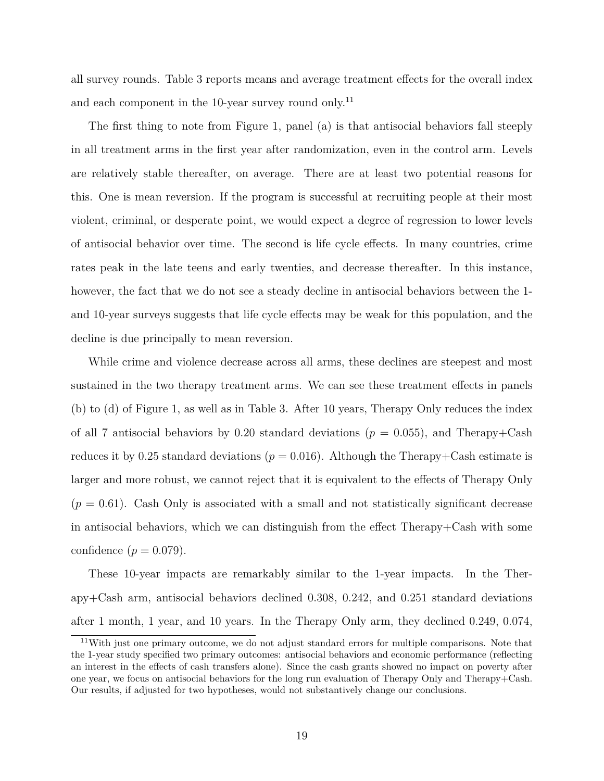all survey rounds. Table [3](#page-22-0) reports means and average treatment effects for the overall index and each component in the 10-year survey round only.<sup>[11](#page-20-0)</sup>

The first thing to note from Figure [1,](#page-21-0) panel (a) is that antisocial behaviors fall steeply in all treatment arms in the first year after randomization, even in the control arm. Levels are relatively stable thereafter, on average. There are at least two potential reasons for this. One is mean reversion. If the program is successful at recruiting people at their most violent, criminal, or desperate point, we would expect a degree of regression to lower levels of antisocial behavior over time. The second is life cycle effects. In many countries, crime rates peak in the late teens and early twenties, and decrease thereafter. In this instance, however, the fact that we do not see a steady decline in antisocial behaviors between the 1 and 10-year surveys suggests that life cycle effects may be weak for this population, and the decline is due principally to mean reversion.

While crime and violence decrease across all arms, these declines are steepest and most sustained in the two therapy treatment arms. We can see these treatment effects in panels (b) to (d) of Figure [1,](#page-21-0) as well as in Table [3.](#page-22-0) After 10 years, Therapy Only reduces the index of all 7 antisocial behaviors by 0.20 standard deviations ( $p = 0.055$ ), and Therapy+Cash reduces it by 0.25 standard deviations ( $p = 0.016$ ). Although the Therapy+Cash estimate is larger and more robust, we cannot reject that it is equivalent to the effects of Therapy Only  $(p = 0.61)$ . Cash Only is associated with a small and not statistically significant decrease in antisocial behaviors, which we can distinguish from the effect Therapy+Cash with some confidence  $(p = 0.079)$ .

These 10-year impacts are remarkably similar to the 1-year impacts. In the Therapy+Cash arm, antisocial behaviors declined 0.308, 0.242, and 0.251 standard deviations after 1 month, 1 year, and 10 years. In the Therapy Only arm, they declined 0.249, 0.074,

<span id="page-20-0"></span><sup>11</sup>With just one primary outcome, we do not adjust standard errors for multiple comparisons. Note that the 1-year study specified two primary outcomes: antisocial behaviors and economic performance (reflecting an interest in the effects of cash transfers alone). Since the cash grants showed no impact on poverty after one year, we focus on antisocial behaviors for the long run evaluation of Therapy Only and Therapy+Cash. Our results, if adjusted for two hypotheses, would not substantively change our conclusions.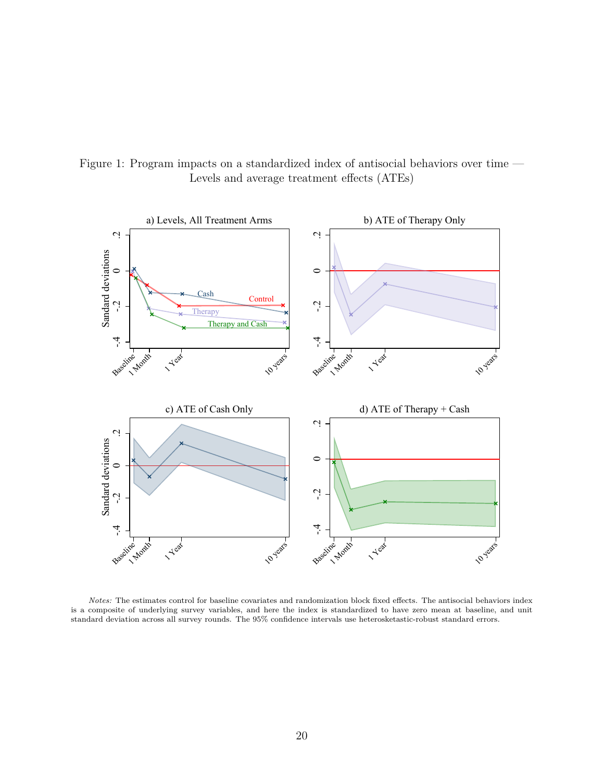<span id="page-21-0"></span>Figure 1: Program impacts on a standardized index of antisocial behaviors over time — Levels and average treatment effects (ATEs)



*Notes:* The estimates control for baseline covariates and randomization block fixed effects. The antisocial behaviors index is a composite of underlying survey variables, and here the index is standardized to have zero mean at baseline, and unit standard deviation across all survey rounds. The 95% confidence intervals use heterosketastic-robust standard errors.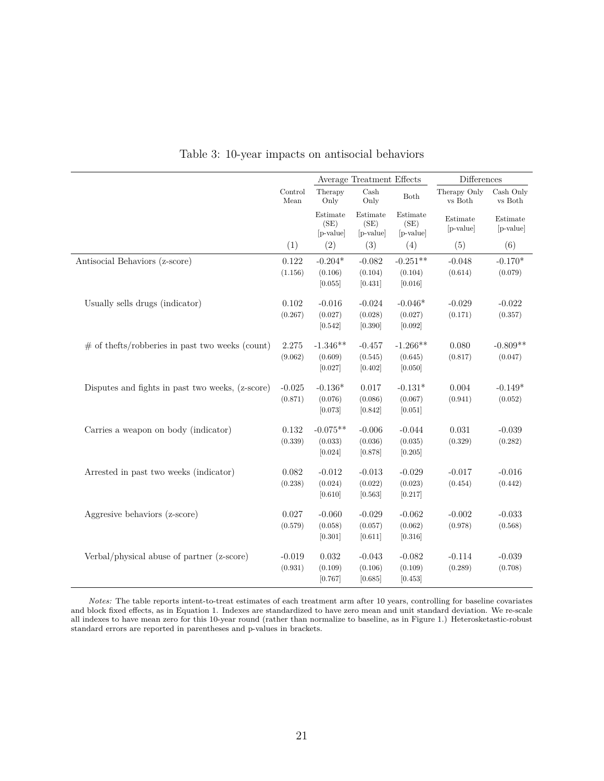<span id="page-22-0"></span>

|                                                     |                 |                               | Average Treatment Effects     |                               | Differences               |                       |
|-----------------------------------------------------|-----------------|-------------------------------|-------------------------------|-------------------------------|---------------------------|-----------------------|
|                                                     | Control<br>Mean | Therapy<br>Only               | $\operatorname{Cash}$<br>Only | ${\it Both}$                  | Therapy Only<br>$vs$ Both | Cash Only<br>vs Both  |
|                                                     |                 | Estimate<br>(SE)<br>[p-value] | Estimate<br>(SE)<br>[p-value] | Estimate<br>(SE)<br>[p-value] | Estimate<br>[p-value]     | Estimate<br>[p-value] |
|                                                     | (1)             | (2)                           | (3)                           | (4)                           | (5)                       | (6)                   |
| Antisocial Behaviors (z-score)                      | 0.122           | $-0.204*$                     | $-0.082$                      | $-0.251**$                    | $-0.048$                  | $-0.170*$             |
|                                                     | (1.156)         | (0.106)<br>[0.055]            | (0.104)<br>[0.431]            | (0.104)<br>[0.016]            | (0.614)                   | (0.079)               |
| Usually sells drugs (indicator)                     | 0.102           | $-0.016$                      | $-0.024$                      | $-0.046*$                     | $-0.029$                  | $-0.022$              |
|                                                     | (0.267)         | (0.027)<br>[0.542]            | (0.028)<br>[0.390]            | (0.027)<br>[0.092]            | (0.171)                   | (0.357)               |
| $\#$ of the fts/robberies in past two weeks (count) | 2.275           | $-1.346**$                    | $-0.457$                      | $-1.266**$                    | 0.080                     | $-0.809**$            |
|                                                     | (9.062)         | (0.609)                       | (0.545)                       | (0.645)                       | (0.817)                   | (0.047)               |
|                                                     |                 | [0.027]                       | [0.402]                       | [0.050]                       |                           |                       |
| Disputes and fights in past two weeks, (z-score)    | $-0.025$        | $-0.136*$                     | 0.017                         | $-0.131*$                     | 0.004                     | $-0.149*$             |
|                                                     | (0.871)         | (0.076)                       | (0.086)                       | (0.067)                       | (0.941)                   | (0.052)               |
|                                                     |                 | [0.073]                       | [0.842]                       | [0.051]                       |                           |                       |
| Carries a weapon on body (indicator)                | 0.132           | $-0.075**$                    | $-0.006$                      | $-0.044$                      | 0.031                     | $-0.039$              |
|                                                     | (0.339)         | (0.033)                       | (0.036)                       | (0.035)                       | (0.329)                   | (0.282)               |
|                                                     |                 | [0.024]                       | [0.878]                       | [0.205]                       |                           |                       |
| Arrested in past two weeks (indicator)              | 0.082           | $-0.012$                      | $-0.013$                      | $-0.029$                      | $-0.017$                  | $-0.016$              |
|                                                     | (0.238)         | (0.024)                       | (0.022)                       | (0.023)                       | (0.454)                   | (0.442)               |
|                                                     |                 | [0.610]                       | [0.563]                       | [0.217]                       |                           |                       |
| Aggresive behaviors (z-score)                       | 0.027           | $-0.060$                      | $-0.029$                      | $-0.062$                      | $-0.002$                  | $-0.033$              |
|                                                     | (0.579)         | (0.058)                       | (0.057)                       | (0.062)                       | (0.978)                   | (0.568)               |
|                                                     |                 | [0.301]                       | [0.611]                       | [0.316]                       |                           |                       |
| Verbal/physical abuse of partner (z-score)          | $-0.019$        | $\,0.032\,$                   | $-0.043$                      | $-0.082$                      | $-0.114$                  | $-0.039$              |
|                                                     | (0.931)         | (0.109)                       | (0.106)                       | (0.109)                       | (0.289)                   | (0.708)               |
|                                                     |                 | [0.767]                       | [0.685]                       | [0.453]                       |                           |                       |

Table 3: 10-year impacts on antisocial behaviors

 $\overline{a}$ 

*Notes:* The table reports intent-to-treat estimates of each treatment arm after 10 years, controlling for baseline covariates and block fixed effects, as in Equation [1.](#page-15-0) Indexes are standardized to have zero mean and unit standard deviation. We re-scale all indexes to have mean zero for this 10-year round (rather than normalize to baseline, as in Figure [1.](#page-21-0)) Heterosketastic-robust standard errors are reported in parentheses and p-values in brackets.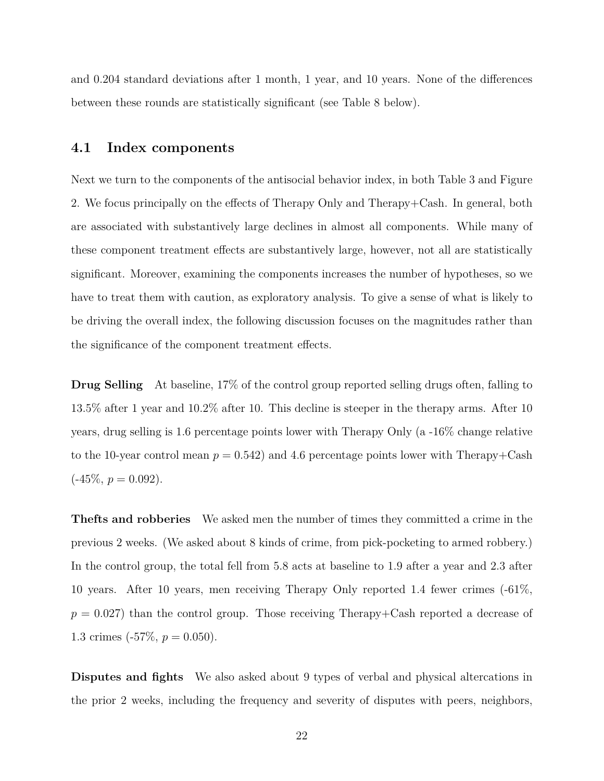and 0.204 standard deviations after 1 month, 1 year, and 10 years. None of the differences between these rounds are statistically significant (see Table [8](#page-35-0) below).

#### **4.1 Index components**

Next we turn to the components of the antisocial behavior index, in both Table [3](#page-22-0) and Figure [2.](#page-24-0) We focus principally on the effects of Therapy Only and Therapy+Cash. In general, both are associated with substantively large declines in almost all components. While many of these component treatment effects are substantively large, however, not all are statistically significant. Moreover, examining the components increases the number of hypotheses, so we have to treat them with caution, as exploratory analysis. To give a sense of what is likely to be driving the overall index, the following discussion focuses on the magnitudes rather than the significance of the component treatment effects.

**Drug Selling** At baseline, 17% of the control group reported selling drugs often, falling to 13.5% after 1 year and 10.2% after 10. This decline is steeper in the therapy arms. After 10 years, drug selling is 1.6 percentage points lower with Therapy Only (a -16% change relative to the 10-year control mean  $p = 0.542$  and 4.6 percentage points lower with Therapy+Cash  $(-45\%, p = 0.092)$ .

**Thefts and robberies** We asked men the number of times they committed a crime in the previous 2 weeks. (We asked about 8 kinds of crime, from pick-pocketing to armed robbery.) In the control group, the total fell from 5.8 acts at baseline to 1.9 after a year and 2.3 after 10 years. After 10 years, men receiving Therapy Only reported 1.4 fewer crimes (-61%,  $p = 0.027$ ) than the control group. Those receiving Therapy+Cash reported a decrease of 1.3 crimes  $(-57\%, p = 0.050)$ .

**Disputes and fights** We also asked about 9 types of verbal and physical altercations in the prior 2 weeks, including the frequency and severity of disputes with peers, neighbors,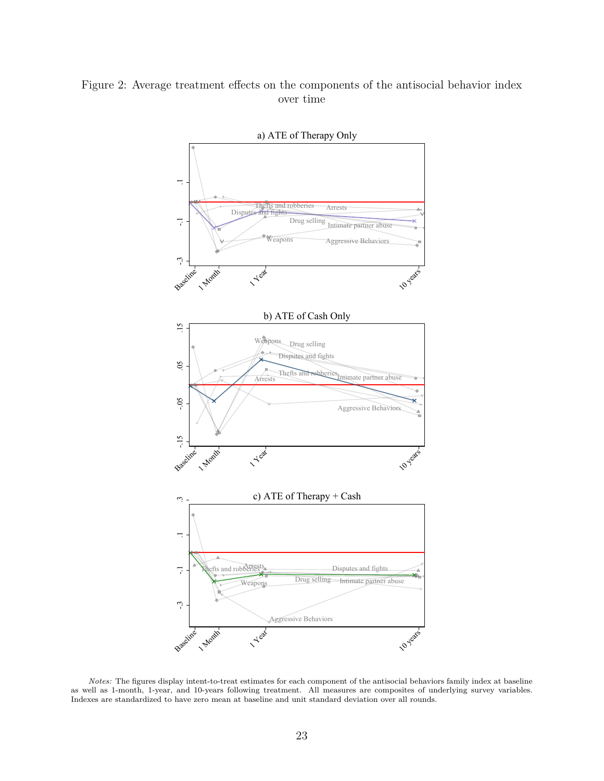#### <span id="page-24-0"></span>Figure 2: Average treatment effects on the components of the antisocial behavior index over time



*Notes:* The figures display intent-to-treat estimates for each component of the antisocial behaviors family index at baseline as well as 1-month, 1-year, and 10-years following treatment. All measures are composites of underlying survey variables. Indexes are standardized to have zero mean at baseline and unit standard deviation over all rounds.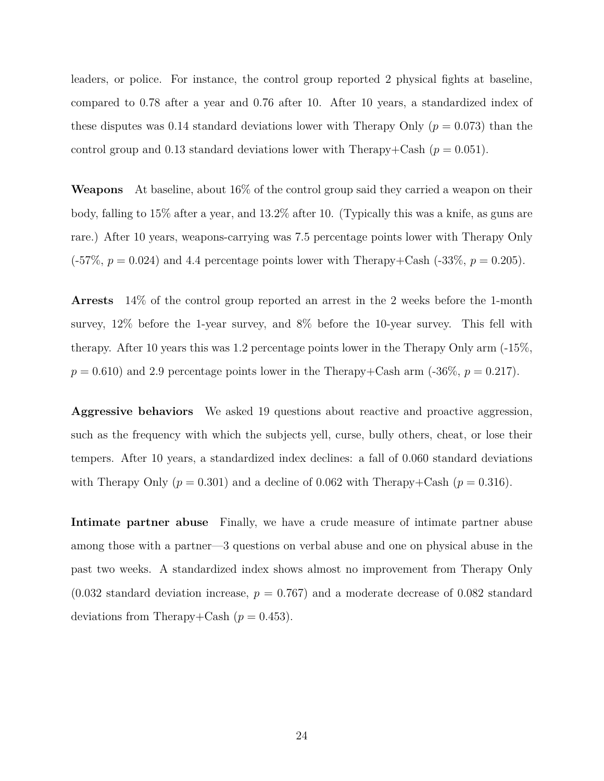leaders, or police. For instance, the control group reported 2 physical fights at baseline, compared to 0.78 after a year and 0.76 after 10. After 10 years, a standardized index of these disputes was 0.14 standard deviations lower with Therapy Only ( $p = 0.073$ ) than the control group and 0.13 standard deviations lower with Therapy+Cash  $(p = 0.051)$ .

**Weapons** At baseline, about 16% of the control group said they carried a weapon on their body, falling to 15% after a year, and 13.2% after 10. (Typically this was a knife, as guns are rare.) After 10 years, weapons-carrying was 7.5 percentage points lower with Therapy Only  $(-57\%, p = 0.024)$  and 4.4 percentage points lower with Therapy+Cash  $(-33\%, p = 0.205)$ .

**Arrests** 14% of the control group reported an arrest in the 2 weeks before the 1-month survey, 12% before the 1-year survey, and 8% before the 10-year survey. This fell with therapy. After 10 years this was 1.2 percentage points lower in the Therapy Only arm (-15%,  $p = 0.610$ ) and 2.9 percentage points lower in the Therapy+Cash arm  $(-36\%, p = 0.217)$ .

**Aggressive behaviors** We asked 19 questions about reactive and proactive aggression, such as the frequency with which the subjects yell, curse, bully others, cheat, or lose their tempers. After 10 years, a standardized index declines: a fall of 0.060 standard deviations with Therapy Only  $(p = 0.301)$  and a decline of 0.062 with Therapy+Cash  $(p = 0.316)$ .

**Intimate partner abuse** Finally, we have a crude measure of intimate partner abuse among those with a partner—3 questions on verbal abuse and one on physical abuse in the past two weeks. A standardized index shows almost no improvement from Therapy Only  $(0.032$  standard deviation increase,  $p = 0.767$  and a moderate decrease of 0.082 standard deviations from Therapy+Cash  $(p = 0.453)$ .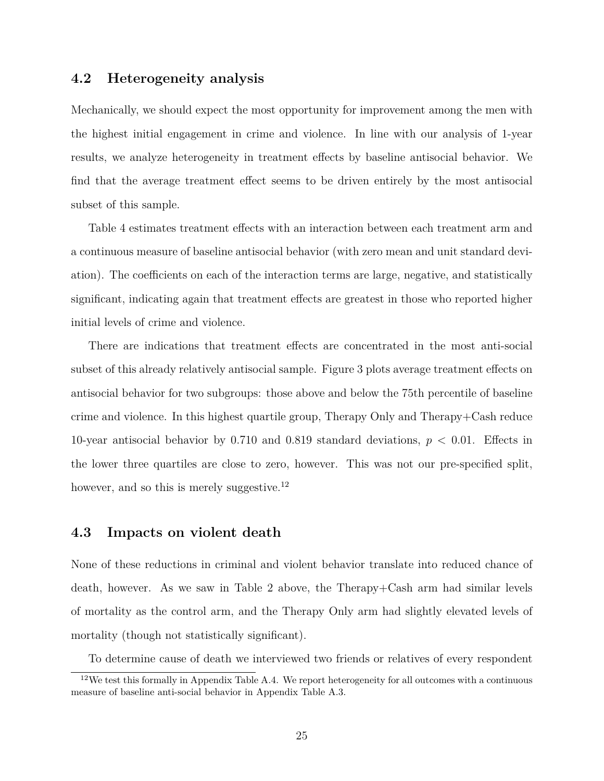#### **4.2 Heterogeneity analysis**

Mechanically, we should expect the most opportunity for improvement among the men with the highest initial engagement in crime and violence. In line with our analysis of 1-year results, we analyze heterogeneity in treatment effects by baseline antisocial behavior. We find that the average treatment effect seems to be driven entirely by the most antisocial subset of this sample.

Table [4](#page-27-0) estimates treatment effects with an interaction between each treatment arm and a continuous measure of baseline antisocial behavior (with zero mean and unit standard deviation). The coefficients on each of the interaction terms are large, negative, and statistically significant, indicating again that treatment effects are greatest in those who reported higher initial levels of crime and violence.

There are indications that treatment effects are concentrated in the most anti-social subset of this already relatively antisocial sample. Figure [3](#page-28-0) plots average treatment effects on antisocial behavior for two subgroups: those above and below the 75th percentile of baseline crime and violence. In this highest quartile group, Therapy Only and Therapy+Cash reduce 10-year antisocial behavior by 0.710 and 0.819 standard deviations, *p <* 0*.*01. Effects in the lower three quartiles are close to zero, however. This was not our pre-specified split, however, and so this is merely suggestive.<sup>[12](#page-26-0)</sup>

#### **4.3 Impacts on violent death**

None of these reductions in criminal and violent behavior translate into reduced chance of death, however. As we saw in Table [2](#page-19-0) above, the Therapy+Cash arm had similar levels of mortality as the control arm, and the Therapy Only arm had slightly elevated levels of mortality (though not statistically significant).

<span id="page-26-0"></span>To determine cause of death we interviewed two friends or relatives of every respondent

 $12$ We test this formally in Appendix Table [A.4.](#page-50-0) We report heterogeneity for all outcomes with a continuous measure of baseline anti-social behavior in Appendix Table [A.3.](#page-49-0)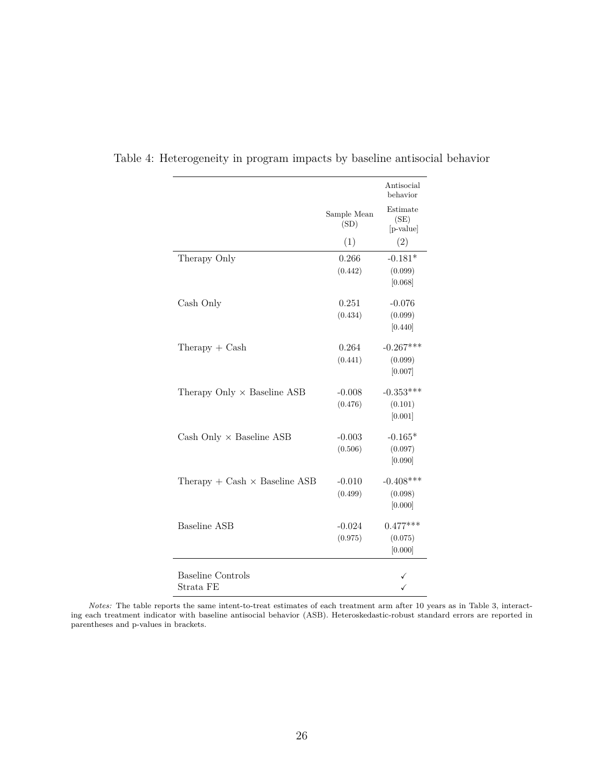|                                      |                     | Antisocial<br>behavior        |
|--------------------------------------|---------------------|-------------------------------|
|                                      | Sample Mean<br>(SD) | Estimate<br>(SE)<br>[p-value] |
|                                      | (1)                 | (2)                           |
| Therapy Only                         | 0.266               | $-0.181*$                     |
|                                      | (0.442)             | (0.099)                       |
|                                      |                     | [0.068]                       |
| Cash Only                            | 0.251               | $-0.076$                      |
|                                      | (0.434)             | (0.099)                       |
|                                      |                     | [0.440]                       |
| $The$ rapy + $Cash$                  | 0.264               | $-0.267***$                   |
|                                      | (0.441)             | (0.099)                       |
|                                      |                     | [0.007]                       |
| Therapy Only $\times$ Baseline ASB   | $-0.008$            | $-0.353***$                   |
|                                      | (0.476)             | (0.101)                       |
|                                      |                     | [0.001]                       |
| Cash Only $\times$ Baseline ASB      | $-0.003$            | $-0.165*$                     |
|                                      | (0.506)             | (0.097)                       |
|                                      |                     | [0.090]                       |
| Therapy + Cash $\times$ Baseline ASB | $-0.010$            | $-0.408***$                   |
|                                      | (0.499)             | (0.098)                       |
|                                      |                     | [0.000]                       |
| <b>Baseline ASB</b>                  | $-0.024$            | $0.477***$                    |
|                                      | (0.975)             | (0.075)                       |
|                                      |                     | [0.000]                       |
| <b>Baseline Controls</b>             |                     |                               |
| Strata FE                            |                     |                               |

<span id="page-27-0"></span>Table 4: Heterogeneity in program impacts by baseline antisocial behavior

*Notes:* The table reports the same intent-to-treat estimates of each treatment arm after 10 years as in Table [3,](#page-22-0) interacting each treatment indicator with baseline antisocial behavior (ASB). Heteroskedastic-robust standard errors are reported in parentheses and p-values in brackets.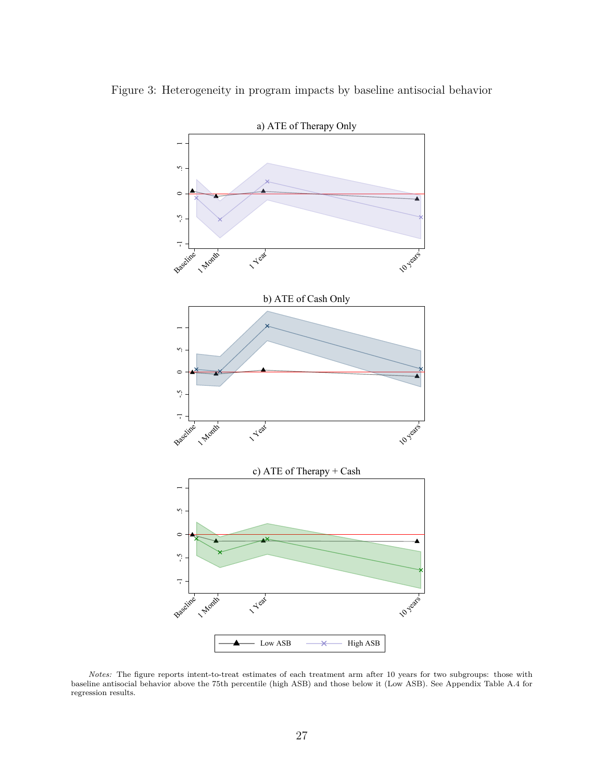

<span id="page-28-0"></span>Figure 3: Heterogeneity in program impacts by baseline antisocial behavior

*Notes:* The figure reports intent-to-treat estimates of each treatment arm after 10 years for two subgroups: those with baseline antisocial behavior above the 75th percentile (high ASB) and those below it (Low ASB). See Appendix Table [A.4](#page-50-0) for regression results.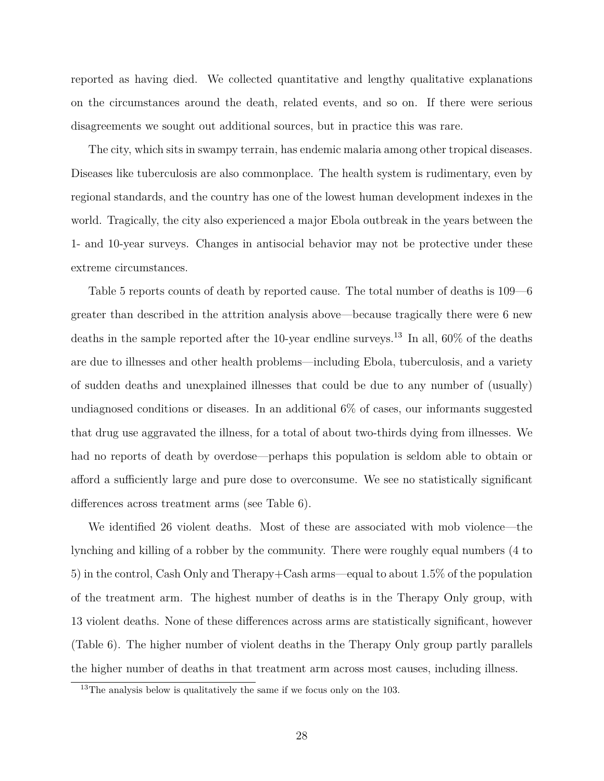reported as having died. We collected quantitative and lengthy qualitative explanations on the circumstances around the death, related events, and so on. If there were serious disagreements we sought out additional sources, but in practice this was rare.

The city, which sits in swampy terrain, has endemic malaria among other tropical diseases. Diseases like tuberculosis are also commonplace. The health system is rudimentary, even by regional standards, and the country has one of the lowest human development indexes in the world. Tragically, the city also experienced a major Ebola outbreak in the years between the 1- and 10-year surveys. Changes in antisocial behavior may not be protective under these extreme circumstances.

Table [5](#page-30-0) reports counts of death by reported cause. The total number of deaths is 109—6 greater than described in the attrition analysis above—because tragically there were 6 new deaths in the sample reported after the 10-year endline surveys.[13](#page-29-0) In all, 60% of the deaths are due to illnesses and other health problems—including Ebola, tuberculosis, and a variety of sudden deaths and unexplained illnesses that could be due to any number of (usually) undiagnosed conditions or diseases. In an additional 6% of cases, our informants suggested that drug use aggravated the illness, for a total of about two-thirds dying from illnesses. We had no reports of death by overdose—perhaps this population is seldom able to obtain or afford a sufficiently large and pure dose to overconsume. We see no statistically significant differences across treatment arms (see Table [6\)](#page-30-1).

We identified 26 violent deaths. Most of these are associated with mob violence—the lynching and killing of a robber by the community. There were roughly equal numbers (4 to 5) in the control, Cash Only and Therapy+Cash arms—equal to about 1.5% of the population of the treatment arm. The highest number of deaths is in the Therapy Only group, with 13 violent deaths. None of these differences across arms are statistically significant, however (Table [6\)](#page-30-1). The higher number of violent deaths in the Therapy Only group partly parallels the higher number of deaths in that treatment arm across most causes, including illness.

<span id="page-29-0"></span><sup>&</sup>lt;sup>13</sup>The analysis below is qualitatively the same if we focus only on the 103.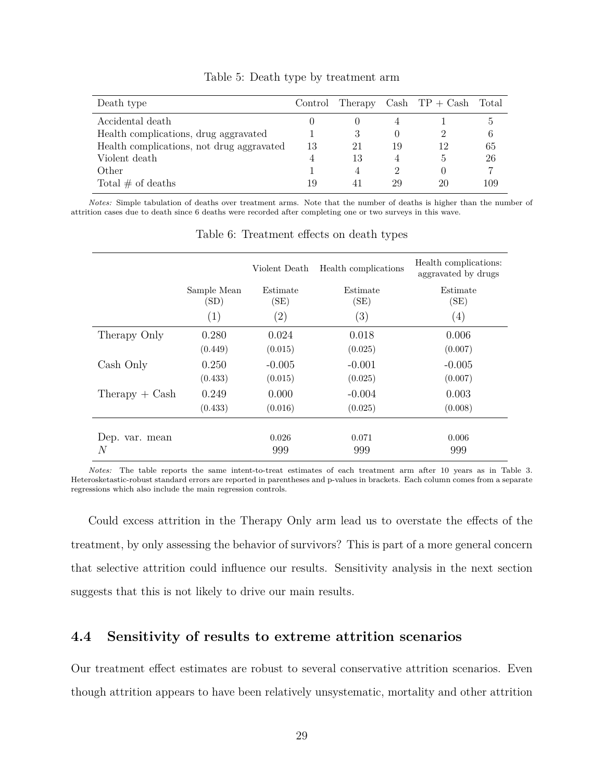<span id="page-30-0"></span>

| Death type                                |    |    |    | Control Therapy Cash $TP + Cash$ | Total |
|-------------------------------------------|----|----|----|----------------------------------|-------|
| Accidental death                          |    |    |    |                                  | G,    |
| Health complications, drug aggravated     |    | 3  |    |                                  | 6     |
| Health complications, not drug aggravated | 13 | 21 | 19 | 12                               | 65    |
| Violent death                             |    | 13 |    | $\mathfrak{h}$                   | 26    |
| Other                                     |    |    | റ  |                                  | 7     |
| Total $#$ of deaths                       | 19 |    | 29 | 20                               | 109   |

Table 5: Death type by treatment arm

<span id="page-30-1"></span>*Notes:* Simple tabulation of deaths over treatment arms. Note that the number of deaths is higher than the number of attrition cases due to death since 6 deaths were recorded after completing one or two surveys in this wave.

|                  |                     | Violent Death     | Health complications | Health complications:<br>aggravated by drugs |
|------------------|---------------------|-------------------|----------------------|----------------------------------------------|
|                  | Sample Mean<br>(SD) | Estimate<br>(SE)  | Estimate<br>(SE)     | Estimate<br>(SE)                             |
|                  | (1)                 | $\left( 2\right)$ | (3)                  | $\left( 4\right)$                            |
| Therapy Only     | 0.280               | 0.024             | 0.018                | 0.006                                        |
|                  | (0.449)             | (0.015)           | (0.025)              | (0.007)                                      |
| Cash Only        | 0.250               | $-0.005$          | $-0.001$             | $-0.005$                                     |
|                  | (0.433)             | (0.015)           | (0.025)              | (0.007)                                      |
| $The ray + Cash$ | 0.249               | 0.000             | $-0.004$             | 0.003                                        |
|                  | (0.433)             | (0.016)           | (0.025)              | (0.008)                                      |
| Dep. var. mean   |                     | 0.026             | 0.071                | 0.006                                        |
| N                |                     | 999               | 999                  | 999                                          |

Table 6: Treatment effects on death types

*Notes:* The table reports the same intent-to-treat estimates of each treatment arm after 10 years as in Table [3.](#page-22-0) Heterosketastic-robust standard errors are reported in parentheses and p-values in brackets. Each column comes from a separate regressions which also include the main regression controls.

Could excess attrition in the Therapy Only arm lead us to overstate the effects of the treatment, by only assessing the behavior of survivors? This is part of a more general concern that selective attrition could influence our results. Sensitivity analysis in the next section suggests that this is not likely to drive our main results.

### **4.4 Sensitivity of results to extreme attrition scenarios**

Our treatment effect estimates are robust to several conservative attrition scenarios. Even though attrition appears to have been relatively unsystematic, mortality and other attrition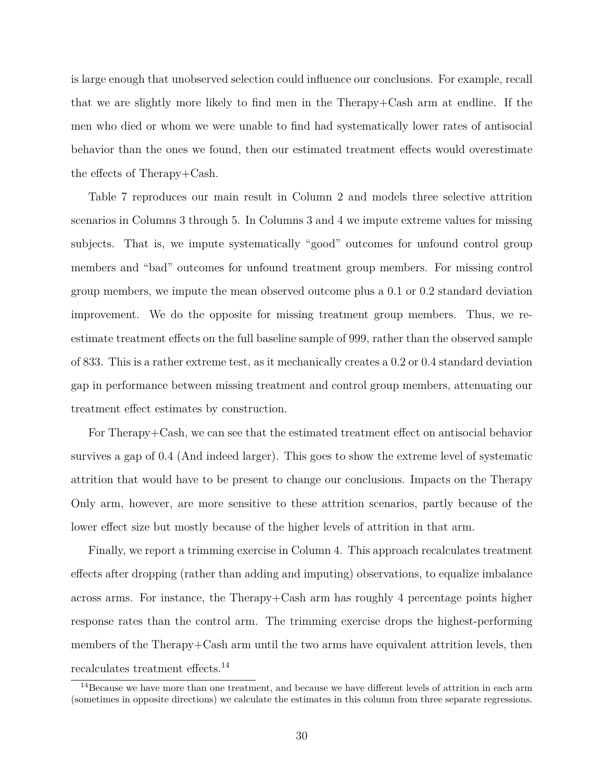is large enough that unobserved selection could influence our conclusions. For example, recall that we are slightly more likely to find men in the Therapy+Cash arm at endline. If the men who died or whom we were unable to find had systematically lower rates of antisocial behavior than the ones we found, then our estimated treatment effects would overestimate the effects of Therapy+Cash.

Table [7](#page-32-0) reproduces our main result in Column 2 and models three selective attrition scenarios in Columns 3 through 5. In Columns 3 and 4 we impute extreme values for missing subjects. That is, we impute systematically "good" outcomes for unfound control group members and "bad" outcomes for unfound treatment group members. For missing control group members, we impute the mean observed outcome plus a 0.1 or 0.2 standard deviation improvement. We do the opposite for missing treatment group members. Thus, we reestimate treatment effects on the full baseline sample of 999, rather than the observed sample of 833. This is a rather extreme test, as it mechanically creates a 0.2 or 0.4 standard deviation gap in performance between missing treatment and control group members, attenuating our treatment effect estimates by construction.

For Therapy+Cash, we can see that the estimated treatment effect on antisocial behavior survives a gap of 0.4 (And indeed larger). This goes to show the extreme level of systematic attrition that would have to be present to change our conclusions. Impacts on the Therapy Only arm, however, are more sensitive to these attrition scenarios, partly because of the lower effect size but mostly because of the higher levels of attrition in that arm.

Finally, we report a trimming exercise in Column 4. This approach recalculates treatment effects after dropping (rather than adding and imputing) observations, to equalize imbalance across arms. For instance, the Therapy+Cash arm has roughly 4 percentage points higher response rates than the control arm. The trimming exercise drops the highest-performing members of the Therapy+Cash arm until the two arms have equivalent attrition levels, then recalculates treatment effects.[14](#page-31-0)

<span id="page-31-0"></span> $14$ Because we have more than one treatment, and because we have different levels of attrition in each arm (sometimes in opposite directions) we calculate the estimates in this column from three separate regressions.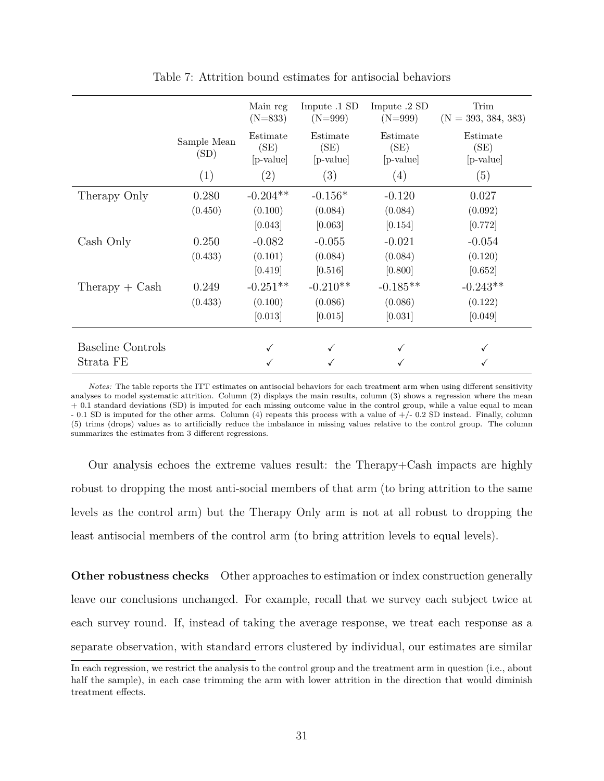<span id="page-32-0"></span>

|                          |                     | Main reg<br>$(N=833)$         | Impute .1 SD<br>$(N=999)$     | Impute .2 SD<br>$(N=999)$     | Trim<br>$(N = 393, 384, 383)$ |
|--------------------------|---------------------|-------------------------------|-------------------------------|-------------------------------|-------------------------------|
|                          | Sample Mean<br>(SD) | Estimate<br>(SE)<br>[p-value] | Estimate<br>(SE)<br>[p-value] | Estimate<br>(SE)<br>[p-value] | Estimate<br>(SE)<br>[p-value] |
|                          | (1)                 | (2)                           | (3)                           | (4)                           | (5)                           |
| Therapy Only             | 0.280               | $-0.204**$                    | $-0.156*$                     | $-0.120$                      | 0.027                         |
|                          | (0.450)             | (0.100)                       | (0.084)                       | (0.084)                       | (0.092)                       |
|                          |                     | [0.043]                       | [0.063]                       | [0.154]                       | [0.772]                       |
| Cash Only                | 0.250               | $-0.082$                      | $-0.055$                      | $-0.021$                      | $-0.054$                      |
|                          | (0.433)             | (0.101)                       | (0.084)                       | (0.084)                       | (0.120)                       |
|                          |                     | [0.419]                       | [0.516]                       | [0.800]                       | [0.652]                       |
| $Therapy + Cash$         | 0.249               | $-0.251**$                    | $-0.210**$                    | $-0.185**$                    | $-0.243**$                    |
|                          | (0.433)             | (0.100)                       | (0.086)                       | (0.086)                       | (0.122)                       |
|                          |                     | [0.013]                       | [0.015]                       | [0.031]                       | [0.049]                       |
|                          |                     |                               |                               |                               |                               |
| <b>Baseline Controls</b> |                     |                               |                               |                               |                               |
| Strata FE                |                     |                               |                               |                               |                               |

Table 7: Attrition bound estimates for antisocial behaviors

*Notes:* The table reports the ITT estimates on antisocial behaviors for each treatment arm when using different sensitivity analyses to model systematic attrition. Column (2) displays the main results, column (3) shows a regression where the mean + 0.1 standard deviations (SD) is imputed for each missing outcome value in the control group, while a value equal to mean - 0.1 SD is imputed for the other arms. Column (4) repeats this process with a value of +/- 0.2 SD instead. Finally, column (5) trims (drops) values as to artificially reduce the imbalance in missing values relative to the control group. The column summarizes the estimates from 3 different regressions.

Our analysis echoes the extreme values result: the Therapy+Cash impacts are highly robust to dropping the most anti-social members of that arm (to bring attrition to the same levels as the control arm) but the Therapy Only arm is not at all robust to dropping the least antisocial members of the control arm (to bring attrition levels to equal levels).

**Other robustness checks** Other approaches to estimation or index construction generally leave our conclusions unchanged. For example, recall that we survey each subject twice at each survey round. If, instead of taking the average response, we treat each response as a separate observation, with standard errors clustered by individual, our estimates are similar

In each regression, we restrict the analysis to the control group and the treatment arm in question (i.e., about half the sample), in each case trimming the arm with lower attrition in the direction that would diminish treatment effects.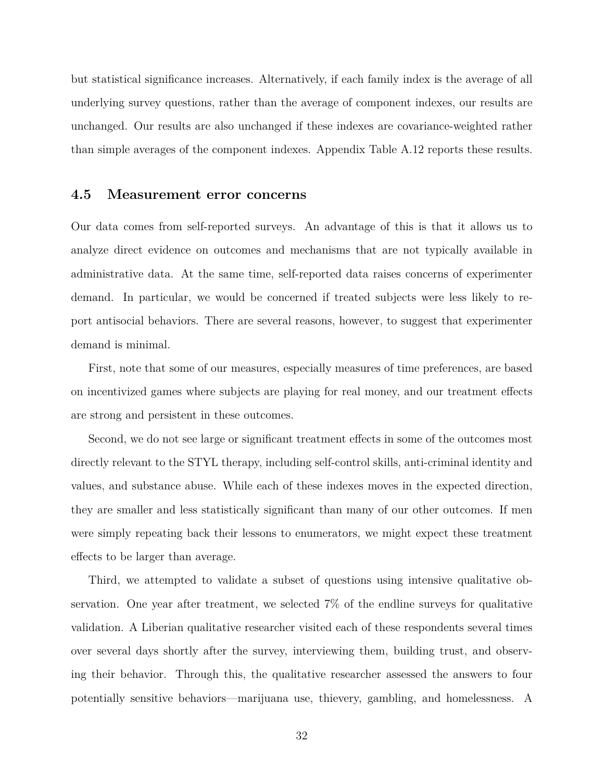but statistical significance increases. Alternatively, if each family index is the average of all underlying survey questions, rather than the average of component indexes, our results are unchanged. Our results are also unchanged if these indexes are covariance-weighted rather than simple averages of the component indexes. Appendix Table [A.12](#page-52-0) reports these results.

#### <span id="page-33-0"></span>**4.5 Measurement error concerns**

Our data comes from self-reported surveys. An advantage of this is that it allows us to analyze direct evidence on outcomes and mechanisms that are not typically available in administrative data. At the same time, self-reported data raises concerns of experimenter demand. In particular, we would be concerned if treated subjects were less likely to report antisocial behaviors. There are several reasons, however, to suggest that experimenter demand is minimal.

First, note that some of our measures, especially measures of time preferences, are based on incentivized games where subjects are playing for real money, and our treatment effects are strong and persistent in these outcomes.

Second, we do not see large or significant treatment effects in some of the outcomes most directly relevant to the STYL therapy, including self-control skills, anti-criminal identity and values, and substance abuse. While each of these indexes moves in the expected direction, they are smaller and less statistically significant than many of our other outcomes. If men were simply repeating back their lessons to enumerators, we might expect these treatment effects to be larger than average.

Third, we attempted to validate a subset of questions using intensive qualitative observation. One year after treatment, we selected 7% of the endline surveys for qualitative validation. A Liberian qualitative researcher visited each of these respondents several times over several days shortly after the survey, interviewing them, building trust, and observing their behavior. Through this, the qualitative researcher assessed the answers to four potentially sensitive behaviors—marijuana use, thievery, gambling, and homelessness. A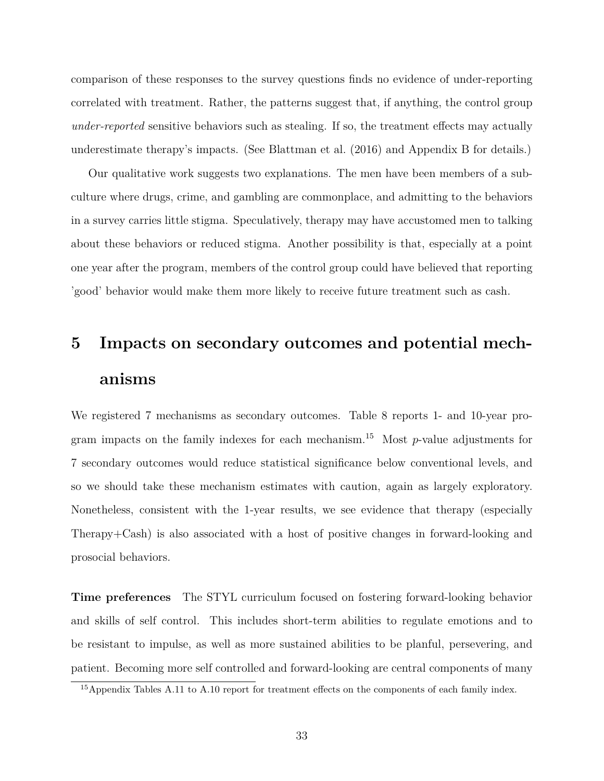comparison of these responses to the survey questions finds no evidence of under-reporting correlated with treatment. Rather, the patterns suggest that, if anything, the control group *under-reported* sensitive behaviors such as stealing. If so, the treatment effects may actually underestimate therapy's impacts. (See [Blattman et al.](#page-42-8) [\(2016\)](#page-42-8) and Appendix [B](#page-53-0) for details.)

Our qualitative work suggests two explanations. The men have been members of a subculture where drugs, crime, and gambling are commonplace, and admitting to the behaviors in a survey carries little stigma. Speculatively, therapy may have accustomed men to talking about these behaviors or reduced stigma. Another possibility is that, especially at a point one year after the program, members of the control group could have believed that reporting 'good' behavior would make them more likely to receive future treatment such as cash.

## **5 Impacts on secondary outcomes and potential mechanisms**

We registered 7 mechanisms as secondary outcomes. Table [8](#page-35-0) reports 1- and 10-year pro-gram impacts on the family indexes for each mechanism.<sup>[15](#page-34-0)</sup> Most  $p$ -value adjustments for 7 secondary outcomes would reduce statistical significance below conventional levels, and so we should take these mechanism estimates with caution, again as largely exploratory. Nonetheless, consistent with the 1-year results, we see evidence that therapy (especially Therapy+Cash) is also associated with a host of positive changes in forward-looking and prosocial behaviors.

**Time preferences** The STYL curriculum focused on fostering forward-looking behavior and skills of self control. This includes short-term abilities to regulate emotions and to be resistant to impulse, as well as more sustained abilities to be planful, persevering, and patient. Becoming more self controlled and forward-looking are central components of many

<span id="page-34-0"></span><sup>&</sup>lt;sup>15</sup>Appendix Tables [A.11](#page-52-1) to [A.10](#page-52-2) report for treatment effects on the components of each family index.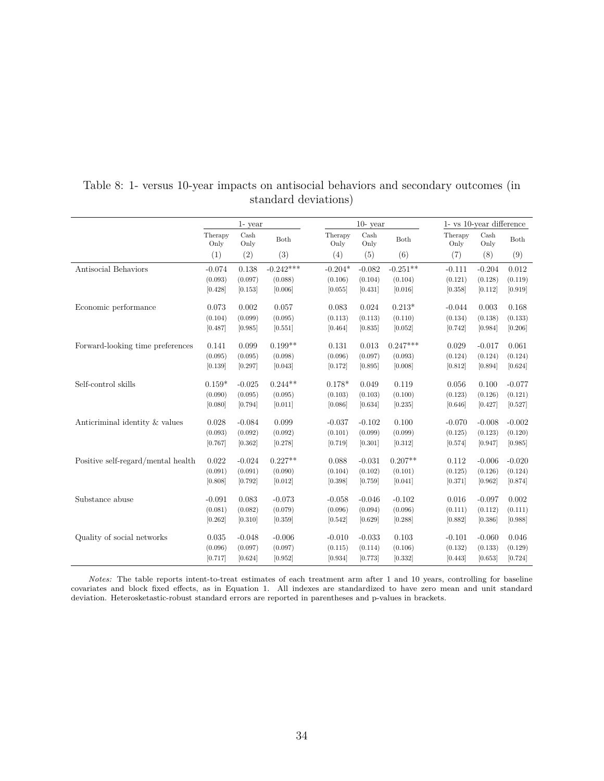|                                    |                 | 1- year      |             |                 | $10$ - year                   |            | 1- vs 10-year difference |                               |          |  |
|------------------------------------|-----------------|--------------|-------------|-----------------|-------------------------------|------------|--------------------------|-------------------------------|----------|--|
|                                    | Therapy<br>Only | Cash<br>Only | Both        | Therapy<br>Only | $\operatorname{Cash}$<br>Only | Both       | Therapy<br>Only          | $\operatorname{Cash}$<br>Only | Both     |  |
|                                    | (1)             | (2)          | (3)         | (4)             | (5)                           | (6)        | (7)                      | (8)                           | (9)      |  |
| Antisocial Behaviors               | $-0.074$        | 0.138        | $-0.242***$ | $-0.204*$       | $-0.082$                      | $-0.251**$ | $-0.111$                 | $-0.204$                      | 0.012    |  |
|                                    | (0.093)         | (0.097)      | (0.088)     | (0.106)         | (0.104)                       | (0.104)    | (0.121)                  | (0.128)                       | (0.119)  |  |
|                                    | [0.428]         | [0.153]      | [0.006]     | [0.055]         | [0.431]                       | [0.016]    | [0.358]                  | [0.112]                       | [0.919]  |  |
| Economic performance               | 0.073           | 0.002        | 0.057       | 0.083           | 0.024                         | $0.213*$   | $-0.044$                 | 0.003                         | 0.168    |  |
|                                    | (0.104)         | (0.099)      | (0.095)     | (0.113)         | (0.113)                       | (0.110)    | (0.134)                  | (0.138)                       | (0.133)  |  |
|                                    | [0.487]         | [0.985]      | [0.551]     | [0.464]         | [0.835]                       | [0.052]    | [0.742]                  | [0.984]                       | [0.206]  |  |
| Forward-looking time preferences   | 0.141           | 0.099        | $0.199**$   | 0.131           | 0.013                         | $0.247***$ | 0.029                    | $-0.017$                      | 0.061    |  |
|                                    | (0.095)         | (0.095)      | (0.098)     | (0.096)         | (0.097)                       | (0.093)    | (0.124)                  | (0.124)                       | (0.124)  |  |
|                                    | [0.139]         | [0.297]      | [0.043]     | [0.172]         | [0.895]                       | [0.008]    | [0.812]                  | [0.894]                       | [0.624]  |  |
| Self-control skills                | $0.159*$        | $-0.025$     | $0.244**$   | $0.178*$        | 0.049                         | 0.119      | 0.056                    | 0.100                         | $-0.077$ |  |
|                                    | (0.090)         | (0.095)      | (0.095)     | (0.103)         | (0.103)                       | (0.100)    | (0.123)                  | (0.126)                       | (0.121)  |  |
|                                    | [0.080]         | [0.794]      | [0.011]     | [0.086]         | [0.634]                       | [0.235]    | [0.646]                  | [0.427]                       | [0.527]  |  |
| Anticriminal identity & values     | 0.028           | $-0.084$     | 0.099       | $-0.037$        | $-0.102$                      | 0.100      | $-0.070$                 | $-0.008$                      | $-0.002$ |  |
|                                    | (0.093)         | (0.092)      | (0.092)     | (0.101)         | (0.099)                       | (0.099)    | (0.125)                  | (0.123)                       | (0.120)  |  |
|                                    | [0.767]         | [0.362]      | [0.278]     | [0.719]         | [0.301]                       | [0.312]    | [0.574]                  | [0.947]                       | [0.985]  |  |
| Positive self-regard/mental health | 0.022           | $-0.024$     | $0.227**$   | 0.088           | $-0.031$                      | $0.207**$  | 0.112                    | $-0.006$                      | $-0.020$ |  |
|                                    | (0.091)         | (0.091)      | (0.090)     | (0.104)         | (0.102)                       | (0.101)    | (0.125)                  | (0.126)                       | (0.124)  |  |
|                                    | [0.808]         | [0.792]      | [0.012]     | [0.398]         | [0.759]                       | [0.041]    | [0.371]                  | [0.962]                       | [0.874]  |  |
| Substance abuse                    | $-0.091$        | 0.083        | $-0.073$    | $-0.058$        | $-0.046$                      | $-0.102$   | 0.016                    | $-0.097$                      | 0.002    |  |
|                                    | (0.081)         | (0.082)      | (0.079)     | (0.096)         | (0.094)                       | (0.096)    | (0.111)                  | (0.112)                       | (0.111)  |  |
|                                    | [0.262]         | [0.310]      | [0.359]     | [0.542]         | [0.629]                       | [0.288]    | [0.882]                  | [0.386]                       | [0.988]  |  |
| Quality of social networks         | 0.035           | $-0.048$     | $-0.006$    | $-0.010$        | $-0.033$                      | 0.103      | $-0.101$                 | $-0.060$                      | 0.046    |  |
|                                    | (0.096)         | (0.097)      | (0.097)     | (0.115)         | (0.114)                       | (0.106)    | (0.132)                  | (0.133)                       | (0.129)  |  |
|                                    | [0.717]         | [0.624]      | [0.952]     | [0.934]         | [0.773]                       | [0.332]    | [0.443]                  | [0.653]                       | [0.724]  |  |

#### <span id="page-35-0"></span>Table 8: 1- versus 10-year impacts on antisocial behaviors and secondary outcomes (in standard deviations)

*Notes:* The table reports intent-to-treat estimates of each treatment arm after 1 and 10 years, controlling for baseline covariates and block fixed effects, as in Equation [1.](#page-15-0) All indexes are standardized to have zero mean and unit standard deviation. Heterosketastic-robust standard errors are reported in parentheses and p-values in brackets.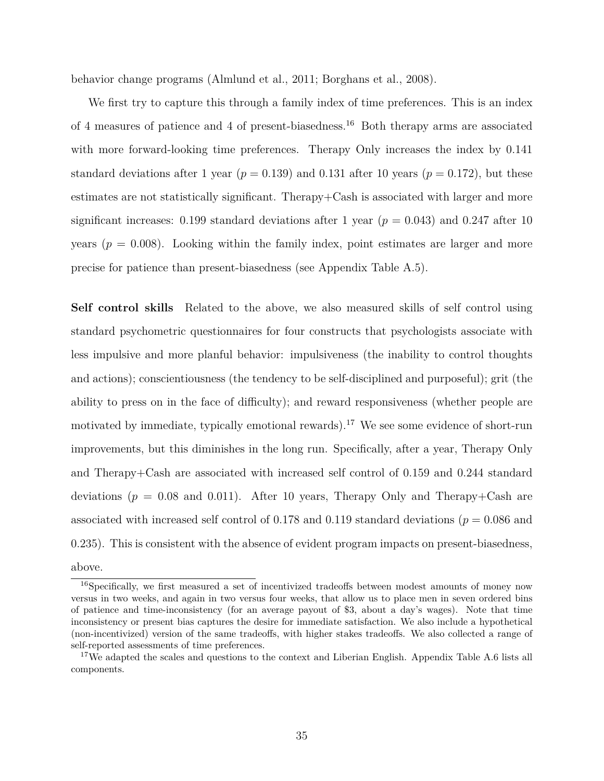behavior change programs [\(Almlund et al., 2011;](#page-42-9) [Borghans et al., 2008\)](#page-43-4).

We first try to capture this through a family index of time preferences. This is an index of 4 measures of patience and 4 of present-biasedness.[16](#page-36-0) Both therapy arms are associated with more forward-looking time preferences. Therapy Only increases the index by  $0.141$ standard deviations after 1 year ( $p = 0.139$ ) and 0.131 after 10 years ( $p = 0.172$ ), but these estimates are not statistically significant. Therapy+Cash is associated with larger and more significant increases: 0.199 standard deviations after 1 year  $(p = 0.043)$  and 0.247 after 10 years  $(p = 0.008)$ . Looking within the family index, point estimates are larger and more precise for patience than present-biasedness (see Appendix Table [A.5\)](#page-50-1).

**Self control skills** Related to the above, we also measured skills of self control using standard psychometric questionnaires for four constructs that psychologists associate with less impulsive and more planful behavior: impulsiveness (the inability to control thoughts and actions); conscientiousness (the tendency to be self-disciplined and purposeful); grit (the ability to press on in the face of difficulty); and reward responsiveness (whether people are motivated by immediate, typically emotional rewards).<sup>[17](#page-36-1)</sup> We see some evidence of short-run improvements, but this diminishes in the long run. Specifically, after a year, Therapy Only and Therapy+Cash are associated with increased self control of 0.159 and 0.244 standard deviations  $(p = 0.08$  and 0.011). After 10 years, Therapy Only and Therapy+Cash are associated with increased self control of 0.178 and 0.119 standard deviations (*p* = 0*.*086 and 0.235). This is consistent with the absence of evident program impacts on present-biasedness, above.

<span id="page-36-0"></span><sup>&</sup>lt;sup>16</sup>Specifically, we first measured a set of incentivized tradeoffs between modest amounts of money now versus in two weeks, and again in two versus four weeks, that allow us to place men in seven ordered bins of patience and time-inconsistency (for an average payout of \$3, about a day's wages). Note that time inconsistency or present bias captures the desire for immediate satisfaction. We also include a hypothetical (non-incentivized) version of the same tradeoffs, with higher stakes tradeoffs. We also collected a range of self-reported assessments of time preferences.

<span id="page-36-1"></span><sup>&</sup>lt;sup>17</sup>We adapted the scales and questions to the context and Liberian English. Appendix Table [A.6](#page-51-0) lists all components.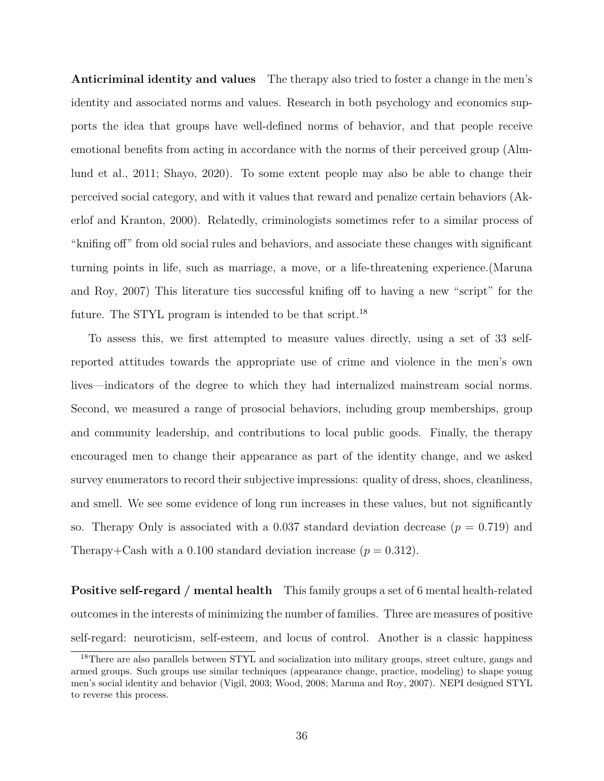**Anticriminal identity and values** The therapy also tried to foster a change in the men's identity and associated norms and values. Research in both psychology and economics supports the idea that groups have well-defined norms of behavior, and that people receive emotional benefits from acting in accordance with the norms of their perceived group [\(Alm](#page-42-9)[lund et al., 2011;](#page-42-9) [Shayo, 2020\)](#page-44-7). To some extent people may also be able to change their perceived social category, and with it values that reward and penalize certain behaviors [\(Ak](#page-42-10)[erlof and Kranton, 2000\)](#page-42-10). Relatedly, criminologists sometimes refer to a similar process of "knifing off" from old social rules and behaviors, and associate these changes with significant turning points in life, such as marriage, a move, or a life-threatening experience.[\(Maruna](#page-44-8) [and Roy, 2007\)](#page-44-8) This literature ties successful knifing off to having a new "script" for the future. The STYL program is intended to be that script.<sup>[18](#page-37-0)</sup>

To assess this, we first attempted to measure values directly, using a set of 33 selfreported attitudes towards the appropriate use of crime and violence in the men's own lives—indicators of the degree to which they had internalized mainstream social norms. Second, we measured a range of prosocial behaviors, including group memberships, group and community leadership, and contributions to local public goods. Finally, the therapy encouraged men to change their appearance as part of the identity change, and we asked survey enumerators to record their subjective impressions: quality of dress, shoes, cleanliness, and smell. We see some evidence of long run increases in these values, but not significantly so. Therapy Only is associated with a  $0.037$  standard deviation decrease ( $p = 0.719$ ) and Therapy+Cash with a 0.100 standard deviation increase  $(p = 0.312)$ .

**Positive self-regard / mental health** This family groups a set of 6 mental health-related outcomes in the interests of minimizing the number of families. Three are measures of positive self-regard: neuroticism, self-esteem, and locus of control. Another is a classic happiness

<span id="page-37-0"></span><sup>&</sup>lt;sup>18</sup>There are also parallels between STYL and socialization into military groups, street culture, gangs and armed groups. Such groups use similar techniques (appearance change, practice, modeling) to shape young men's social identity and behavior [\(Vigil, 2003;](#page-45-1) [Wood, 2008;](#page-45-2) [Maruna and Roy, 2007\)](#page-44-8). NEPI designed STYL to reverse this process.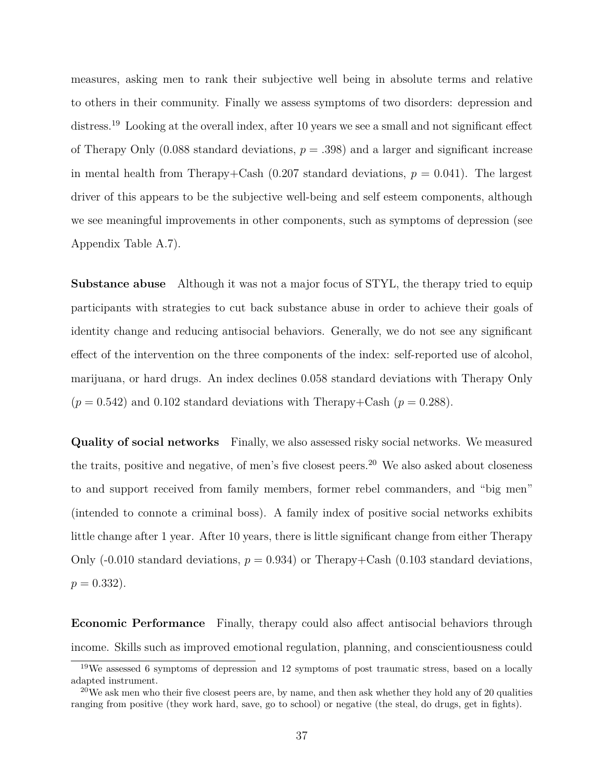measures, asking men to rank their subjective well being in absolute terms and relative to others in their community. Finally we assess symptoms of two disorders: depression and distress.<sup>[19](#page-38-0)</sup> Looking at the overall index, after 10 years we see a small and not significant effect of Therapy Only (0.088 standard deviations,  $p = .398$ ) and a larger and significant increase in mental health from Therapy+Cash  $(0.207$  standard deviations,  $p = 0.041$ ). The largest driver of this appears to be the subjective well-being and self esteem components, although we see meaningful improvements in other components, such as symptoms of depression (see Appendix Table [A.7\)](#page-51-1).

**Substance abuse** Although it was not a major focus of STYL, the therapy tried to equip participants with strategies to cut back substance abuse in order to achieve their goals of identity change and reducing antisocial behaviors. Generally, we do not see any significant effect of the intervention on the three components of the index: self-reported use of alcohol, marijuana, or hard drugs. An index declines 0.058 standard deviations with Therapy Only  $(p = 0.542)$  and 0.102 standard deviations with Therapy+Cash  $(p = 0.288)$ .

**Quality of social networks** Finally, we also assessed risky social networks. We measured the traits, positive and negative, of men's five closest peers.<sup>[20](#page-38-1)</sup> We also asked about closeness to and support received from family members, former rebel commanders, and "big men" (intended to connote a criminal boss). A family index of positive social networks exhibits little change after 1 year. After 10 years, there is little significant change from either Therapy Only  $(-0.010$  standard deviations,  $p = 0.934$  or Therapy+Cash  $(0.103$  standard deviations,  $p = 0.332$ .

**Economic Performance** Finally, therapy could also affect antisocial behaviors through income. Skills such as improved emotional regulation, planning, and conscientiousness could

<span id="page-38-0"></span><sup>19</sup>We assessed 6 symptoms of depression and 12 symptoms of post traumatic stress, based on a locally adapted instrument.

<span id="page-38-1"></span> $20$ We ask men who their five closest peers are, by name, and then ask whether they hold any of 20 qualities ranging from positive (they work hard, save, go to school) or negative (the steal, do drugs, get in fights).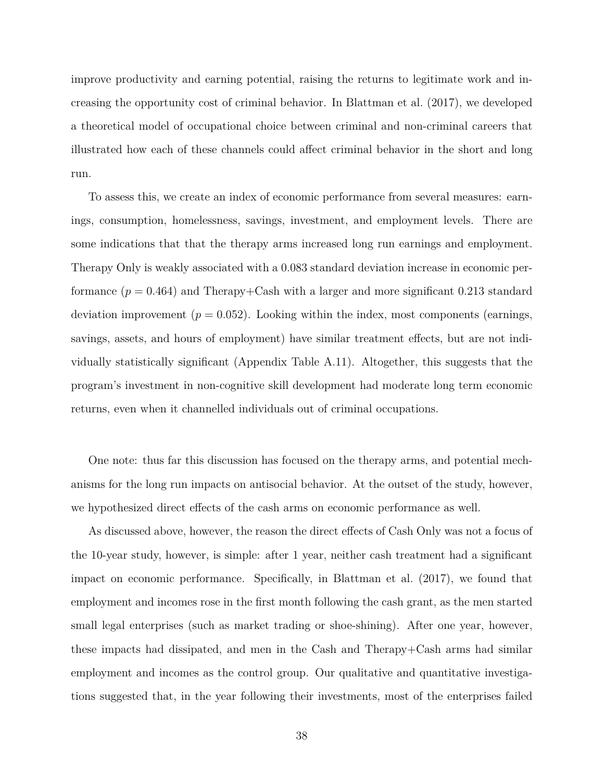improve productivity and earning potential, raising the returns to legitimate work and increasing the opportunity cost of criminal behavior. In [Blattman et al.](#page-42-1) [\(2017\)](#page-42-1), we developed a theoretical model of occupational choice between criminal and non-criminal careers that illustrated how each of these channels could affect criminal behavior in the short and long run.

To assess this, we create an index of economic performance from several measures: earnings, consumption, homelessness, savings, investment, and employment levels. There are some indications that that the therapy arms increased long run earnings and employment. Therapy Only is weakly associated with a 0.083 standard deviation increase in economic performance  $(p = 0.464)$  and Therapy+Cash with a larger and more significant 0.213 standard deviation improvement  $(p = 0.052)$ . Looking within the index, most components (earnings, savings, assets, and hours of employment) have similar treatment effects, but are not individually statistically significant (Appendix Table [A.11\)](#page-52-1). Altogether, this suggests that the program's investment in non-cognitive skill development had moderate long term economic returns, even when it channelled individuals out of criminal occupations.

One note: thus far this discussion has focused on the therapy arms, and potential mechanisms for the long run impacts on antisocial behavior. At the outset of the study, however, we hypothesized direct effects of the cash arms on economic performance as well.

As discussed above, however, the reason the direct effects of Cash Only was not a focus of the 10-year study, however, is simple: after 1 year, neither cash treatment had a significant impact on economic performance. Specifically, in [Blattman et al.](#page-42-1) [\(2017\)](#page-42-1), we found that employment and incomes rose in the first month following the cash grant, as the men started small legal enterprises (such as market trading or shoe-shining). After one year, however, these impacts had dissipated, and men in the Cash and Therapy+Cash arms had similar employment and incomes as the control group. Our qualitative and quantitative investigations suggested that, in the year following their investments, most of the enterprises failed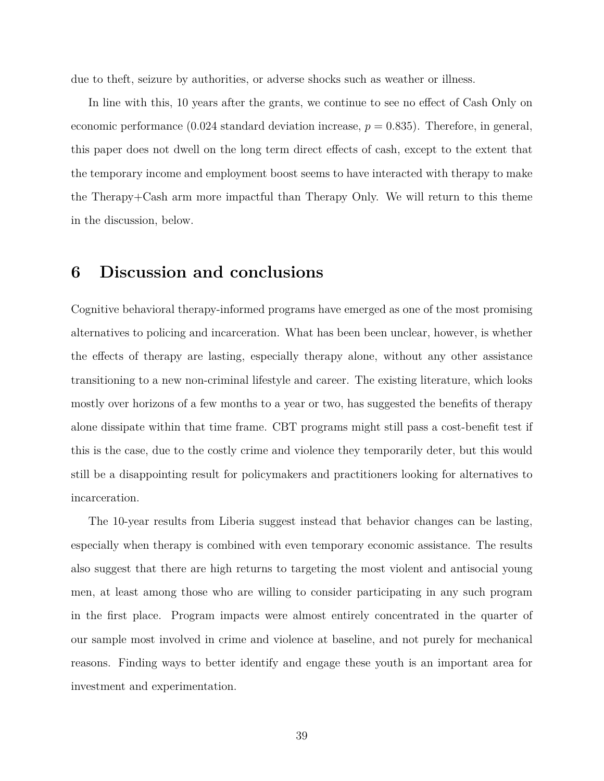due to theft, seizure by authorities, or adverse shocks such as weather or illness.

In line with this, 10 years after the grants, we continue to see no effect of Cash Only on economic performance  $(0.024$  standard deviation increase,  $p = 0.835$ ). Therefore, in general, this paper does not dwell on the long term direct effects of cash, except to the extent that the temporary income and employment boost seems to have interacted with therapy to make the Therapy+Cash arm more impactful than Therapy Only. We will return to this theme in the discussion, below.

## **6 Discussion and conclusions**

Cognitive behavioral therapy-informed programs have emerged as one of the most promising alternatives to policing and incarceration. What has been been unclear, however, is whether the effects of therapy are lasting, especially therapy alone, without any other assistance transitioning to a new non-criminal lifestyle and career. The existing literature, which looks mostly over horizons of a few months to a year or two, has suggested the benefits of therapy alone dissipate within that time frame. CBT programs might still pass a cost-benefit test if this is the case, due to the costly crime and violence they temporarily deter, but this would still be a disappointing result for policymakers and practitioners looking for alternatives to incarceration.

The 10-year results from Liberia suggest instead that behavior changes can be lasting, especially when therapy is combined with even temporary economic assistance. The results also suggest that there are high returns to targeting the most violent and antisocial young men, at least among those who are willing to consider participating in any such program in the first place. Program impacts were almost entirely concentrated in the quarter of our sample most involved in crime and violence at baseline, and not purely for mechanical reasons. Finding ways to better identify and engage these youth is an important area for investment and experimentation.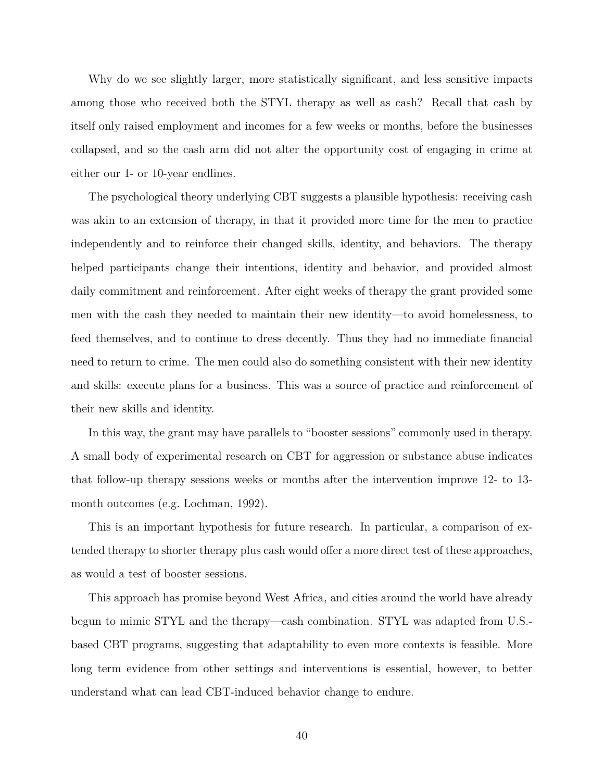Why do we see slightly larger, more statistically significant, and less sensitive impacts among those who received both the STYL therapy as well as cash? Recall that cash by itself only raised employment and incomes for a few weeks or months, before the businesses collapsed, and so the cash arm did not alter the opportunity cost of engaging in crime at either our 1- or 10-year endlines.

The psychological theory underlying CBT suggests a plausible hypothesis: receiving cash was akin to an extension of therapy, in that it provided more time for the men to practice independently and to reinforce their changed skills, identity, and behaviors. The therapy helped participants change their intentions, identity and behavior, and provided almost daily commitment and reinforcement. After eight weeks of therapy the grant provided some men with the cash they needed to maintain their new identity—to avoid homelessness, to feed themselves, and to continue to dress decently. Thus they had no immediate financial need to return to crime. The men could also do something consistent with their new identity and skills: execute plans for a business. This was a source of practice and reinforcement of their new skills and identity.

In this way, the grant may have parallels to "booster sessions" commonly used in therapy. A small body of experimental research on CBT for aggression or substance abuse indicates that follow-up therapy sessions weeks or months after the intervention improve 12- to 13 month outcomes (e.g. [Lochman, 1992\)](#page-44-9).

This is an important hypothesis for future research. In particular, a comparison of extended therapy to shorter therapy plus cash would offer a more direct test of these approaches, as would a test of booster sessions.

This approach has promise beyond West Africa, and cities around the world have already begun to mimic STYL and the therapy—cash combination. STYL was adapted from U.S. based CBT programs, suggesting that adaptability to even more contexts is feasible. More long term evidence from other settings and interventions is essential, however, to better understand what can lead CBT-induced behavior change to endure.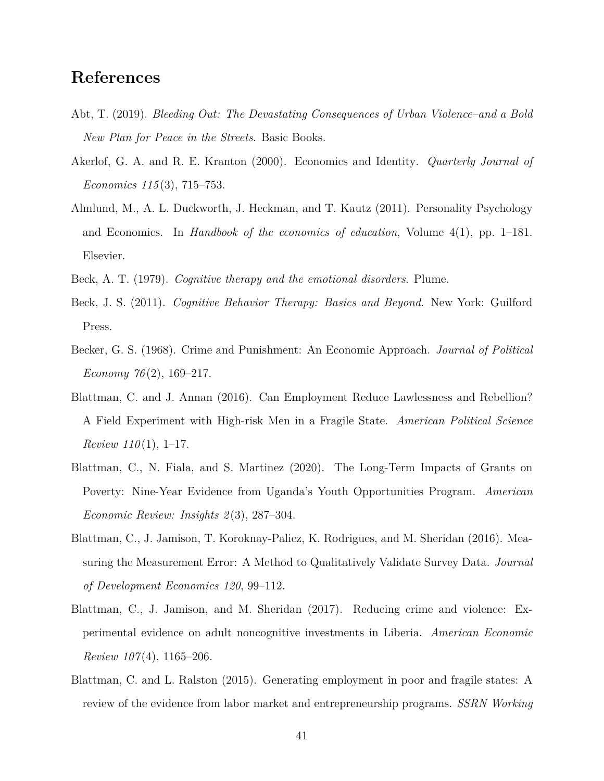## **References**

- <span id="page-42-0"></span>Abt, T. (2019). *Bleeding Out: The Devastating Consequences of Urban Violence–and a Bold New Plan for Peace in the Streets*. Basic Books.
- <span id="page-42-10"></span>Akerlof, G. A. and R. E. Kranton (2000). Economics and Identity. *Quarterly Journal of Economics 115* (3), 715–753.
- <span id="page-42-9"></span>Almlund, M., A. L. Duckworth, J. Heckman, and T. Kautz (2011). Personality Psychology and Economics. In *Handbook of the economics of education*, Volume 4(1), pp. 1–181. Elsevier.
- <span id="page-42-4"></span><span id="page-42-3"></span>Beck, A. T. (1979). *Cognitive therapy and the emotional disorders*. Plume.
- Beck, J. S. (2011). *Cognitive Behavior Therapy: Basics and Beyond*. New York: Guilford Press.
- <span id="page-42-6"></span>Becker, G. S. (1968). Crime and Punishment: An Economic Approach. *Journal of Political Economy 76* (2), 169–217.
- <span id="page-42-2"></span>Blattman, C. and J. Annan (2016). Can Employment Reduce Lawlessness and Rebellion? A Field Experiment with High-risk Men in a Fragile State. *American Political Science Review 110* (1), 1–17.
- <span id="page-42-5"></span>Blattman, C., N. Fiala, and S. Martinez (2020). The Long-Term Impacts of Grants on Poverty: Nine-Year Evidence from Uganda's Youth Opportunities Program. *American Economic Review: Insights 2* (3), 287–304.
- <span id="page-42-8"></span>Blattman, C., J. Jamison, T. Koroknay-Palicz, K. Rodrigues, and M. Sheridan (2016). Measuring the Measurement Error: A Method to Qualitatively Validate Survey Data. *Journal of Development Economics 120*, 99–112.
- <span id="page-42-1"></span>Blattman, C., J. Jamison, and M. Sheridan (2017). Reducing crime and violence: Experimental evidence on adult noncognitive investments in Liberia. *American Economic Review 107* (4), 1165–206.
- <span id="page-42-7"></span>Blattman, C. and L. Ralston (2015). Generating employment in poor and fragile states: A review of the evidence from labor market and entrepreneurship programs. *SSRN Working*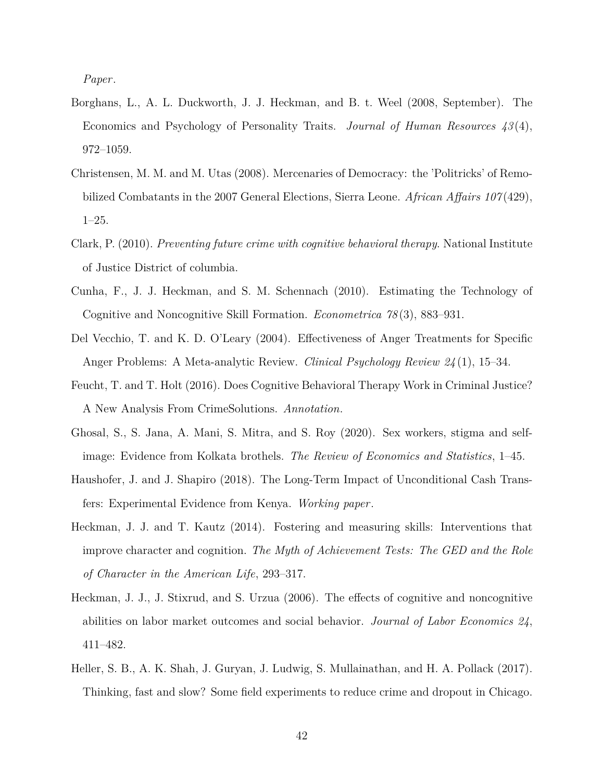*Paper*.

- <span id="page-43-4"></span>Borghans, L., A. L. Duckworth, J. J. Heckman, and B. t. Weel (2008, September). The Economics and Psychology of Personality Traits. *Journal of Human Resources 43* (4), 972–1059.
- <span id="page-43-8"></span>Christensen, M. M. and M. Utas (2008). Mercenaries of Democracy: the 'Politricks' of Remobilized Combatants in the 2007 General Elections, Sierra Leone. *African Affairs 107* (429), 1–25.
- <span id="page-43-1"></span>Clark, P. (2010). *Preventing future crime with cognitive behavioral therapy*. National Institute of Justice District of columbia.
- <span id="page-43-5"></span>Cunha, F., J. J. Heckman, and S. M. Schennach (2010). Estimating the Technology of Cognitive and Noncognitive Skill Formation. *Econometrica 78* (3), 883–931.
- <span id="page-43-9"></span>Del Vecchio, T. and K. D. O'Leary (2004). Effectiveness of Anger Treatments for Specific Anger Problems: A Meta-analytic Review. *Clinical Psychology Review 24* (1), 15–34.
- <span id="page-43-2"></span>Feucht, T. and T. Holt (2016). Does Cognitive Behavioral Therapy Work in Criminal Justice? A New Analysis From CrimeSolutions. *Annotation*.
- <span id="page-43-7"></span>Ghosal, S., S. Jana, A. Mani, S. Mitra, and S. Roy (2020). Sex workers, stigma and selfimage: Evidence from Kolkata brothels. *The Review of Economics and Statistics*, 1–45.
- <span id="page-43-10"></span>Haushofer, J. and J. Shapiro (2018). The Long-Term Impact of Unconditional Cash Transfers: Experimental Evidence from Kenya. *Working paper*.
- <span id="page-43-6"></span>Heckman, J. J. and T. Kautz (2014). Fostering and measuring skills: Interventions that improve character and cognition. *The Myth of Achievement Tests: The GED and the Role of Character in the American Life*, 293–317.
- <span id="page-43-3"></span>Heckman, J. J., J. Stixrud, and S. Urzua (2006). The effects of cognitive and noncognitive abilities on labor market outcomes and social behavior. *Journal of Labor Economics 24*, 411–482.
- <span id="page-43-0"></span>Heller, S. B., A. K. Shah, J. Guryan, J. Ludwig, S. Mullainathan, and H. A. Pollack (2017). Thinking, fast and slow? Some field experiments to reduce crime and dropout in Chicago.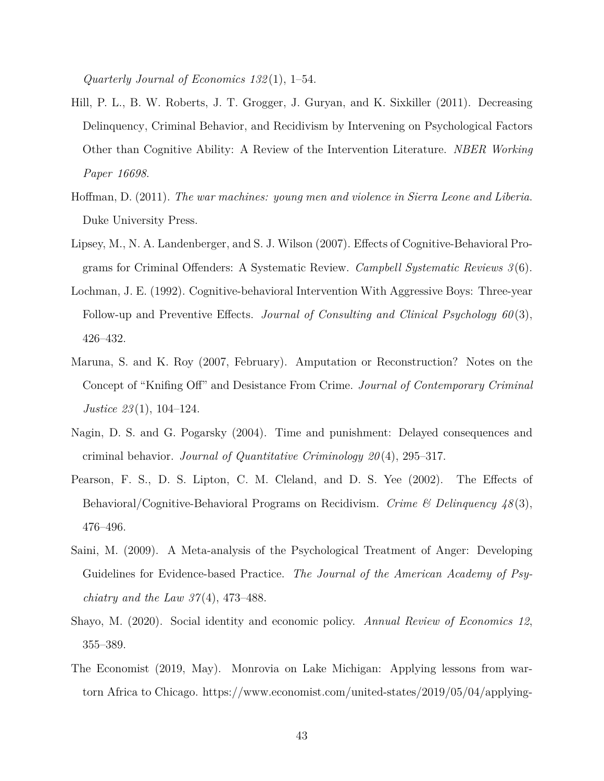*Quarterly Journal of Economics 132* (1), 1–54.

- <span id="page-44-3"></span>Hill, P. L., B. W. Roberts, J. T. Grogger, J. Guryan, and K. Sixkiller (2011). Decreasing Delinquency, Criminal Behavior, and Recidivism by Intervening on Psychological Factors Other than Cognitive Ability: A Review of the Intervention Literature. *NBER Working Paper 16698*.
- <span id="page-44-4"></span>Hoffman, D. (2011). *The war machines: young men and violence in Sierra Leone and Liberia*. Duke University Press.
- <span id="page-44-0"></span>Lipsey, M., N. A. Landenberger, and S. J. Wilson (2007). Effects of Cognitive-Behavioral Programs for Criminal Offenders: A Systematic Review. *Campbell Systematic Reviews 3* (6).
- <span id="page-44-9"></span>Lochman, J. E. (1992). Cognitive-behavioral Intervention With Aggressive Boys: Three-year Follow-up and Preventive Effects. *Journal of Consulting and Clinical Psychology 60* (3), 426–432.
- <span id="page-44-8"></span>Maruna, S. and K. Roy (2007, February). Amputation or Reconstruction? Notes on the Concept of "Knifing Off" and Desistance From Crime. *Journal of Contemporary Criminal Justice 23* (1), 104–124.
- <span id="page-44-2"></span>Nagin, D. S. and G. Pogarsky (2004). Time and punishment: Delayed consequences and criminal behavior. *Journal of Quantitative Criminology 20* (4), 295–317.
- <span id="page-44-6"></span>Pearson, F. S., D. S. Lipton, C. M. Cleland, and D. S. Yee (2002). The Effects of Behavioral/Cognitive-Behavioral Programs on Recidivism. *Crime & Delinquency 48* (3), 476–496.
- <span id="page-44-5"></span>Saini, M. (2009). A Meta-analysis of the Psychological Treatment of Anger: Developing Guidelines for Evidence-based Practice. *The Journal of the American Academy of Psychiatry and the Law 37* (4), 473–488.
- <span id="page-44-7"></span>Shayo, M. (2020). Social identity and economic policy. *Annual Review of Economics 12*, 355–389.
- <span id="page-44-1"></span>The Economist (2019, May). Monrovia on Lake Michigan: Applying lessons from wartorn Africa to Chicago. https://www.economist.com/united-states/2019/05/04/applying-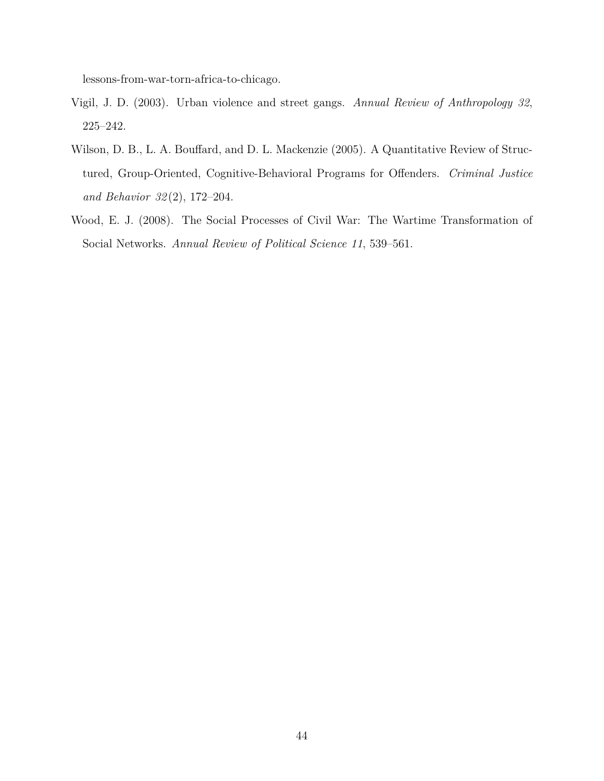lessons-from-war-torn-africa-to-chicago.

- <span id="page-45-1"></span>Vigil, J. D. (2003). Urban violence and street gangs. *Annual Review of Anthropology 32*, 225–242.
- <span id="page-45-0"></span>Wilson, D. B., L. A. Bouffard, and D. L. Mackenzie (2005). A Quantitative Review of Structured, Group-Oriented, Cognitive-Behavioral Programs for Offenders. *Criminal Justice and Behavior 32* (2), 172–204.
- <span id="page-45-2"></span>Wood, E. J. (2008). The Social Processes of Civil War: The Wartime Transformation of Social Networks. *Annual Review of Political Science 11*, 539–561.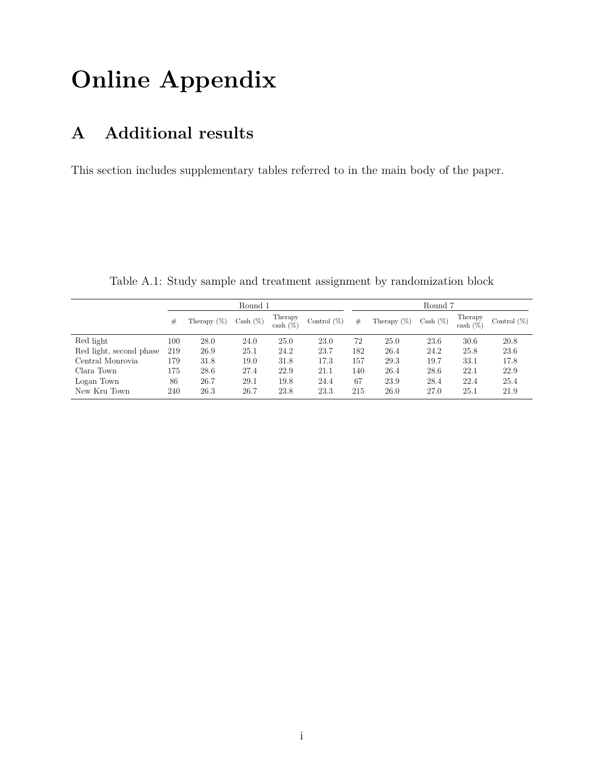# **Online Appendix**

## **A Additional results**

This section includes supplementary tables referred to in the main body of the paper.

<span id="page-46-0"></span>

|                         |     | Round 1        |                           |                        |                |     | Round 7        |             |                        |                |  |  |  |
|-------------------------|-----|----------------|---------------------------|------------------------|----------------|-----|----------------|-------------|------------------------|----------------|--|--|--|
|                         | #   | Therapy $(\%)$ | $\operatorname{Cash}(\%)$ | Therapy<br>cash $(\%)$ | Control $(\%)$ | #   | Therapy $(\%)$ | $Cash (\%)$ | Therapy<br>cash $(\%)$ | Control $(\%)$ |  |  |  |
| Red light               | 100 | 28.0           | 24.0                      | 25.0                   | 23.0           | 72  | 25.0           | 23.6        | 30.6                   | 20.8           |  |  |  |
| Red light, second phase | 219 | 26.9           | 25.1                      | 24.2                   | 23.7           | 182 | 26.4           | 24.2        | 25.8                   | 23.6           |  |  |  |
| Central Monrovia        | 179 | 31.8           | 19.0                      | 31.8                   | 17.3           | 157 | 29.3           | 19.7        | 33.1                   | 17.8           |  |  |  |
| Clara Town              | 175 | 28.6           | 27.4                      | 22.9                   | 21.1           | 140 | 26.4           | 28.6        | 22.1                   | 22.9           |  |  |  |
| Logan Town              | 86  | 26.7           | 29.1                      | 19.8                   | 24.4           | 67  | 23.9           | 28.4        | 22.4                   | 25.4           |  |  |  |
| New Kru Town            | 240 | 26.3           | 26.7                      | 23.8                   | 23.3           | 215 | 26.0           | 27.0        | 25.1                   | 21.9           |  |  |  |

Table A.1: Study sample and treatment assignment by randomization block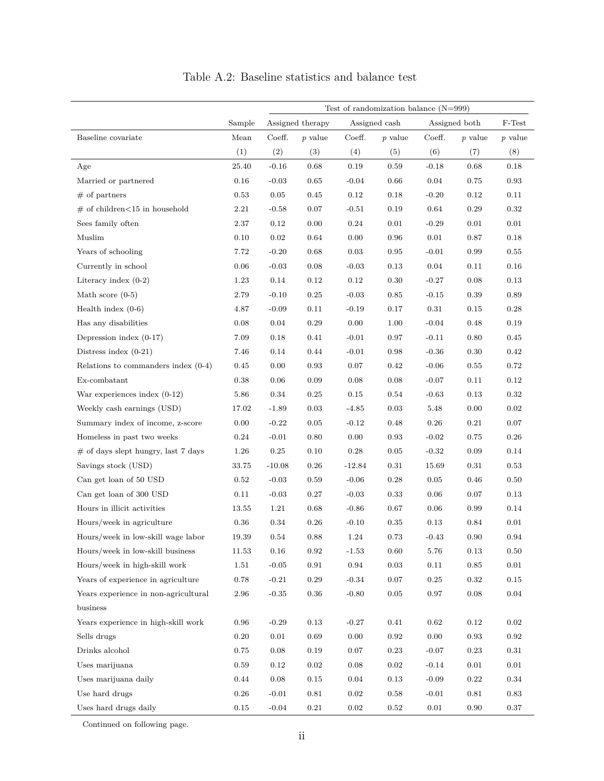<span id="page-47-0"></span>

|                                        | Test of randomization balance $(N=999)$ |            |                  |            |               |          |               |            |  |  |
|----------------------------------------|-----------------------------------------|------------|------------------|------------|---------------|----------|---------------|------------|--|--|
|                                        | Sample                                  |            | Assigned therapy |            | Assigned cash |          | Assigned both | F-Test     |  |  |
| Baseline covariate                     | Mean                                    | Coeff.     | $p$ value        | Coeff.     | $p$ value     | Coeff.   | $p$ value     | $p$ value  |  |  |
|                                        | (1)                                     | (2)        | (3)              | (4)        | (5)           | (6)      | (7)           | (8)        |  |  |
| Age                                    | 25.40                                   | $-0.16$    | $\,0.68\,$       | 0.19       | 0.59          | $-0.18$  | 0.68          | $0.18\,$   |  |  |
| Married or partnered                   | 0.16                                    | $-0.03$    | 0.65             | $-0.04$    | 0.66          | 0.04     | 0.75          | 0.93       |  |  |
| $\#$ of partners                       | 0.53                                    | $\rm 0.05$ | 0.45             | 0.12       | 0.18          | $-0.20$  | 0.12          | 0.11       |  |  |
| $\#$ of children<15 in household       | 2.21                                    | $-0.58$    | 0.07             | $-0.51$    | 0.19          | 0.64     | 0.29          | 0.32       |  |  |
| Sees family often                      | 2.37                                    | 0.12       | 0.00             | 0.24       | 0.01          | $-0.29$  | 0.01          | 0.01       |  |  |
| Muslim                                 | 0.10                                    | $\rm 0.02$ | 0.64             | 0.00       | 0.96          | 0.01     | 0.87          | 0.18       |  |  |
| Years of schooling                     | 7.72                                    | $-0.20$    | 0.68             | $\rm 0.03$ | $\rm 0.95$    | $-0.01$  | 0.99          | $0.55\,$   |  |  |
| Currently in school                    | 0.06                                    | $-0.03$    | 0.08             | $-0.03$    | 0.13          | 0.04     | 0.11          | $0.16\,$   |  |  |
| Literacy index $(0-2)$                 | 1.23                                    | $0.14\,$   | 0.12             | $0.12\,$   | $0.30\,$      | $-0.27$  | 0.08          | 0.13       |  |  |
| Math score $(0-5)$                     | 2.79                                    | $-0.10$    | $\rm 0.25$       | $-0.03$    | $\rm 0.85$    | $-0.15$  | 0.39          | 0.89       |  |  |
| Health index $(0-6)$                   | 4.87                                    | $-0.09$    | 0.11             | $-0.19$    | 0.17          | $0.31\,$ | 0.15          | $0.28\,$   |  |  |
| Has any disabilities                   | 0.08                                    | $0.04\,$   | $\rm 0.29$       | $0.00\,$   | $1.00\,$      | $-0.04$  | 0.48          | $0.19\,$   |  |  |
| Depression index $(0-17)$              | 7.09                                    | 0.18       | $0.41\,$         | $-0.01$    | 0.97          | $-0.11$  | 0.80          | $0.45\,$   |  |  |
| Distress index $(0-21)$                | 7.46                                    | 0.14       | 0.44             | $-0.01$    | 0.98          | $-0.36$  | 0.30          | 0.42       |  |  |
| Relations to commanders index $(0-4)$  | 0.45                                    | $0.00\,$   | $\rm 0.93$       | 0.07       | $0.42\,$      | $-0.06$  | 0.55          | $0.72\,$   |  |  |
| Ex-combatant                           | 0.38                                    | 0.06       | $0.09\,$         | 0.08       | 0.08          | $-0.07$  | 0.11          | $0.12\,$   |  |  |
| War experiences index $(0-12)$         | 5.86                                    | 0.34       | 0.25             | 0.15       | 0.54          | $-0.63$  | 0.13          | $\rm 0.32$ |  |  |
| Weekly cash earnings (USD)             | 17.02                                   | $-1.89$    | 0.03             | $-4.85$    | $\rm 0.03$    | 5.48     | 0.00          | 0.02       |  |  |
| Summary index of income, z-score       | $0.00\,$                                | $-0.22$    | $\rm 0.05$       | $-0.12$    | 0.48          | 0.26     | 0.21          | 0.07       |  |  |
| Homeless in past two weeks             | 0.24                                    | $-0.01$    | $0.80\,$         | 0.00       | 0.93          | $-0.02$  | 0.75          | $0.26\,$   |  |  |
| $\#$ of days slept hungry, last 7 days | 1.26                                    | $\rm 0.25$ | $0.10\,$         | 0.28       | 0.05          | $-0.32$  | 0.09          | 0.14       |  |  |
| Savings stock (USD)                    | 33.75                                   | $-10.08$   | 0.26             | $-12.84$   | 0.31          | 15.69    | 0.31          | 0.53       |  |  |
| Can get loan of 50 USD                 | 0.52                                    | $-0.03$    | 0.59             | $-0.06$    | 0.28          | 0.05     | 0.46          | 0.50       |  |  |
| Can get loan of 300 USD                | 0.11                                    | $-0.03$    | 0.27             | $-0.03$    | 0.33          | 0.06     | 0.07          | 0.13       |  |  |
| Hours in illicit activities            | 13.55                                   | 1.21       | 0.68             | $-0.86$    | 0.67          | 0.06     | 0.99          | 0.14       |  |  |
| Hours/week in agriculture              | 0.36                                    | 0.34       | 0.26             | $-0.10$    | 0.35          | 0.13     | 0.84          | $0.01\,$   |  |  |
| Hours/week in low-skill wage labor     | 19.39                                   | 0.54       | 0.88             | 1.24       | 0.73          | $-0.43$  | 0.90          | 0.94       |  |  |
| Hours/week in low-skill business       | 11.53                                   | $0.16\,$   | $\rm 0.92$       | $-1.53$    | 0.60          | $5.76\,$ | $\rm 0.13$    | $0.50\,$   |  |  |
| Hours/week in high-skill work          | 1.51                                    | $-0.05$    | 0.91             | $\,0.94$   | 0.03          | 0.11     | 0.85          | 0.01       |  |  |
| Years of experience in agriculture     | 0.78                                    | $-0.21$    | 0.29             | $-0.34$    | 0.07          | 0.25     | 0.32          | 0.15       |  |  |
| Years experience in non-agricultural   | 2.96                                    | $-0.35$    | $\rm 0.36$       | $-0.80$    | $\rm 0.05$    | $0.97\,$ | 0.08          | $0.04\,$   |  |  |
| business                               |                                         |            |                  |            |               |          |               |            |  |  |
| Years experience in high-skill work    | 0.96                                    | $-0.29$    | 0.13             | $-0.27$    | 0.41          | 0.62     | 0.12          | 0.02       |  |  |
| Sells drugs                            | 0.20                                    | 0.01       | 0.69             | 0.00       | 0.92          | 0.00     | 0.93          | 0.92       |  |  |
| Drinks alcohol                         | 0.75                                    | 0.08       | 0.19             | 0.07       | 0.23          | $-0.07$  | 0.23          | 0.31       |  |  |
| Uses marijuana                         | 0.59                                    | 0.12       | $\rm 0.02$       | 0.08       | $0.02\,$      | $-0.14$  | 0.01          | 0.01       |  |  |
| Uses marijuana daily                   | 0.44                                    | 0.08       | 0.15             | 0.04       | 0.13          | $-0.09$  | 0.22          | 0.34       |  |  |
| Use hard drugs                         | 0.26                                    | $-0.01$    | 0.81             | 0.02       | 0.58          | $-0.01$  | 0.81          | 0.83       |  |  |
| Uses hard drugs daily                  | $0.15\,$                                | $-0.04$    | $\rm 0.21$       | $\rm 0.02$ | $\rm 0.52$    | $0.01\,$ | 0.90          | $0.37\,$   |  |  |

Table A.2: Baseline statistics and balance test

Continued on following page.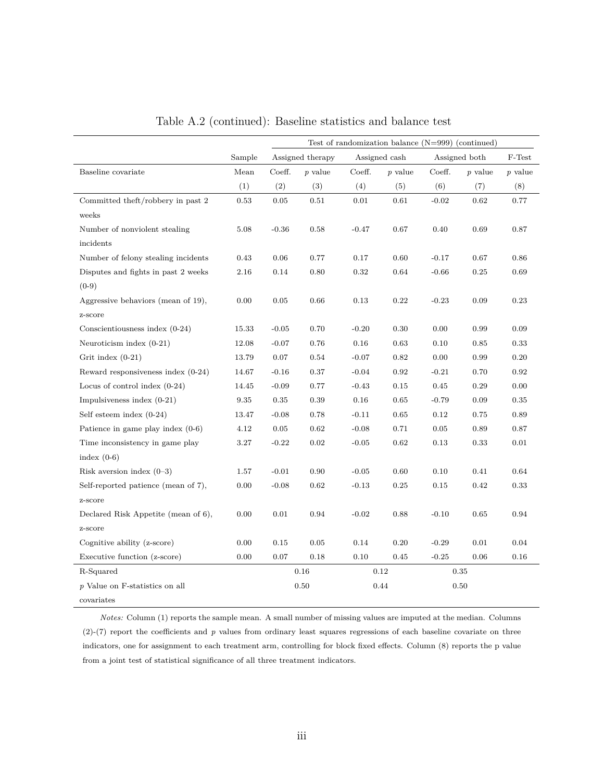|                                     |        | Test of randomization balance $(N=999)$ (continued) |                  |         |               |         |               |           |  |  |
|-------------------------------------|--------|-----------------------------------------------------|------------------|---------|---------------|---------|---------------|-----------|--|--|
|                                     | Sample |                                                     | Assigned therapy |         | Assigned cash |         | Assigned both | F-Test    |  |  |
| Baseline covariate                  | Mean   | Coeff.                                              | $p$ value        | Coeff.  | $p$ value     | Coeff.  | $p$ value     | $p$ value |  |  |
|                                     | (1)    | (2)                                                 | (3)              | (4)     | (5)           | (6)     | (7)           | (8)       |  |  |
| Committed theft/robbery in past 2   | 0.53   | 0.05                                                | 0.51             | 0.01    | 0.61          | $-0.02$ | 0.62          | 0.77      |  |  |
| weeks                               |        |                                                     |                  |         |               |         |               |           |  |  |
| Number of nonviolent stealing       | 5.08   | $-0.36$                                             | 0.58             | $-0.47$ | 0.67          | 0.40    | 0.69          | 0.87      |  |  |
| incidents                           |        |                                                     |                  |         |               |         |               |           |  |  |
| Number of felony stealing incidents | 0.43   | 0.06                                                | 0.77             | 0.17    | 0.60          | $-0.17$ | 0.67          | 0.86      |  |  |
| Disputes and fights in past 2 weeks | 2.16   | 0.14                                                | 0.80             | 0.32    | 0.64          | $-0.66$ | 0.25          | 0.69      |  |  |
| $(0-9)$                             |        |                                                     |                  |         |               |         |               |           |  |  |
| Aggressive behaviors (mean of 19),  | 0.00   | 0.05                                                | 0.66             | 0.13    | 0.22          | $-0.23$ | 0.09          | 0.23      |  |  |
| z-score                             |        |                                                     |                  |         |               |         |               |           |  |  |
| Conscientiousness index $(0-24)$    | 15.33  | $-0.05$                                             | 0.70             | $-0.20$ | 0.30          | 0.00    | 0.99          | 0.09      |  |  |
| Neuroticism index $(0-21)$          | 12.08  | $-0.07$                                             | 0.76             | 0.16    | 0.63          | 0.10    | 0.85          | 0.33      |  |  |
| Grit index $(0-21)$                 | 13.79  | 0.07                                                | 0.54             | $-0.07$ | 0.82          | 0.00    | 0.99          | 0.20      |  |  |
| Reward responsiveness index (0-24)  | 14.67  | $-0.16$                                             | 0.37             | $-0.04$ | 0.92          | $-0.21$ | 0.70          | 0.92      |  |  |
| Locus of control index $(0-24)$     | 14.45  | $-0.09$                                             | 0.77             | $-0.43$ | 0.15          | 0.45    | 0.29          | 0.00      |  |  |
| Impulsiveness index $(0-21)$        | 9.35   | 0.35                                                | 0.39             | 0.16    | 0.65          | $-0.79$ | 0.09          | 0.35      |  |  |
| Self esteem index $(0-24)$          | 13.47  | $-0.08$                                             | 0.78             | $-0.11$ | 0.65          | 0.12    | 0.75          | 0.89      |  |  |
| Patience in game play index $(0-6)$ | 4.12   | 0.05                                                | 0.62             | $-0.08$ | 0.71          | 0.05    | 0.89          | 0.87      |  |  |
| Time inconsistency in game play     | 3.27   | $-0.22$                                             | 0.02             | $-0.05$ | 0.62          | 0.13    | 0.33          | 0.01      |  |  |
| index $(0-6)$                       |        |                                                     |                  |         |               |         |               |           |  |  |
| Risk aversion index $(0-3)$         | 1.57   | $-0.01$                                             | 0.90             | $-0.05$ | 0.60          | 0.10    | 0.41          | 0.64      |  |  |
| Self-reported patience (mean of 7), | 0.00   | $-0.08$                                             | 0.62             | $-0.13$ | 0.25          | 0.15    | 0.42          | 0.33      |  |  |
| z-score                             |        |                                                     |                  |         |               |         |               |           |  |  |
| Declared Risk Appetite (mean of 6), | 0.00   | 0.01                                                | 0.94             | $-0.02$ | 0.88          | $-0.10$ | 0.65          | 0.94      |  |  |
| z-score                             |        |                                                     |                  |         |               |         |               |           |  |  |
| Cognitive ability (z-score)         | 0.00   | 0.15                                                | 0.05             | 0.14    | 0.20          | $-0.29$ | 0.01          | 0.04      |  |  |
| Executive function (z-score)        | 0.00   | 0.07                                                | 0.18             | 0.10    | 0.45          | $-0.25$ | 0.06          | 0.16      |  |  |
| R-Squared                           |        |                                                     | 0.16             | 0.12    |               | 0.35    |               |           |  |  |
| p Value on F-statistics on all      |        |                                                     | 0.50             |         | 0.44          |         | 0.50          |           |  |  |
| covariates                          |        |                                                     |                  |         |               |         |               |           |  |  |

Table [A.2](#page-47-0) (continued): Baseline statistics and balance test

*Notes:* Column (1) reports the sample mean. A small number of missing values are imputed at the median. Columns (2)-(7) report the coefficients and *p* values from ordinary least squares regressions of each baseline covariate on three indicators, one for assignment to each treatment arm, controlling for block fixed effects. Column (8) reports the p value from a joint test of statistical significance of all three treatment indicators.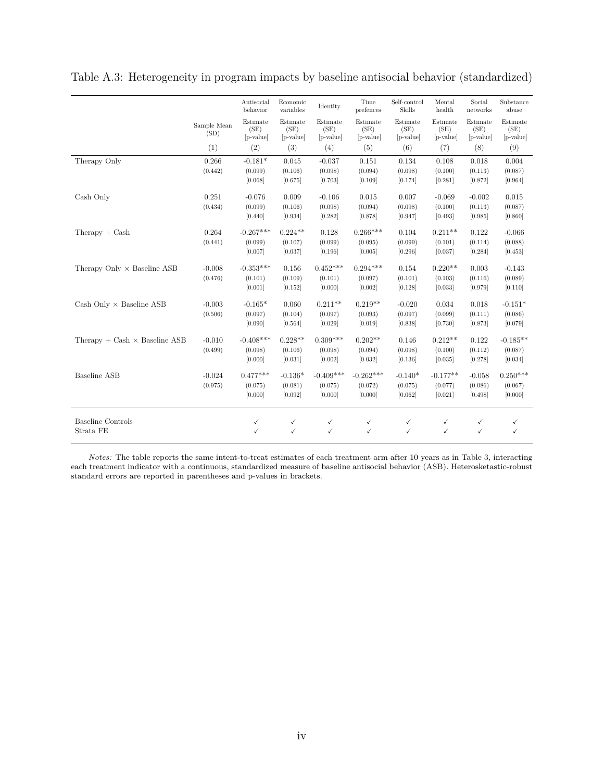|                                      |                     | Antisocial<br>behavior        | Economic<br>variables         | Identity                      | Time<br>prefences             | Self-control<br><b>Skills</b> | Mental<br>health              | Social<br>networks            | Substance<br>abuse            |
|--------------------------------------|---------------------|-------------------------------|-------------------------------|-------------------------------|-------------------------------|-------------------------------|-------------------------------|-------------------------------|-------------------------------|
|                                      | Sample Mean<br>(SD) | Estimate<br>(SE)<br>[p-value] | Estimate<br>(SE)<br>[p-value] | Estimate<br>(SE)<br>[p-value] | Estimate<br>(SE)<br>[p-value] | Estimate<br>(SE)<br>[p-value] | Estimate<br>(SE)<br>[p-value] | Estimate<br>(SE)<br>[p-value] | Estimate<br>(SE)<br>[p-value] |
|                                      | (1)                 | (2)                           | (3)                           | (4)                           | (5)                           | (6)                           | (7)                           | (8)                           | (9)                           |
| Therapy Only                         | 0.266               | $-0.181*$                     | 0.045                         | $-0.037$                      | 0.151                         | 0.134                         | 0.108                         | 0.018                         | 0.004                         |
|                                      | (0.442)             | (0.099)                       | (0.106)                       | (0.098)                       | (0.094)                       | (0.098)                       | (0.100)                       | (0.113)                       | (0.087)                       |
|                                      |                     | [0.068]                       | [0.675]                       | [0.703]                       | [0.109]                       | [0.174]                       | [0.281]                       | [0.872]                       | [0.964]                       |
| Cash Only                            | 0.251               | $-0.076$                      | 0.009                         | $-0.106$                      | 0.015                         | 0.007                         | $-0.069$                      | $-0.002$                      | 0.015                         |
|                                      | (0.434)             | (0.099)                       | (0.106)                       | (0.098)                       | (0.094)                       | (0.098)                       | (0.100)                       | (0.113)                       | (0.087)                       |
|                                      |                     | [0.440]                       | [0.934]                       | [0.282]                       | [0.878]                       | [0.947]                       | [0.493]                       | [0.985]                       | [0.860]                       |
| $Therapy + Cash$                     | 0.264               | $-0.267***$                   | $0.224**$                     | 0.128                         | $0.266***$                    | 0.104                         | $0.211**$                     | 0.122                         | $-0.066$                      |
|                                      | (0.441)             | (0.099)                       | (0.107)                       | (0.099)                       | (0.095)                       | (0.099)                       | (0.101)                       | (0.114)                       | (0.088)                       |
|                                      |                     | [0.007]                       | [0.037]                       | [0.196]                       | [0.005]                       | [0.296]                       | [0.037]                       | [0.284]                       | [0.453]                       |
| Therapy Only $\times$ Baseline ASB   | $-0.008$            | $-0.353***$                   | 0.156                         | $0.452***$                    | $0.294***$                    | 0.154                         | $0.220**$                     | 0.003                         | $-0.143$                      |
|                                      | (0.476)             | (0.101)                       | (0.109)                       | (0.101)                       | (0.097)                       | (0.101)                       | (0.103)                       | (0.116)                       | (0.089)                       |
|                                      |                     | [0.001]                       | [0.152]                       | [0.000]                       | [0.002]                       | [0.128]                       | [0.033]                       | [0.979]                       | [0.110]                       |
| Cash Only $\times$ Baseline ASB      | $-0.003$            | $-0.165*$                     | 0.060                         | $0.211**$                     | $0.219**$                     | $-0.020$                      | 0.034                         | 0.018                         | $-0.151*$                     |
|                                      | (0.506)             | (0.097)                       | (0.104)                       | (0.097)                       | (0.093)                       | (0.097)                       | (0.099)                       | (0.111)                       | (0.086)                       |
|                                      |                     | [0.090]                       | [0.564]                       | [0.029]                       | [0.019]                       | [0.838]                       | [0.730]                       | [0.873]                       | [0.079]                       |
| Therapy + Cash $\times$ Baseline ASB | $-0.010$            | $-0.408***$                   | $0.228**$                     | $0.309***$                    | $0.202**$                     | 0.146                         | $0.212**$                     | 0.122                         | $-0.185**$                    |
|                                      | (0.499)             | (0.098)                       | (0.106)                       | (0.098)                       | (0.094)                       | (0.098)                       | (0.100)                       | (0.112)                       | (0.087)                       |
|                                      |                     | [0.000]                       | [0.031]                       | [0.002]                       | [0.032]                       | [0.136]                       | [0.035]                       | [0.278]                       | [0.034]                       |
| Baseline ASB                         | $-0.024$            | $0.477***$                    | $-0.136*$                     | $-0.409***$                   | $-0.262***$                   | $-0.140*$                     | $-0.177**$                    | $-0.058$                      | $0.250***$                    |
|                                      | (0.975)             | (0.075)                       | (0.081)                       | (0.075)                       | (0.072)                       | (0.075)                       | (0.077)                       | (0.086)                       | (0.067)                       |
|                                      |                     | [0.000]                       | [0.092]                       | [0.000]                       | [0.000]                       | [0.062]                       | [0.021]                       | [0.498]                       | [0.000]                       |
|                                      |                     |                               |                               |                               |                               |                               |                               |                               |                               |
| Baseline Controls                    |                     | ✓                             | ✓                             | $\checkmark$                  | $\checkmark$                  | ✓                             | ✓                             | ✓                             | ✓                             |
| Strata FE                            |                     | ✓                             | ✓                             | ✓                             | ✓                             | $\checkmark$                  | ✓                             | $\checkmark$                  | ✓                             |

<span id="page-49-0"></span>Table A.3: Heterogeneity in program impacts by baseline antisocial behavior (standardized)

*Notes:* The table reports the same intent-to-treat estimates of each treatment arm after 10 years as in Table [3,](#page-22-0) interacting each treatment indicator with a continuous, standardized measure of baseline antisocial behavior (ASB). Heterosketastic-robust standard errors are reported in parentheses and p-values in brackets.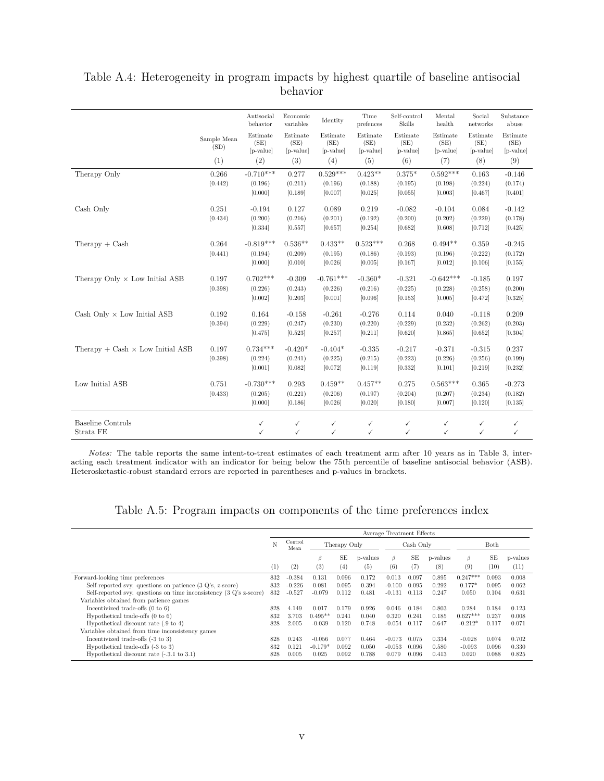|                                           |                     | Antisocial<br>behavior        | Economic<br>variables         | Identity                      | Time<br>prefences               | Self-control<br>Skills        | Mental<br>health                | Social<br>networks            | Substance<br>abuse            |
|-------------------------------------------|---------------------|-------------------------------|-------------------------------|-------------------------------|---------------------------------|-------------------------------|---------------------------------|-------------------------------|-------------------------------|
|                                           | Sample Mean<br>(SD) | Estimate<br>(SE)<br>[p-value] | Estimate<br>(SE)<br>[p-value] | Estimate<br>(SE)<br>[p-value] | Estimate<br>(SE)<br>$[p-value]$ | Estimate<br>(SE)<br>[p-value] | Estimate<br>(SE)<br>$[p-value]$ | Estimate<br>(SE)<br>[p-value] | Estimate<br>(SE)<br>[p-value] |
|                                           | (1)                 | (2)                           | (3)                           | (4)                           | (5)                             | (6)                           | (7)                             | (8)                           | (9)                           |
| Therapy Only                              | 0.266               | $-0.710***$                   | 0.277                         | $0.529***$                    | $0.423**$                       | $0.375*$                      | $0.592***$                      | 0.163                         | $-0.146$                      |
|                                           | (0.442)             | (0.196)<br>[0.000]            | (0.211)<br>[0.189]            | (0.196)<br>[0.007]            | (0.188)<br>[0.025]              | (0.195)<br>[0.055]            | (0.198)<br>[0.003]              | (0.224)<br>[0.467]            | (0.174)<br>[0.401]            |
|                                           |                     |                               |                               |                               |                                 |                               |                                 |                               |                               |
| Cash Only                                 | 0.251               | $-0.194$                      | 0.127                         | 0.089                         | 0.219                           | $-0.082$                      | $-0.104$                        | 0.084                         | $-0.142$                      |
|                                           | (0.434)             | (0.200)                       | (0.216)                       | (0.201)                       | (0.192)                         | (0.200)                       | (0.202)                         | (0.229)                       | (0.178)                       |
|                                           |                     | [0.334]                       | [0.557]                       | [0.657]                       | [0.254]                         | [0.682]                       | [0.608]                         | [0.712]                       | [0.425]                       |
| $Therapy + Cash$                          | 0.264               | $-0.819***$                   | $0.536**$                     | $0.433**$                     | $0.523***$                      | 0.268                         | $0.494**$                       | 0.359                         | $-0.245$                      |
|                                           | (0.441)             | (0.194)                       | (0.209)                       | (0.195)                       | (0.186)                         | (0.193)                       | (0.196)                         | (0.222)                       | (0.172)                       |
|                                           |                     | [0.000]                       | [0.010]                       | [0.026]                       | [0.005]                         | [0.167]                       | [0.012]                         | [0.106]                       | [0.155]                       |
| Therapy Only $\times$ Low Initial ASB     | 0.197               | $0.702***$                    | $-0.309$                      | $-0.761***$                   | $-0.360*$                       | $-0.321$                      | $-0.642***$                     | $-0.185$                      | 0.197                         |
|                                           | (0.398)             | (0.226)                       | (0.243)                       | (0.226)                       | (0.216)                         | (0.225)                       | (0.228)                         | (0.258)                       | (0.200)                       |
|                                           |                     | [0.002]                       | [0.203]                       | [0.001]                       | [0.096]                         | [0.153]                       | [0.005]                         | [0.472]                       | [0.325]                       |
| Cash Only $\times$ Low Initial ASB        | 0.192               | 0.164                         | $-0.158$                      | $-0.261$                      | $-0.276$                        | 0.114                         | 0.040                           | $-0.118$                      | 0.209                         |
|                                           | (0.394)             | (0.229)                       | (0.247)                       | (0.230)                       | (0.220)                         | (0.229)                       | (0.232)                         | (0.262)                       | (0.203)                       |
|                                           |                     | [0.475]                       | [0.523]                       | [0.257]                       | [0.211]                         | [0.620]                       | [0.865]                         | [0.652]                       | [0.304]                       |
| Therapy $+$ Cash $\times$ Low Initial ASB | 0.197               | $0.734***$                    | $-0.420*$                     | $-0.404*$                     | $-0.335$                        | $-0.217$                      | $-0.371$                        | $-0.315$                      | 0.237                         |
|                                           | (0.398)             | (0.224)                       | (0.241)                       | (0.225)                       | (0.215)                         | (0.223)                       | (0.226)                         | (0.256)                       | (0.199)                       |
|                                           |                     | [0.001]                       | [0.082]                       | [0.072]                       | [0.119]                         | [0.332]                       | [0.101]                         | [0.219]                       | [0.232]                       |
| Low Initial ASB                           | 0.751               | $-0.730***$                   | 0.293                         | $0.459**$                     | $0.457**$                       | 0.275                         | $0.563***$                      | 0.365                         | $-0.273$                      |
|                                           | (0.433)             | (0.205)                       | (0.221)                       | (0.206)                       | (0.197)                         | (0.204)                       | (0.207)                         | (0.234)                       | (0.182)                       |
|                                           |                     | [0.000]                       | [0.186]                       | [0.026]                       | [0.020]                         | [0.180]                       | [0.007]                         | [0.120]                       | [0.135]                       |
|                                           |                     |                               |                               |                               |                                 |                               |                                 |                               |                               |
| <b>Baseline Controls</b>                  |                     | ✓                             | ✓                             | ✓                             | ✓                               | ✓                             | ✓                               | ✓                             |                               |
| Strata FE                                 |                     | ✓                             | ✓                             | ✓                             | $\checkmark$                    | $\checkmark$                  | $\checkmark$                    | $\checkmark$                  | ✓                             |

### <span id="page-50-0"></span>Table A.4: Heterogeneity in program impacts by highest quartile of baseline antisocial behavior

*Notes:* The table reports the same intent-to-treat estimates of each treatment arm after 10 years as in Table [3,](#page-22-0) interacting each treatment indicator with an indicator for being below the 75th percentile of baseline antisocial behavior (ASB). Heterosketastic-robust standard errors are reported in parentheses and p-values in brackets.

Table A.5: Program impacts on components of the time preferences index

<span id="page-50-1"></span>

|                                                                    |     |                 |           |              |          | Average Treatment Effects |           |          |            |       |          |
|--------------------------------------------------------------------|-----|-----------------|-----------|--------------|----------|---------------------------|-----------|----------|------------|-------|----------|
|                                                                    | N   | Control<br>Mean |           | Therapy Only |          |                           | Cash Only |          | Both       |       |          |
|                                                                    |     |                 | β         | SE           | p-values | $\beta$                   | SE        | p-values | $\beta$    | SE    | p-values |
|                                                                    | (1) | (2)             | (3)       | (4)          | (5)      | (6)                       | (7)       | (8)      | (9)        | (10)  | (11)     |
| Forward-looking time preferences                                   | 832 | $-0.384$        | 0.131     | 0.096        | 0.172    | 0.013                     | 0.097     | 0.895    | $0.247***$ | 0.093 | 0.008    |
| Self-reported svy. questions on patience $(3 Q)$ 's, z-score)      | 832 | $-0.226$        | 0.081     | 0.095        | 0.394    | $-0.100$                  | 0.095     | 0.292    | $0.177*$   | 0.095 | 0.062    |
| Self-reported svy. questions on time inconsistency (3 Q's z-score) | 832 | $-0.527$        | $-0.079$  | 0.112        | 0.481    | $-0.131$                  | 0.113     | 0.247    | 0.050      | 0.104 | 0.631    |
| Variables obtained from patience games                             |     |                 |           |              |          |                           |           |          |            |       |          |
| Incentivized trade-offs $(0 \text{ to } 6)$                        | 828 | 4.149           | 0.017     | 0.179        | 0.926    | 0.046                     | 0.184     | 0.803    | 0.284      | 0.184 | 0.123    |
| Hypothetical trade-offs $(0 \text{ to } 6)$                        | 832 | 3.703           | $0.495**$ | 0.241        | 0.040    | 0.320                     | 0.241     | 0.185    | $0.627***$ | 0.237 | 0.008    |
| Hypothetical discount rate $(.9 \text{ to } 4)$                    | 828 | 2.005           | $-0.039$  | 0.120        | 0.748    | $-0.054$                  | 0.117     | 0.647    | $-0.212*$  | 0.117 | 0.071    |
| Variables obtained from time inconsistency games                   |     |                 |           |              |          |                           |           |          |            |       |          |
| Incentivized trade-offs (-3 to 3)                                  | 828 | 0.243           | $-0.056$  | 0.077        | 0.464    | $-0.073$                  | 0.075     | 0.334    | $-0.028$   | 0.074 | 0.702    |
| Hypothetical trade-offs $(-3 \text{ to } 3)$                       | 832 | 0.121           | $-0.179*$ | 0.092        | 0.050    | $-0.053$                  | 0.096     | 0.580    | $-0.093$   | 0.096 | 0.330    |
| Hypothetical discount rate $(-3.1 \text{ to } 3.1)$                | 828 | 0.005           | 0.025     | 0.092        | 0.788    | 0.079                     | 0.096     | 0.413    | 0.020      | 0.088 | 0.825    |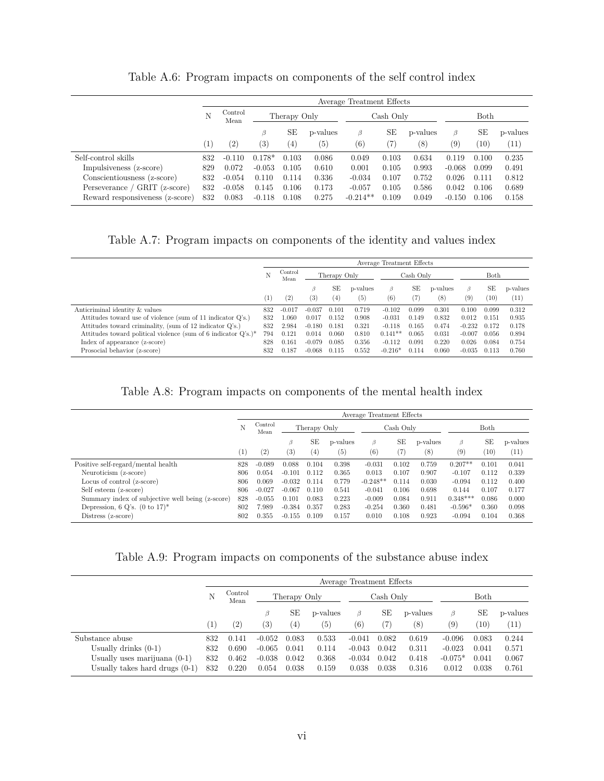<span id="page-51-0"></span>

|                                 | Average Treatment Effects |                                 |                   |       |          |            |           |          |                   |       |          |  |
|---------------------------------|---------------------------|---------------------------------|-------------------|-------|----------|------------|-----------|----------|-------------------|-------|----------|--|
|                                 | N                         | Control<br>Therapy Only<br>Mean |                   |       |          |            | Cash Only |          | Both              |       |          |  |
|                                 |                           |                                 | B                 | SE    | p-values | β          | SE        | p-values | β                 | SE    | p-values |  |
|                                 | $\left(1\right)$          | $\left( 2\right)$               | $\left( 3\right)$ | (4)   | (5)      | $^{(6)}$   | (7)       | (8)      | $\left( 9\right)$ | (10)  | (11)     |  |
| Self-control skills             | 832                       | $-0.110$                        | $0.178*$          | 0.103 | 0.086    | 0.049      | 0.103     | 0.634    | 0.119             | 0.100 | 0.235    |  |
| Impulsiveness (z-score)         | 829                       | 0.072                           | $-0.053$          | 0.105 | 0.610    | 0.001      | 0.105     | 0.993    | $-0.068$          | 0.099 | 0.491    |  |
| Conscientiousness (z-score)     | 832                       | $-0.054$                        | 0.110             | 0.114 | 0.336    | $-0.034$   | 0.107     | 0.752    | 0.026             | 0.111 | 0.812    |  |
| Perseverance / GRIT (z-score)   | 832                       | $-0.058$                        | 0.145             | 0.106 | 0.173    | $-0.057$   | 0.105     | 0.586    | 0.042             | 0.106 | 0.689    |  |
| Reward responsiveness (z-score) | 832                       | 0.083                           | $-0.118$          | 0.108 | 0.275    | $-0.214**$ | 0.109     | 0.049    | $-0.150$          | 0.106 | 0.158    |  |

Table A.6: Program impacts on components of the self control index

Table A.7: Program impacts on components of the identity and values index

<span id="page-51-1"></span>

|                                                                   | Average Treatment Effects |                                 |          |       |                   |           |       |          |                  |       |          |
|-------------------------------------------------------------------|---------------------------|---------------------------------|----------|-------|-------------------|-----------|-------|----------|------------------|-------|----------|
|                                                                   |                           | Control<br>Therapy Only<br>Mean |          |       | Cash Only         |           |       | Both     |                  |       |          |
|                                                                   |                           |                                 | B        | SЕ    | p-values          | $\beta$   | SE    | p-values | $\beta$          | SE    | p-values |
|                                                                   | $\left(1\right)$          | (2)                             | (3)      | (4)   | $\left( 5\right)$ | (6)       | (7)   | (8)      | $\left(9\right)$ | (10)  | (11)     |
| Anticriminal identity & values                                    | 832                       | $-0.017$                        | $-0.037$ | 0.101 | 0.719             | $-0.102$  | 0.099 | 0.301    | 0.100            | 0.099 | 0.312    |
| Attitudes toward use of violence (sum of 11 indicator Q's.)       | 832                       | 1.060                           | 0.017    | 0.152 | 0.908             | $-0.031$  | 0.149 | 0.832    | 0.012            | 0.151 | 0.935    |
| Attitudes toward criminality, (sum of 12 indicator Q's.)          | 832                       | 2.984                           | $-0.180$ | 0.181 | 0.321             | $-0.118$  | 0.165 | 0.474    | $-0.232$         | 0.172 | 0.178    |
| Attitudes toward political violence (sum of 6 indicator $Q$ 's.)* | 794                       | 0.121                           | 0.014    | 0.060 | 0.810             | $0.141**$ | 0.065 | 0.031    | $-0.007$         | 0.056 | 0.894    |
| Index of appearance (z-score)                                     | 828                       | 0.161                           | $-0.079$ | 0.085 | 0.356             | $-0.112$  | 0.091 | 0.220    | 0.026            | 0.084 | 0.754    |
| Prosocial behavior (z-score)                                      | 832                       | 0.187                           | $-0.068$ | 0.115 | 0.552             | $-0.216*$ | 0.114 | 0.060    | $-0.035$         | 0.113 | 0.760    |

Table A.8: Program impacts on components of the mental health index

|                                                  |                  |                 |              |       |          | Average Treatment Effects |       |          |                   |       |                   |
|--------------------------------------------------|------------------|-----------------|--------------|-------|----------|---------------------------|-------|----------|-------------------|-------|-------------------|
|                                                  |                  | Control<br>Mean | Therapy Only |       |          | Cash Only                 |       |          | Both              |       |                   |
|                                                  |                  |                 | Β            | SE    | p-values | β                         | SЕ    | p-values | B                 | SE    | p-values          |
|                                                  | $\left(1\right)$ | (2)             | (3)          | (4)   | (5)      | (6)                       | (7)   | (8)      | $\left( 9\right)$ | (10)  | $\left(11\right)$ |
| Positive self-regard/mental health               | 828              | $-0.089$        | 0.088        | 0.104 | 0.398    | $-0.031$                  | 0.102 | 0.759    | $0.207**$         | 0.101 | 0.041             |
| Neuroticism (z-score)                            | 806              | 0.054           | $-0.101$     | 0.112 | 0.365    | 0.013                     | 0.107 | 0.907    | $-0.107$          | 0.112 | 0.339             |
| Locus of control (z-score)                       | 806              | 0.069           | $-0.032$     | 0.114 | 0.779    | $-0.248**$                | 0.114 | 0.030    | $-0.094$          | 0.112 | 0.400             |
| Self esteem (z-score)                            | 806              | $-0.027$        | $-0.067$     | 0.110 | 0.541    | $-0.041$                  | 0.106 | 0.698    | 0.144             | 0.107 | 0.177             |
| Summary index of subjective well being (z-score) | 828              | $-0.055$        | 0.101        | 0.083 | 0.223    | $-0.009$                  | 0.084 | 0.911    | $0.348***$        | 0.086 | 0.000             |
| Depression, 6 Q's. $(0 \text{ to } 17)^*$        | 802              | 7.989           | $-0.384$     | 0.357 | 0.283    | $-0.254$                  | 0.360 | 0.481    | $-0.596*$         | 0.360 | 0.098             |
| Distress (z-score)                               | 802              | 0.355           | $-0.155$     | 0.109 | 0.157    | 0.010                     | 0.108 | 0.923    | $-0.094$          | 0.104 | 0.368             |

Table A.9: Program impacts on components of the substance abuse index

|                                  | Average Treatment Effects |                 |                   |                   |          |                   |           |          |           |       |          |  |
|----------------------------------|---------------------------|-----------------|-------------------|-------------------|----------|-------------------|-----------|----------|-----------|-------|----------|--|
|                                  | Ν                         | Control<br>Mean |                   | Therapy Only      |          |                   | Cash Only |          |           | Both  |          |  |
|                                  |                           |                 | ß                 | SЕ                | p-values | β                 | SЕ        | p-values | β         | SЕ    | p-values |  |
|                                  | $\left  \right $          | (2)             | $\left( 3\right)$ | $\left( 4\right)$ | (5)      | $\left( 6\right)$ |           | $^{(8)}$ | (9)       | (10)  | (11)     |  |
| Substance abuse                  | 832                       | 0.141           | $-0.052$          | 0.083             | 0.533    | $-0.041$          | 0.082     | 0.619    | $-0.096$  | 0.083 | 0.244    |  |
| Usually drinks $(0-1)$           | 832                       | 0.690           | $-0.065$          | 0.041             | 0.114    | $-0.043$          | 0.042     | 0.311    | $-0.023$  | 0.041 | 0.571    |  |
| Usually uses marijuana $(0-1)$   | 832                       | 0.462           | $-0.038$          | 0.042             | 0.368    | $-0.034$          | 0.042     | 0.418    | $-0.075*$ | 0.041 | 0.067    |  |
| Usually takes hard drugs $(0-1)$ | 832                       | 0.220           | 0.054             | 0.038             | 0.159    | 0.038             | 0.038     | 0.316    | 0.012     | 0.038 | 0.761    |  |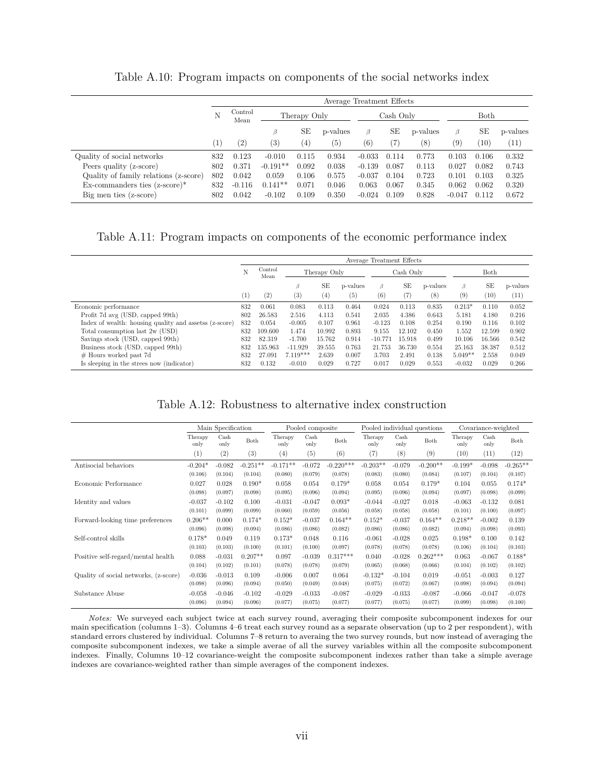<span id="page-52-2"></span>

|                                         | Average Treatment Effects |                 |                   |              |          |          |           |          |                   |             |          |
|-----------------------------------------|---------------------------|-----------------|-------------------|--------------|----------|----------|-----------|----------|-------------------|-------------|----------|
|                                         | N                         | Control<br>Mean |                   | Therapy Only |          |          | Cash Only |          |                   | <b>Both</b> |          |
|                                         |                           |                 | β                 | SЕ           | p-values | β        | SЕ        | p-values | β                 | SЕ          | p-values |
|                                         | $\left  \right $          | (2)             | $\left( 3\right)$ | $^{(4)}$     | (5)      | (6)      | (7)       | $^{(8)}$ | $\left( 9\right)$ | (10)        | (11)     |
| Quality of social networks              | 832                       | 0.123           | $-0.010$          | 0.115        | 0.934    | $-0.033$ | 0.114     | 0.773    | 0.103             | 0.106       | 0.332    |
| Peers quality (z-score)                 | 802                       | 0.371           | $-0.191**$        | 0.092        | 0.038    | $-0.139$ | 0.087     | 0.113    | 0.027             | 0.082       | 0.743    |
| Quality of family relations (z-score)   | 802                       | 0.042           | 0.059             | 0.106        | 0.575    | $-0.037$ | 0.104     | 0.723    | 0.101             | 0.103       | 0.325    |
| $Ex$ -commanders ties $(z$ -score $)^*$ | 832                       | $-0.116$        | $0.141**$         | 0.071        | 0.046    | 0.063    | 0.067     | 0.345    | 0.062             | 0.062       | 0.320    |
| Big men ties (z-score)                  | 802                       | 0.042           | $-0.102$          | 0.109        | 0.350    | $-0.024$ | 0.109     | 0.828    | $-0.047$          | 0.112       | 0.672    |

Table A.10: Program impacts on components of the social networks index

<span id="page-52-1"></span>Table A.11: Program impacts on components of the economic performance index

|                                                        | Average Treatment Effects |                 |            |              |          |           |        |          |           |        |          |
|--------------------------------------------------------|---------------------------|-----------------|------------|--------------|----------|-----------|--------|----------|-----------|--------|----------|
|                                                        | N                         | Control<br>Mean |            | Therapy Only |          | Cash Only |        |          | Both      |        |          |
|                                                        |                           |                 | $\beta$    | SE           | p-values | $\beta$   | SЕ     | p-values | B         | SE     | p-values |
|                                                        | $\left(1\right)$          | (2)             | (3)        | $^{(4)}$     | (5)      | $^{(6)}$  | (7)    | (8)      | (9)       | (10)   | (11)     |
| Economic performance                                   | 832                       | 0.061           | 0.083      | 0.113        | 0.464    | 0.024     | 0.113  | 0.835    | $0.213*$  | 0.110  | 0.052    |
| Profit 7d avg (USD, capped 99th)                       | 802                       | 26.583          | 2.516      | 4.113        | 0.541    | 2.035     | 4.386  | 0.643    | 5.181     | 4.180  | 0.216    |
| Index of wealth: housing quality and assetss (z-score) | 832                       | 0.054           | $-0.005$   | 0.107        | 0.961    | $-0.123$  | 0.108  | 0.254    | 0.190     | 0.116  | 0.102    |
| Total consumption last 2w (USD)                        | 832                       | 109.600         | 1.474      | 10.992       | 0.893    | 9.155     | 12.102 | 0.450    | 1.552     | 12.599 | 0.902    |
| Savings stock (USD, capped 99th)                       | 832                       | 82.319          | $-1.700$   | 15.762       | 0.914    | $-10.771$ | 15.918 | 0.499    | 10.106    | 16.566 | 0.542    |
| Business stock (USD, capped 99th)                      | 832                       | 135.963         | $-11.929$  | 39.555       | 0.763    | 21.753    | 36.730 | 0.554    | 25.163    | 38.387 | 0.512    |
| $#$ Hours worked past 7d                               | 832                       | 27.091          | $7.119***$ | 2.639        | 0.007    | 3.703     | 2.491  | 0.138    | $5.049**$ | 2.558  | 0.049    |
| Is sleeping in the strees now (indicator)              | 832                       | 0.132           | $-0.010$   | 0.029        | 0.727    | 0.017     | 0.029  | 0.553    | $-0.032$  | 0.029  | 0.266    |

Table A.12: Robustness to alternative index construction

<span id="page-52-0"></span>

|                                       |                 | Main Specification |            |                 | Pooled composite |             |                 |              | Pooled individual questions | Covariance-weighted |              |            |
|---------------------------------------|-----------------|--------------------|------------|-----------------|------------------|-------------|-----------------|--------------|-----------------------------|---------------------|--------------|------------|
|                                       | Therapy<br>only | Cash<br>only       | Both       | Therapy<br>only | Cash<br>only     | Both        | Therapy<br>only | Cash<br>only | Both                        | Therapy<br>only     | Cash<br>only | Both       |
|                                       | (1)             | (2)                | (3)        | (4)             | (5)              | (6)         | (7)             | (8)          | (9)                         | (10)                | (11)         | (12)       |
| Antisocial behaviors                  | $-0.204*$       | $-0.082$           | $-0.251**$ | $-0.171**$      | $-0.072$         | $-0.220***$ | $-0.203**$      | $-0.079$     | $-0.200**$                  | $-0.199*$           | $-0.098$     | $-0.265**$ |
|                                       | (0.106)         | (0.104)            | (0.104)    | (0.080)         | (0.079)          | (0.078)     | (0.083)         | (0.080)      | (0.084)                     | (0.107)             | (0.104)      | (0.107)    |
| Economic Performance                  | 0.027           | 0.028              | $0.190*$   | 0.058           | 0.054            | $0.179*$    | 0.058           | 0.054        | $0.179*$                    | 0.104               | 0.055        | $0.174*$   |
|                                       | (0.098)         | (0.097)            | (0.098)    | (0.095)         | (0.096)          | (0.094)     | (0.095)         | (0.096)      | (0.094)                     | (0.097)             | (0.098)      | (0.099)    |
| Identity and values                   | $-0.037$        | $-0.102$           | 0.100      | $-0.031$        | $-0.047$         | $0.093*$    | $-0.044$        | $-0.027$     | 0.018                       | $-0.063$            | $-0.132$     | 0.081      |
|                                       | (0.101)         | (0.099)            | (0.099)    | (0.060)         | (0.059)          | (0.056)     | (0.058)         | (0.058)      | (0.058)                     | (0.101)             | (0.100)      | (0.097)    |
| Forward-looking time preferences      | $0.206**$       | 0.000              | $0.174*$   | $0.152*$        | $-0.037$         | $0.164**$   | $0.152*$        | $-0.037$     | $0.164**$                   | $0.218**$           | $-0.002$     | 0.139      |
|                                       | (0.096)         | (0.098)            | (0.094)    | (0.086)         | (0.086)          | (0.082)     | (0.086)         | (0.086)      | (0.082)                     | (0.094)             | (0.098)      | (0.093)    |
| Self-control skills                   | $0.178*$        | 0.049              | 0.119      | $0.173*$        | 0.048            | 0.116       | $-0.061$        | $-0.028$     | 0.025                       | $0.198*$            | 0.100        | 0.142      |
|                                       | (0.103)         | (0.103)            | (0.100)    | (0.101)         | (0.100)          | (0.097)     | (0.078)         | (0.078)      | (0.078)                     | (0.106)             | (0.104)      | (0.103)    |
| Positive self-regard/mental health    | 0.088           | $-0.031$           | $0.207**$  | 0.097           | $-0.039$         | $0.317***$  | 0.040           | $-0.028$     | $0.262***$                  | 0.063               | $-0.067$     | $0.188*$   |
|                                       | (0.104)         | (0.102)            | (0.101)    | (0.078)         | (0.078)          | (0.079)     | (0.065)         | (0.068)      | (0.066)                     | (0.104)             | (0.102)      | (0.102)    |
| Quality of social networks, (z-score) | $-0.036$        | $-0.013$           | 0.109      | $-0.006$        | 0.007            | 0.064       | $-0.132*$       | $-0.104$     | 0.019                       | $-0.051$            | $-0.003$     | 0.127      |
|                                       | (0.098)         | (0.096)            | (0.094)    | (0.050)         | (0.049)          | (0.048)     | (0.075)         | (0.072)      | (0.067)                     | (0.098)             | (0.094)      | (0.094)    |
| Substance Abuse                       | $-0.058$        | $-0.046$           | $-0.102$   | $-0.029$        | $-0.033$         | $-0.087$    | $-0.029$        | $-0.033$     | $-0.087$                    | $-0.066$            | $-0.047$     | $-0.078$   |
|                                       | (0.096)         | (0.094)            | (0.096)    | (0.077)         | (0.075)          | (0.077)     | (0.077)         | (0.075)      | (0.077)                     | (0.099)             | (0.098)      | (0.100)    |

*Notes:* We surveyed each subject twice at each survey round, averaging their composite subcomponent indexes for our main specification (columns 1–3). Columns 4–6 treat each survey round as a separate observation (up to 2 per respondent), with standard errors clustered by individual. Columns 7–8 return to averaing the two survey rounds, but now instead of averaging the composite subcomponent indexes, we take a simple averae of all the survey variables within all the composite subcomponent indexes. Finally, Columns 10–12 covariance-weight the composite subcomponent indexes rather than take a simple average indexes are covariance-weighted rather than simple averages of the component indexes.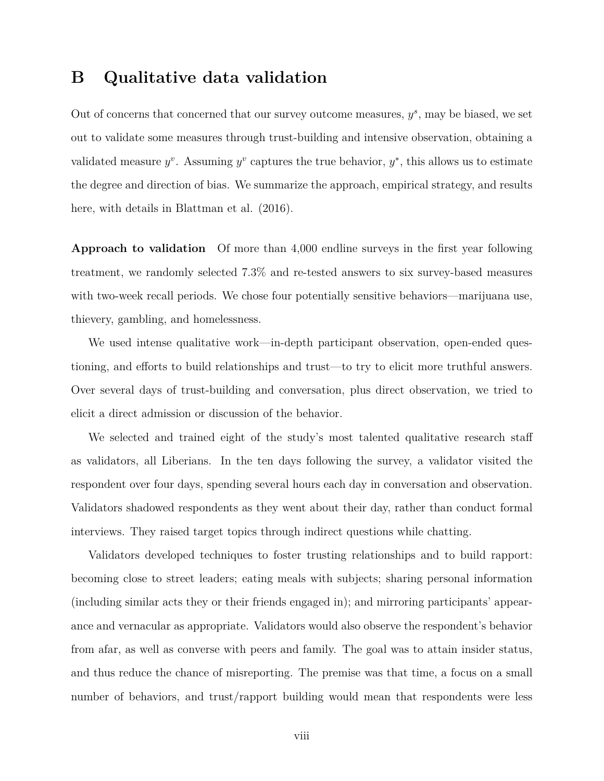## <span id="page-53-0"></span>**B Qualitative data validation**

Out of concerns that concerned that our survey outcome measures,  $y^s$ , may be biased, we set out to validate some measures through trust-building and intensive observation, obtaining a validated measure  $y^v$ . Assuming  $y^v$  captures the true behavior,  $y^*$ , this allows us to estimate the degree and direction of bias. We summarize the approach, empirical strategy, and results here, with details in Blattman et al. (2016).

**Approach to validation** Of more than 4,000 endline surveys in the first year following treatment, we randomly selected 7.3% and re-tested answers to six survey-based measures with two-week recall periods. We chose four potentially sensitive behaviors—marijuana use, thievery, gambling, and homelessness.

We used intense qualitative work—in-depth participant observation, open-ended questioning, and efforts to build relationships and trust—to try to elicit more truthful answers. Over several days of trust-building and conversation, plus direct observation, we tried to elicit a direct admission or discussion of the behavior.

We selected and trained eight of the study's most talented qualitative research staff as validators, all Liberians. In the ten days following the survey, a validator visited the respondent over four days, spending several hours each day in conversation and observation. Validators shadowed respondents as they went about their day, rather than conduct formal interviews. They raised target topics through indirect questions while chatting.

Validators developed techniques to foster trusting relationships and to build rapport: becoming close to street leaders; eating meals with subjects; sharing personal information (including similar acts they or their friends engaged in); and mirroring participants' appearance and vernacular as appropriate. Validators would also observe the respondent's behavior from afar, as well as converse with peers and family. The goal was to attain insider status, and thus reduce the chance of misreporting. The premise was that time, a focus on a small number of behaviors, and trust/rapport building would mean that respondents were less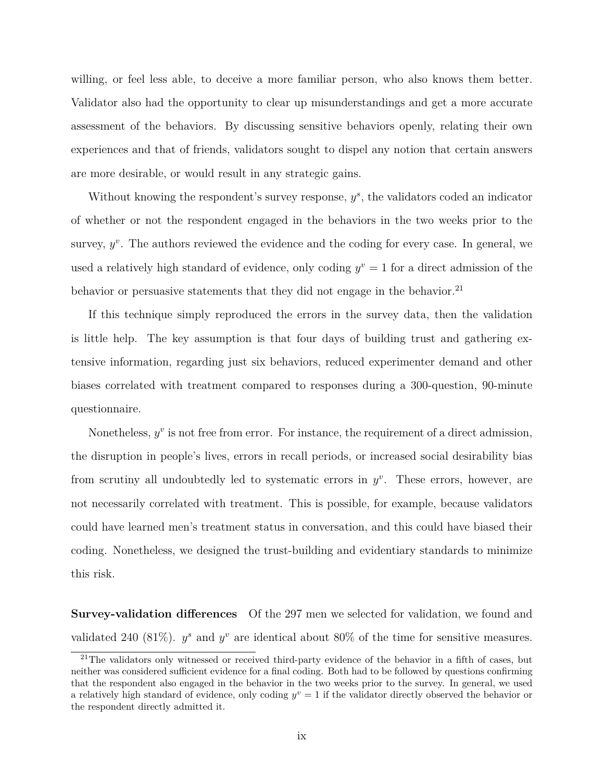willing, or feel less able, to deceive a more familiar person, who also knows them better. Validator also had the opportunity to clear up misunderstandings and get a more accurate assessment of the behaviors. By discussing sensitive behaviors openly, relating their own experiences and that of friends, validators sought to dispel any notion that certain answers are more desirable, or would result in any strategic gains.

Without knowing the respondent's survey response,  $y^s$ , the validators coded an indicator of whether or not the respondent engaged in the behaviors in the two weeks prior to the survey,  $y^v$ . The authors reviewed the evidence and the coding for every case. In general, we used a relatively high standard of evidence, only coding  $y^v = 1$  for a direct admission of the behavior or persuasive statements that they did not engage in the behavior.<sup>[21](#page-54-0)</sup>

If this technique simply reproduced the errors in the survey data, then the validation is little help. The key assumption is that four days of building trust and gathering extensive information, regarding just six behaviors, reduced experimenter demand and other biases correlated with treatment compared to responses during a 300-question, 90-minute questionnaire.

Nonetheless,  $y^v$  is not free from error. For instance, the requirement of a direct admission, the disruption in people's lives, errors in recall periods, or increased social desirability bias from scrutiny all undoubtedly led to systematic errors in  $y^v$ . These errors, however, are not necessarily correlated with treatment. This is possible, for example, because validators could have learned men's treatment status in conversation, and this could have biased their coding. Nonetheless, we designed the trust-building and evidentiary standards to minimize this risk.

**Survey-validation differences** Of the 297 men we selected for validation, we found and validated 240 (81%).  $y^s$  and  $y^v$  are identical about 80% of the time for sensitive measures.

<span id="page-54-0"></span><sup>&</sup>lt;sup>21</sup>The validators only witnessed or received third-party evidence of the behavior in a fifth of cases, but neither was considered sufficient evidence for a final coding. Both had to be followed by questions confirming that the respondent also engaged in the behavior in the two weeks prior to the survey. In general, we used a relatively high standard of evidence, only coding  $y^v = 1$  if the validator directly observed the behavior or the respondent directly admitted it.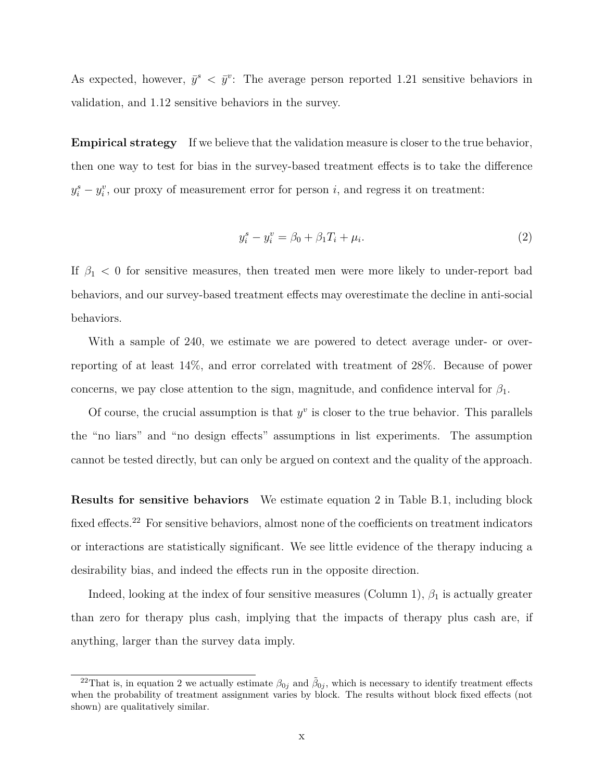As expected, however,  $\bar{y}^s \leq \bar{y}^v$ : The average person reported 1.21 sensitive behaviors in validation, and 1.12 sensitive behaviors in the survey.

**Empirical strategy** If we believe that the validation measure is closer to the true behavior, then one way to test for bias in the survey-based treatment effects is to take the difference  $y_i^s - y_i^v$ , our proxy of measurement error for person *i*, and regress it on treatment:

<span id="page-55-0"></span>
$$
y_i^s - y_i^v = \beta_0 + \beta_1 T_i + \mu_i.
$$
 (2)

If  $\beta_1$  < 0 for sensitive measures, then treated men were more likely to under-report bad behaviors, and our survey-based treatment effects may overestimate the decline in anti-social behaviors.

With a sample of 240, we estimate we are powered to detect average under- or overreporting of at least 14%, and error correlated with treatment of 28%. Because of power concerns, we pay close attention to the sign, magnitude, and confidence interval for  $\beta_1$ .

Of course, the crucial assumption is that  $y^v$  is closer to the true behavior. This parallels the "no liars" and "no design effects" assumptions in list experiments. The assumption cannot be tested directly, but can only be argued on context and the quality of the approach.

**Results for sensitive behaviors** We estimate equation [2](#page-55-0) in Table [B.1,](#page-56-0) including block fixed effects.<sup>[22](#page-55-1)</sup> For sensitive behaviors, almost none of the coefficients on treatment indicators or interactions are statistically significant. We see little evidence of the therapy inducing a desirability bias, and indeed the effects run in the opposite direction.

Indeed, looking at the index of four sensitive measures (Column 1), *β*<sup>1</sup> is actually greater than zero for therapy plus cash, implying that the impacts of therapy plus cash are, if anything, larger than the survey data imply.

<span id="page-55-1"></span><sup>&</sup>lt;sup>22</sup>That is, in equation [2](#page-55-0) we actually estimate  $\beta_{0j}$  and  $\tilde{\beta}_{0j}$ , which is necessary to identify treatment effects when the probability of treatment assignment varies by block. The results without block fixed effects (not shown) are qualitatively similar.